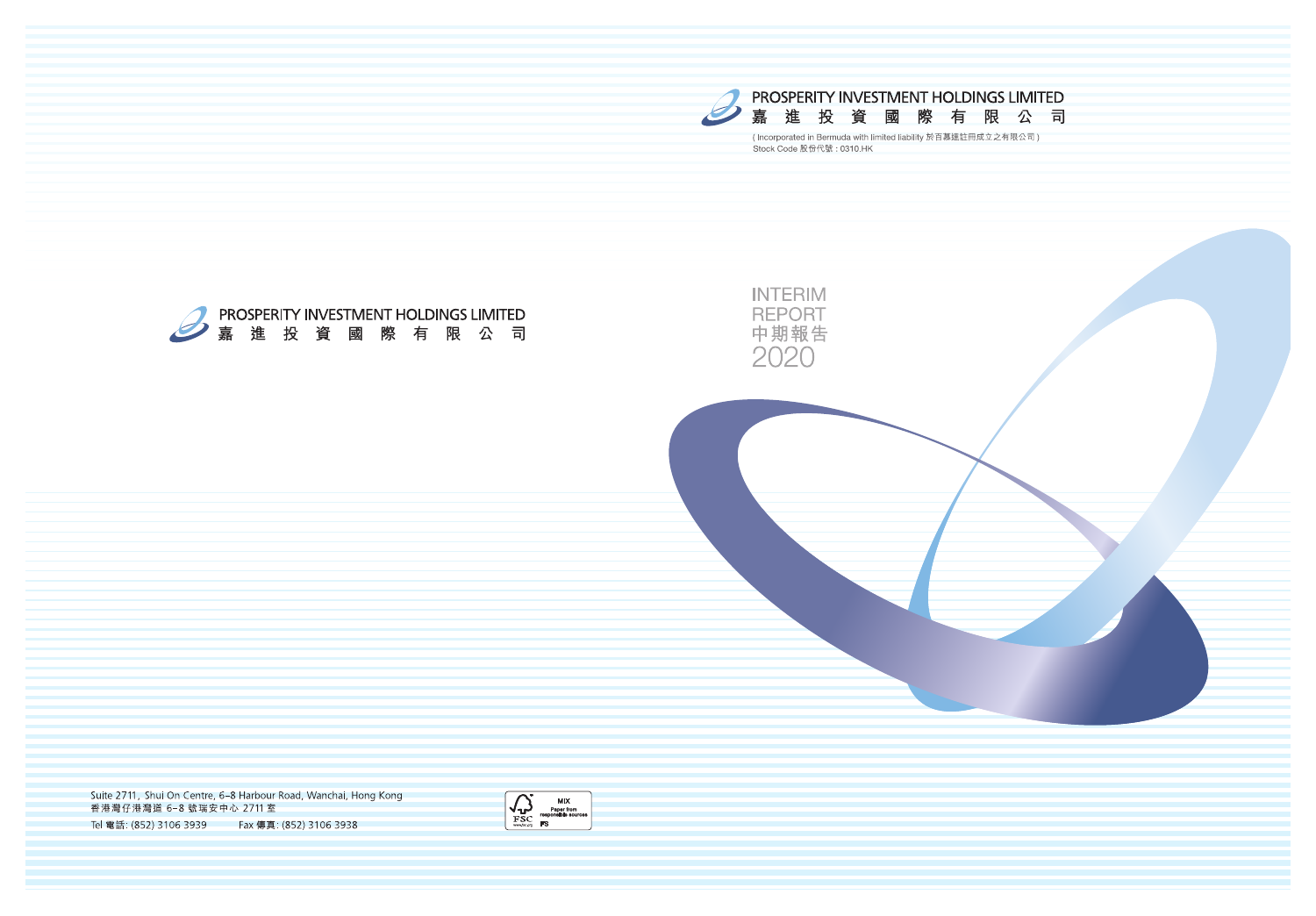







Suite 2711, Shui On Centre, 6-8 Harbour Road, Wanchai, Hong Kong 香港灣仔港灣道 6-8 號瑞安中心 2711室 Tel 電話: (852) 3106 3939 Fax 傳真: (852) 3106 3938

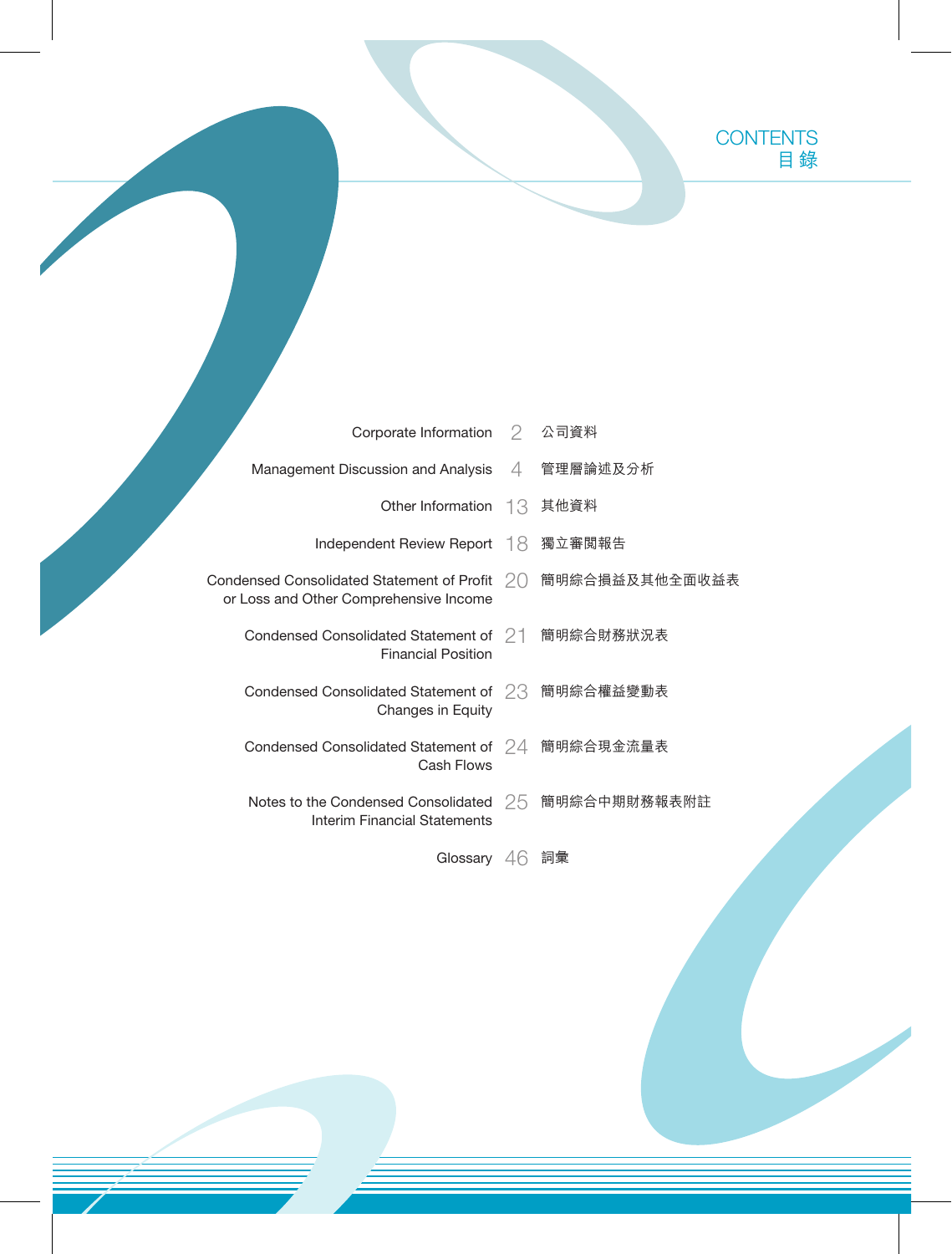|                                                  | Corporate Information 2 公司資料        |                                                              |
|--------------------------------------------------|-------------------------------------|--------------------------------------------------------------|
| Management Discussion and Analysis 4 管理層論述及分析    |                                     |                                                              |
|                                                  | Other Information 13 其他資料           |                                                              |
|                                                  | Independent Review Report 18 獨立審閲報告 |                                                              |
| or Loss and Other Comprehensive Income           |                                     | Condensed Consolidated Statement of Profit 20 簡明綜合損益及其他全面收益表 |
| Condensed Consolidated Statement of 21 簡明綜合財務狀況表 | <b>Financial Position</b>           |                                                              |
| Condensed Consolidated Statement of 23 簡明綜合權益變動表 | Changes in Equity                   |                                                              |
| Condensed Consolidated Statement of 24 簡明綜合現金流量表 | Cash Flows                          |                                                              |
|                                                  | Interim Financial Statements        | Notes to the Condensed Consolidated 25 簡明綜合中期財務報表附註          |
|                                                  |                                     |                                                              |

Glossary 46 詞彙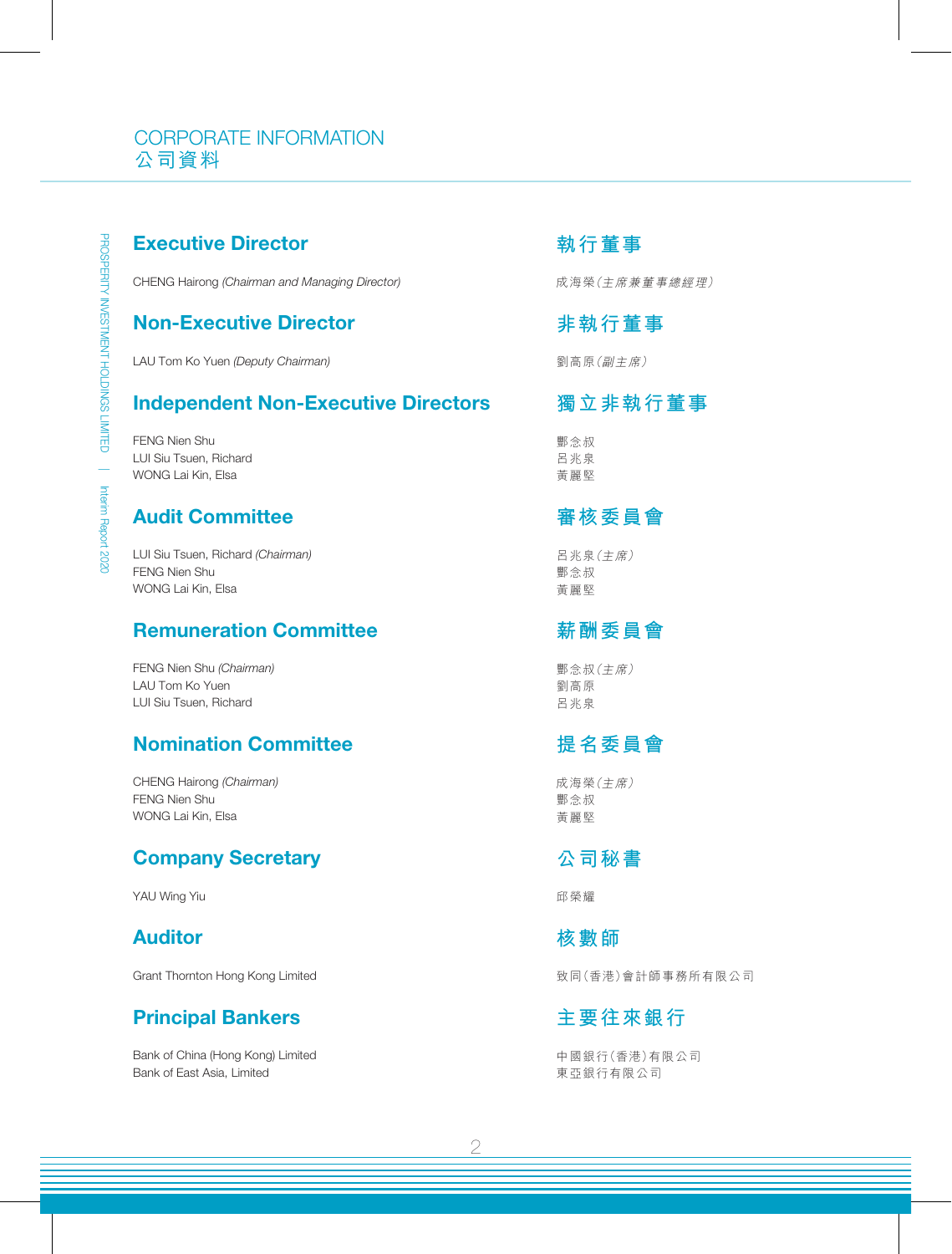## CORPORATE INFORMATION 公司資料

## Executive Director

CHENG Hairong *(Chairman and Managing Director)*

#### Non-Executive Director

LAU Tom Ko Yuen *(Deputy Chairman)*

### Independent Non-Executive Directors

FENG Nien Shu LUI Siu Tsuen, Richard WONG Lai Kin, Elsa

## Audit Committee

LUI Siu Tsuen, Richard *(Chairman)* FENG Nien Shu WONG Lai Kin, Elsa

## Remuneration Committee

FENG Nien Shu *(Chairman)* LAU Tom Ko Yuen LUI Siu Tsuen, Richard

## Nomination Committee

CHENG Hairong *(Chairman)* FENG Nien Shu WONG Lai Kin, Elsa

## Company Secretary

YAU Wing Yiu

## Auditor

Grant Thornton Hong Kong Limited

## Principal Bankers

Bank of China (Hong Kong) Limited Bank of East Asia, Limited

### **執行董事**

成海榮(主席兼董事總經理)

## **非執行董事**

劉高原(副主席)

## **獨立非執行董事**

酆念叔 呂兆泉 黃麗堅

### **審核委員會**

呂兆泉(主席) 酆念叔 黃麗堅

## **薪酬委員會**

酆念叔(主席) 劉高原 呂兆泉

## **提名委員會**

成海榮(主席) 酆念叔 黃麗堅

## **公司秘書**

邱榮耀

### **核數師**

致同(香港)會計師事務所有限公司

## **主要往來銀行**

中國銀行(香港)有限公司 東亞銀行有限公司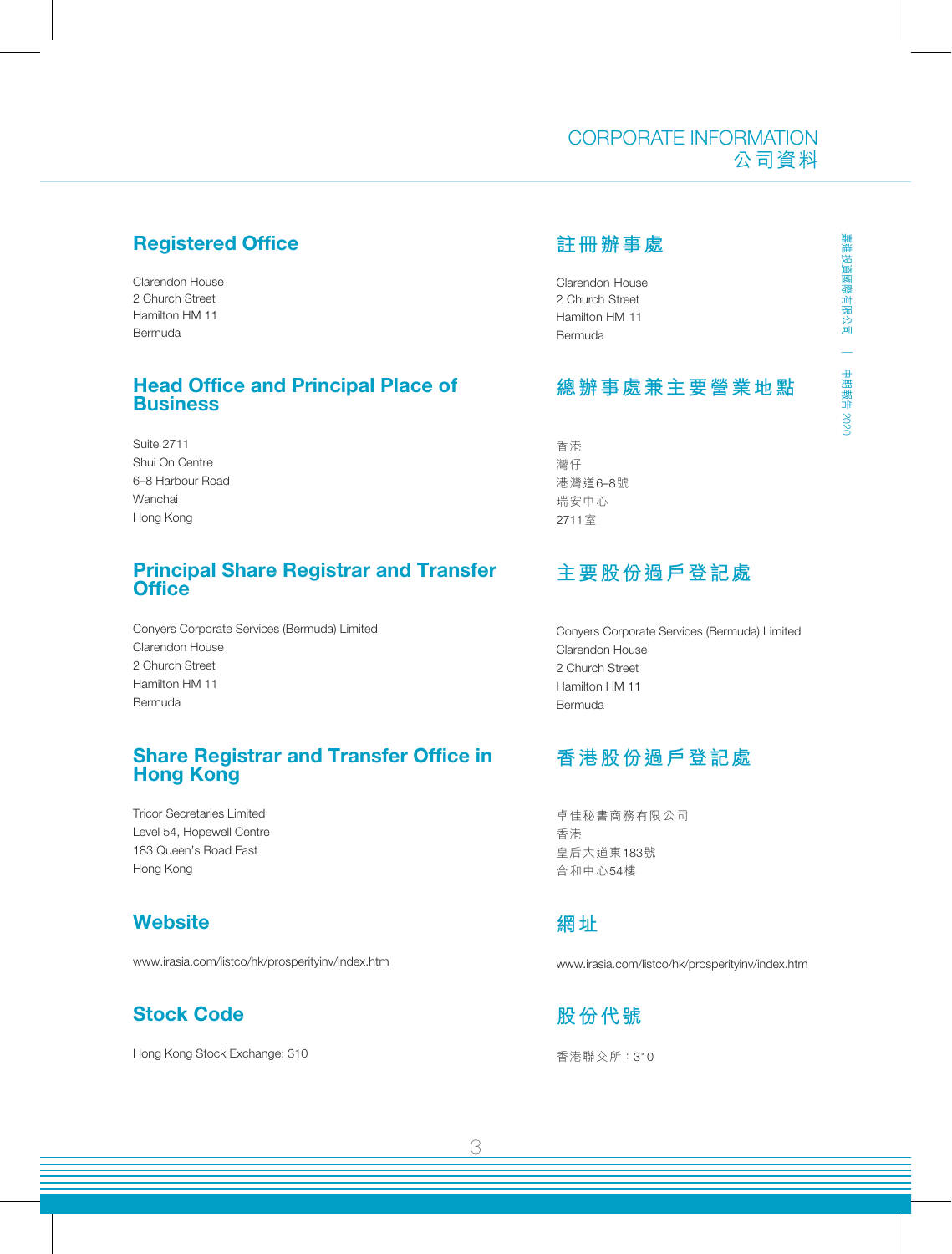## Registered Office

Clarendon House 2 Church Street Hamilton HM 11 Bermuda

## Head Office and Principal Place of **Business**

Suite 2711 Shui On Centre 6–8 Harbour Road Wanchai Hong Kong

### Principal Share Registrar and Transfer **Office**

Conyers Corporate Services (Bermuda) Limited Clarendon House 2 Church Street Hamilton HM 11 Bermuda

### Share Registrar and Transfer Office in Hong Kong

Tricor Secretaries Limited Level 54, Hopewell Centre 183 Queen's Road East Hong Kong

## **Website**

www.irasia.com/listco/hk/prosperityinv/index.htm

# Stock Code

Hong Kong Stock Exchange: 310

## **註冊辦事處**

Clarendon House 2 Church Street Hamilton HM 11 Bermuda

## **總辦事處兼主要營業地點**

CORPORATE INFORMATION

公司資料

香港 灣仔 港灣道6–8號 瑞安中心 2711室

# **主要股份過戶登記處**

Conyers Corporate Services (Bermuda) Limited Clarendon House 2 Church Street Hamilton HM 11 Bermuda

# **香港股份過戶登記處**

卓佳秘書商務有限公司 香港 皇后大道東183號 合和中心54樓

**網址**

www.irasia.com/listco/hk/prosperityinv/index.htm

**股份代號** 香港聯交所:310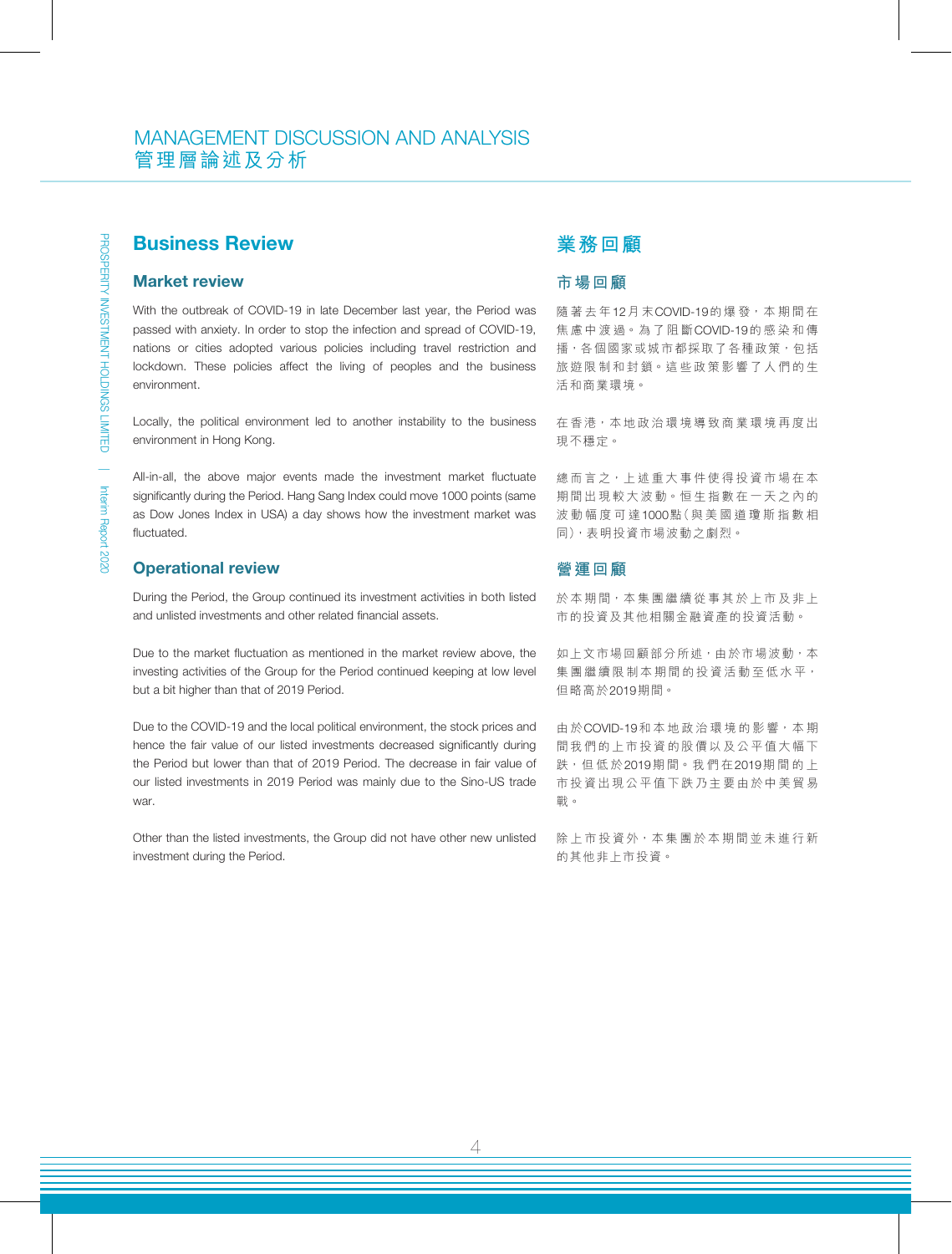## Business Review

#### Market review

With the outbreak of COVID-19 in late December last year, the Period was passed with anxiety. In order to stop the infection and spread of COVID-19, nations or cities adopted various policies including travel restriction and lockdown. These policies affect the living of peoples and the business environment.

Locally, the political environment led to another instability to the business environment in Hong Kong.

All-in-all, the above major events made the investment market fluctuate significantly during the Period. Hang Sang Index could move 1000 points (same as Dow Jones Index in USA) a day shows how the investment market was fluctuated.

#### Operational review

During the Period, the Group continued its investment activities in both listed and unlisted investments and other related financial assets.

Due to the market fluctuation as mentioned in the market review above, the investing activities of the Group for the Period continued keeping at low level but a bit higher than that of 2019 Period.

Due to the COVID-19 and the local political environment, the stock prices and hence the fair value of our listed investments decreased significantly during the Period but lower than that of 2019 Period. The decrease in fair value of our listed investments in 2019 Period was mainly due to the Sino-US trade war.

Other than the listed investments, the Group did not have other new unlisted investment during the Period.

#### **業務回顧**

#### **市場回顧**

隨著去年12月 末COVID-19的 爆 發,本 期 間 在 焦 慮 中 渡 過。為 了 阻 斷COVID-19的感染和傳 播,各個國家或城市都採取了各種政策,包括 旅遊限制和封鎖。這些政策影響了人們的生 活和商業環境。

在香港,本地政治環境導致商業環境再度出 現不穩定。

總而言之,上述重大事件使得投資市場在本 期間出現較大波動。恒生指數在一天之內的 波動幅度可達1000點(與美國道瓊斯指數相 同),表明投資市場波動之劇烈。

#### **營運回顧**

於本期間,本集團繼續從事其於上市及非上 市的投資及其他相關金融資產的投資活動。

如上文市場回顧部分所述,由於市場波動,本 集團繼續限制本期間的投資活動至低水平, 但略高於2019期間。

由 於 COVID-19和 本 地 政 治 環 境 的 影 響, 本 期 間我們的上市投資的股價以及公平值大幅下 跌,但 低 於2019期 間。我 們 在2019期間的上 市投資出現公平值下跌乃主要由於中美貿易 戰。

除上市投資外,本集團於本期間並未進行新 的其他非上市投資。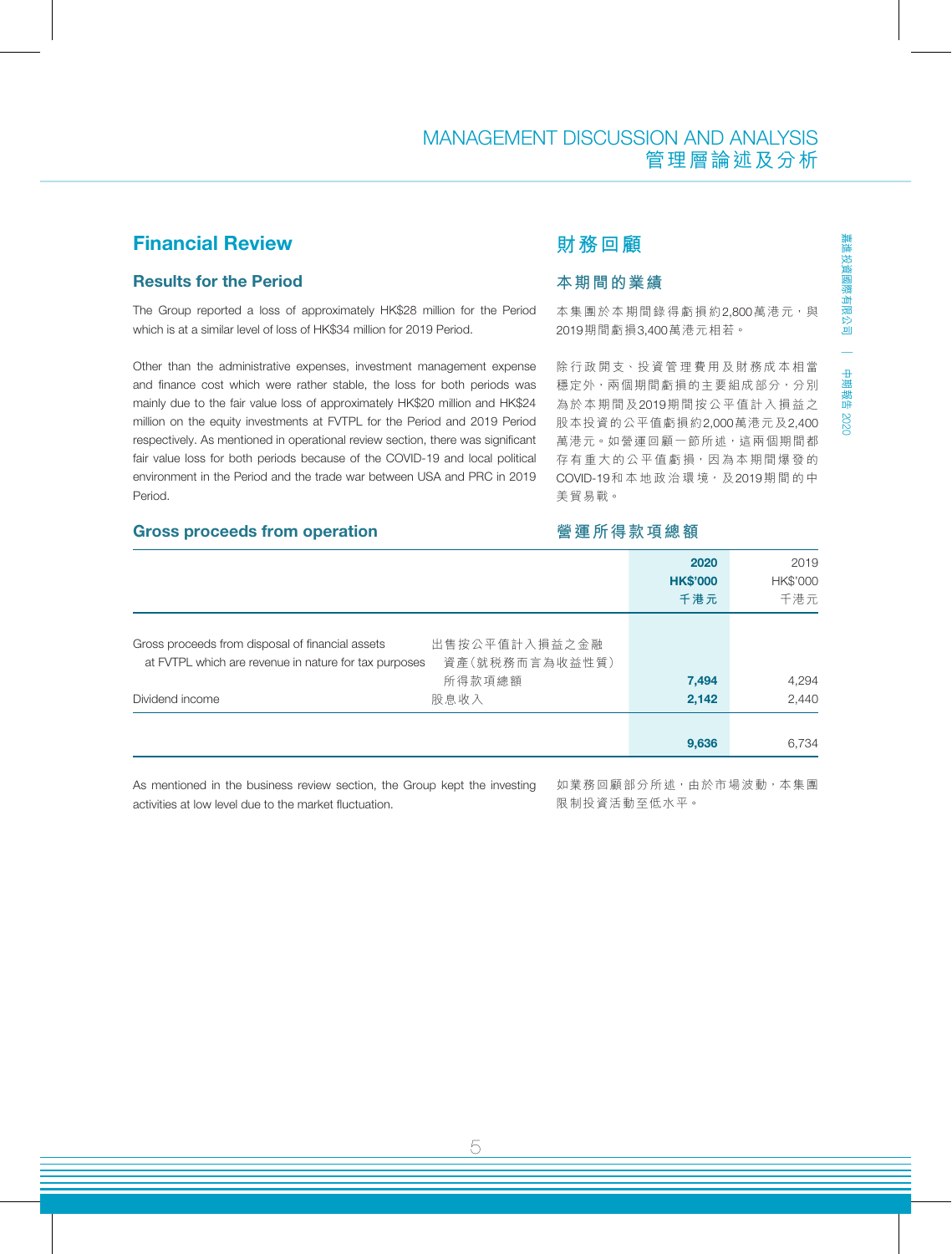## Financial Review

#### Results for the Period

The Group reported a loss of approximately HK\$28 million for the Period which is at a similar level of loss of HK\$34 million for 2019 Period.

Other than the administrative expenses, investment management expense and finance cost which were rather stable, the loss for both periods was mainly due to the fair value loss of approximately HK\$20 million and HK\$24 million on the equity investments at FVTPL for the Period and 2019 Period respectively. As mentioned in operational review section, there was significant fair value loss for both periods because of the COVID-19 and local political environment in the Period and the trade war between USA and PRC in 2019 Period.

#### Gross proceeds from operation

## **財務回顧**

#### **本期間的業績**

本集團於本期間錄得虧損約2,800萬港元,與 2019期間虧損3,400萬港元相若。

除行政開支、投資管理費用及財務成本相當 穩定外,兩個期間虧損的主要組成部分,分別 為於本期間及2019期間按公平值計入損益之 股本投資的公平值虧損約2,000萬港元及2,400 萬港元。如營運回顧一節所述,這兩個期間都 存有重大的公平值虧損,因為本期間爆發的 COVID-19和本 地 政 治 環 境, 及2019期間 的 中 美貿易戰。

#### **營運所得款項總額**

|                                                                                                           | 2020<br><b>HK\$'000</b><br>千港元                     | 2019<br>HK\$'000<br>千港元 |
|-----------------------------------------------------------------------------------------------------------|----------------------------------------------------|-------------------------|
| Gross proceeds from disposal of financial assets<br>at FVTPL which are revenue in nature for tax purposes | 出售按公平值計入損益之金融<br>資產(就税務而言為收益性質)<br>所得款項總額<br>7,494 | 4,294                   |
| 股息收入<br>Dividend income                                                                                   | 2,142                                              | 2,440                   |
|                                                                                                           | 9,636                                              | 6.734                   |

As mentioned in the business review section, the Group kept the investing activities at low level due to the market fluctuation.

如業務回顧部分所述,由於市場波動,本集團 限制投資活動至低水平。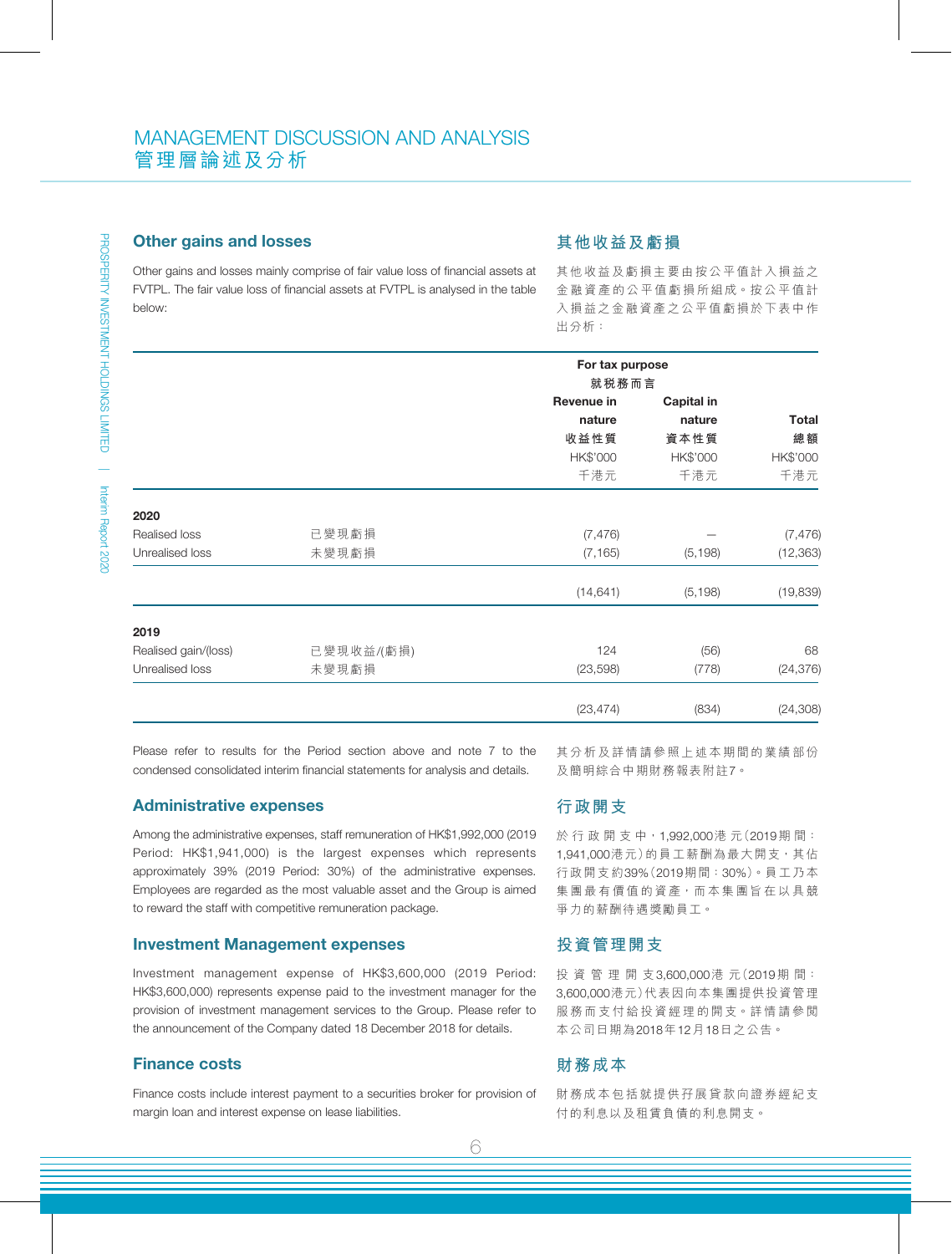#### Other gains and losses

#### **其他收益及虧損**

Other gains and losses mainly comprise of fair value loss of financial assets at FVTPL. The fair value loss of financial assets at FVTPL is analysed in the table below:

其他收益及虧損主要由按公平值計入損益之 金融資產的公平值虧損所組成。按公平值計 入損益之金融資產之公平值虧損於下表中作 出分析:

|                      |            | For tax purpose<br>就税務而言 |            |              |
|----------------------|------------|--------------------------|------------|--------------|
|                      |            | Revenue in               | Capital in |              |
|                      |            | nature                   | nature     | <b>Total</b> |
|                      |            | 收益性質                     | 資本性質       | 總額           |
|                      |            | HK\$'000                 | HK\$'000   | HK\$'000     |
|                      |            | 千港元                      | 千港元        | 千港元          |
| 2020                 |            |                          |            |              |
| Realised loss        | 已變現虧損      | (7, 476)                 |            | (7, 476)     |
| Unrealised loss      | 未變現虧損      | (7, 165)                 | (5, 198)   | (12, 363)    |
|                      |            | (14, 641)                | (5, 198)   | (19, 839)    |
| 2019                 |            |                          |            |              |
| Realised gain/(loss) | 已變現收益/(虧損) | 124                      | (56)       | 68           |
| Unrealised loss      | 未變現虧損      | (23,598)                 | (778)      | (24, 376)    |
|                      |            | (23, 474)                | (834)      | (24, 308)    |

Please refer to results for the Period section above and note 7 to the condensed consolidated interim financial statements for analysis and details.

#### Administrative expenses

Among the administrative expenses, staff remuneration of HK\$1,992,000 (2019 Period: HK\$1,941,000) is the largest expenses which represents approximately 39% (2019 Period: 30%) of the administrative expenses. Employees are regarded as the most valuable asset and the Group is aimed to reward the staff with competitive remuneration package.

#### Investment Management expenses

Investment management expense of HK\$3,600,000 (2019 Period: HK\$3,600,000) represents expense paid to the investment manager for the provision of investment management services to the Group. Please refer to the announcement of the Company dated 18 December 2018 for details.

#### Finance costs

Finance costs include interest payment to a securities broker for provision of margin loan and interest expense on lease liabilities.

其分析及詳情請參照上述本期間的業績部份 及簡明綜合中期財務報表附註7。

#### **行政開支**

於 行 政 開 支 中, 1,992,000港 元(2019期間: 1,941,000港元)的員工薪酬為最大開支, 其佔 行政開支約39%(2019期間:30%)。員工乃本 集團最有價值的資產,而本集團旨在以具競 爭力的薪酬待遇獎勵員工。

#### **投資管理開支**

投資管理開支3,600,000港 元(2019期 間: 3,600,000港元)代表因向本集團提供投資管理 服務而支付給投資經理的開支。詳情請參閱 本公司日期為2018年12月18日之公告。

#### **財務成本**

財務成本包括就提供孖展貸款向證券經紀支 付的利息以及租賃負債的利息開支。

6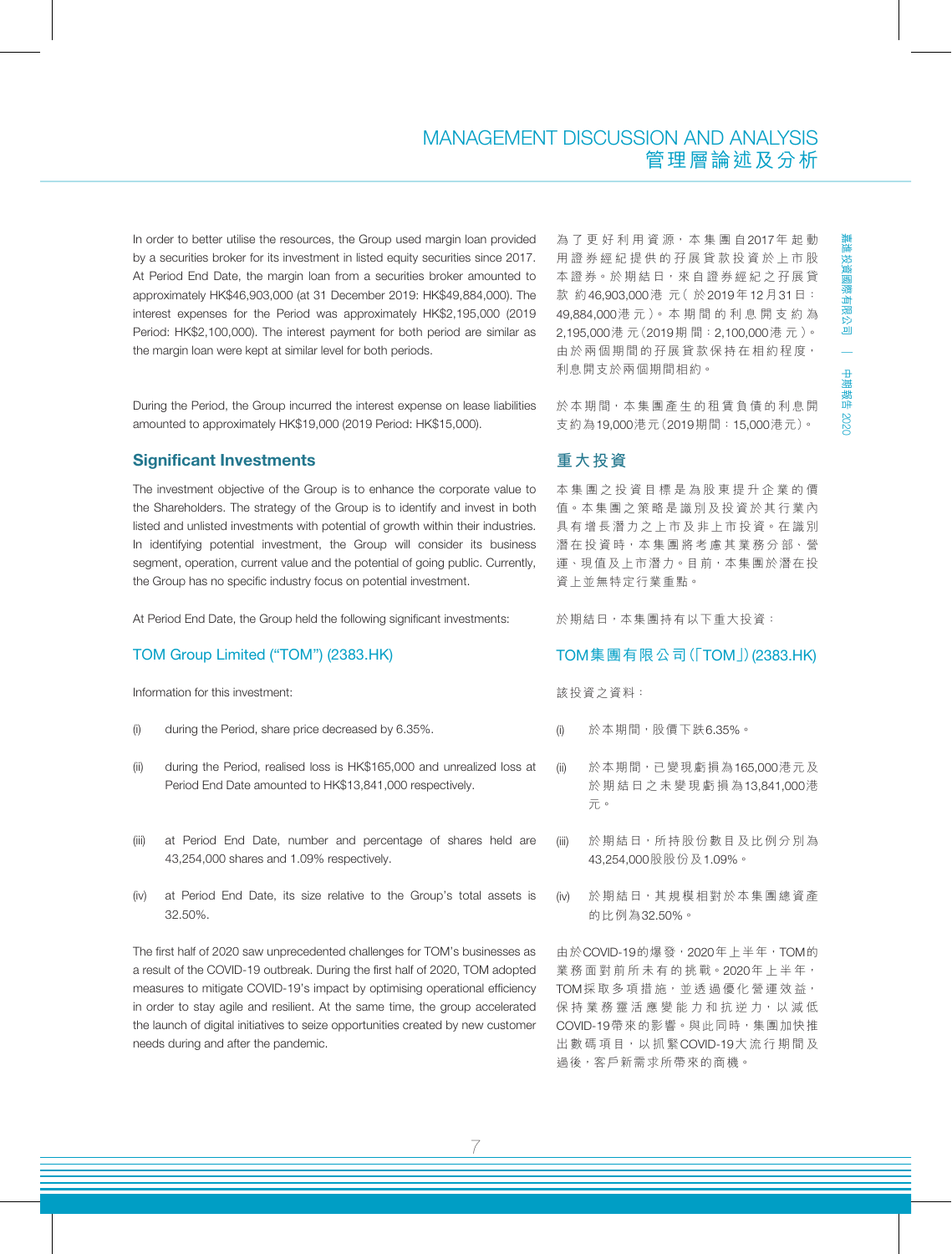### MANAGEMENT DISCUSSION AND ANALYSIS 管理層論述及分析

In order to better utilise the resources, the Group used margin loan provided by a securities broker for its investment in listed equity securities since 2017. At Period End Date, the margin loan from a securities broker amounted to approximately HK\$46,903,000 (at 31 December 2019: HK\$49,884,000). The interest expenses for the Period was approximately HK\$2,195,000 (2019 Period: HK\$2,100,000). The interest payment for both period are similar as the margin loan were kept at similar level for both periods.

During the Period, the Group incurred the interest expense on lease liabilities amounted to approximately HK\$19,000 (2019 Period: HK\$15,000).

#### Significant Investments

The investment objective of the Group is to enhance the corporate value to the Shareholders. The strategy of the Group is to identify and invest in both listed and unlisted investments with potential of growth within their industries. In identifying potential investment, the Group will consider its business segment, operation, current value and the potential of going public. Currently, the Group has no specific industry focus on potential investment.

At Period End Date, the Group held the following significant investments:

#### TOM Group Limited ("TOM") (2383.HK)

Information for this investment:

- (i) during the Period, share price decreased by 6.35%.
- (ii) during the Period, realised loss is HK\$165,000 and unrealized loss at Period End Date amounted to HK\$13,841,000 respectively.
- (iii) at Period End Date, number and percentage of shares held are 43,254,000 shares and 1.09% respectively.
- (iv) at Period End Date, its size relative to the Group's total assets is 32.50%.

The first half of 2020 saw unprecedented challenges for TOM's businesses as a result of the COVID-19 outbreak. During the first half of 2020, TOM adopted measures to mitigate COVID-19's impact by optimising operational efficiency in order to stay agile and resilient. At the same time, the group accelerated the launch of digital initiatives to seize opportunities created by new customer needs during and after the pandemic.

為了更好利用資源,本集團自2017年起動 用證券經紀提供的孖展貸款投資於上市股 本證券。於期結日, 來自證券經紀之孖展貸 款 約46,903,000港 元( 於2019年12月31日: 49,884,000港 元 )。 本 期 間 的 利 息 開 支 約 為 2,195,000港 元(2019期 間:2,100,000港 元 )。 由於兩個期間的孖展貸款保持在相約程度, 利息開支於兩個期間相約。

於本期間,本集團產生的租賃負債的利息開 支約為19,000港元(2019期間:15,000港元)。

### **重大投資**

本集團之投資目標是為股東提升企業的價 值。本集團之策略是識別及投資於其行業內 具有增長潛力之上市及非上市投資。在識別 潛在投資時,本集團將考慮其業務分部、營 運、現值及上市潛力。目前,本集團於潛在投 資上並無特定行業重點。

於期結日,本集團持有以下重大投資:

#### TOM集團有限公司(「TOM」)(2383.HK)

該投資之資料:

- (i) 於本期間,股價下跌6.35%。
- (ii) 於本期間,已變現虧損為165,000港元及 於期結日之未變現虧損為13,841,000港 元。
- (iii) 於期結日,所持股份數目及比例分別為 43,254,000股股份及1.09%。
- (iv) 於期結日,其規模相對於本集團總資產 的比例為32.50%。

由於COVID-19的爆發,2020年上半年,TOM的 業 務 面 對 前 所 未 有 的 挑 戰。2020年 上 半 年, TOM採取多項措施,並透過優化營運效益, 保持業務靈活應變能力和抗逆力,以減低 COVID-19帶來的影響。與此同時,集團加快推 出數碼項目,以抓緊COVID-19大流行期間及 過後,客戶新需求所帶來的商機。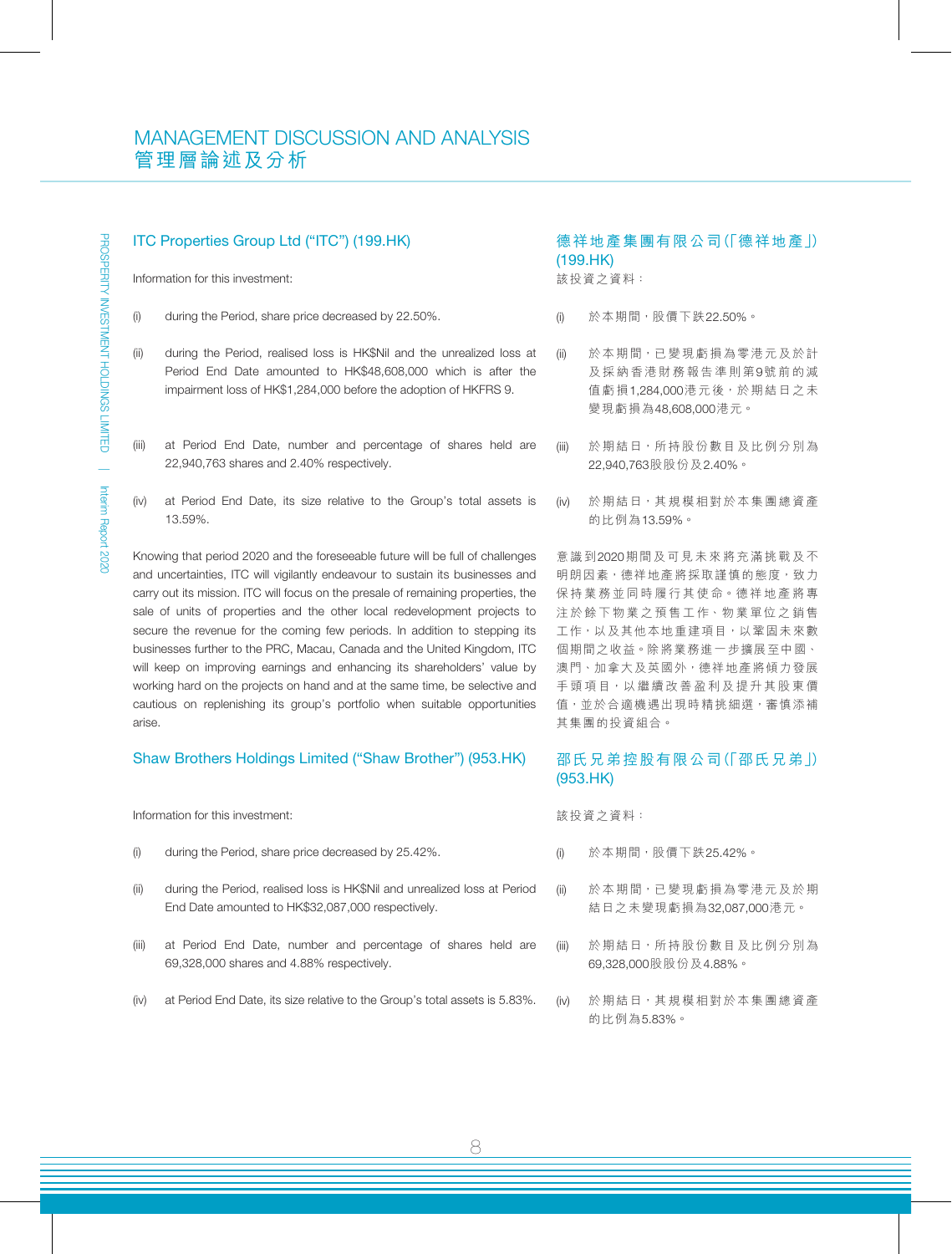#### ITC Properties Group Ltd ("ITC") (199.HK)

Information for this investment:

- (i) during the Period, share price decreased by 22.50%.
- (ii) during the Period, realised loss is HK\$Nil and the unrealized loss at Period End Date amounted to HK\$48,608,000 which is after the impairment loss of HK\$1,284,000 before the adoption of HKFRS 9.
- (iii) at Period End Date, number and percentage of shares held are 22,940,763 shares and 2.40% respectively.
- (iv) at Period End Date, its size relative to the Group's total assets is 13.59%.

Knowing that period 2020 and the foreseeable future will be full of challenges and uncertainties, ITC will vigilantly endeavour to sustain its businesses and carry out its mission. ITC will focus on the presale of remaining properties, the sale of units of properties and the other local redevelopment projects to secure the revenue for the coming few periods. In addition to stepping its businesses further to the PRC, Macau, Canada and the United Kingdom, ITC will keep on improving earnings and enhancing its shareholders' value by working hard on the projects on hand and at the same time, be selective and cautious on replenishing its group's portfolio when suitable opportunities arise.

#### Shaw Brothers Holdings Limited ("Shaw Brother") (953.HK)

Information for this investment:

- (i) during the Period, share price decreased by 25.42%.
- (ii) during the Period, realised loss is HK\$Nil and unrealized loss at Period End Date amounted to HK\$32,087,000 respectively.
- (iii) at Period End Date, number and percentage of shares held are 69,328,000 shares and 4.88% respectively.
- (iv) at Period End Date, its size relative to the Group's total assets is 5.83%.

#### 德祥地產集團有限公司(「德祥地產」) (199.HK) 該投資之資料:

- (i) 於本期間,股價下跌22.50%。
- (ii) 於本期間,已變現虧損為零港元及於計 及採納香港財務報告準則第9號前的減 值虧損1,284,000港元後,於期結日之未 變現虧損為48,608,000港元。
- (iii) 於期結日,所持股份數目及比例分別為 22,940,763股股份及2.40%。
- (iv) 於期結日,其規模相對於本集團總資產 的比例為13.59%。

意識到2020期間及可見未來將充滿挑戰及不 明朗因素,德祥地產將採取謹慎的態度,致力 保持業務並同時履行其使命。德祥地產將專 注於餘下物業之預售工作、物業單位之銷售 工作,以及其他本地重建項目,以鞏固未來數 個期間之收益。除將業務進一步擴展至中國、 澳門、加拿大及英國外,德祥地產將傾力發展 手頭項目,以繼續改善盈利及提升其股東價 值,並於合適機遇出現時精挑細選,審慎添補 其集團的投資組合。

#### 邵氏兄弟控股有限公司(「邵氏兄弟」) (953.HK)

該投資之資料:

- (i) 於本期間,股價下跌25.42%。
- (ii) 於本期間,已變現虧損為零港元及於期 結日之未變現虧損為32,087,000港元。
- (iii) 於期結日,所持股份數目及比例分別為 69,328,000股股份及4.88%。
- (iv) 於期結日,其規模相對於本集團總資產 的比例為5.83%。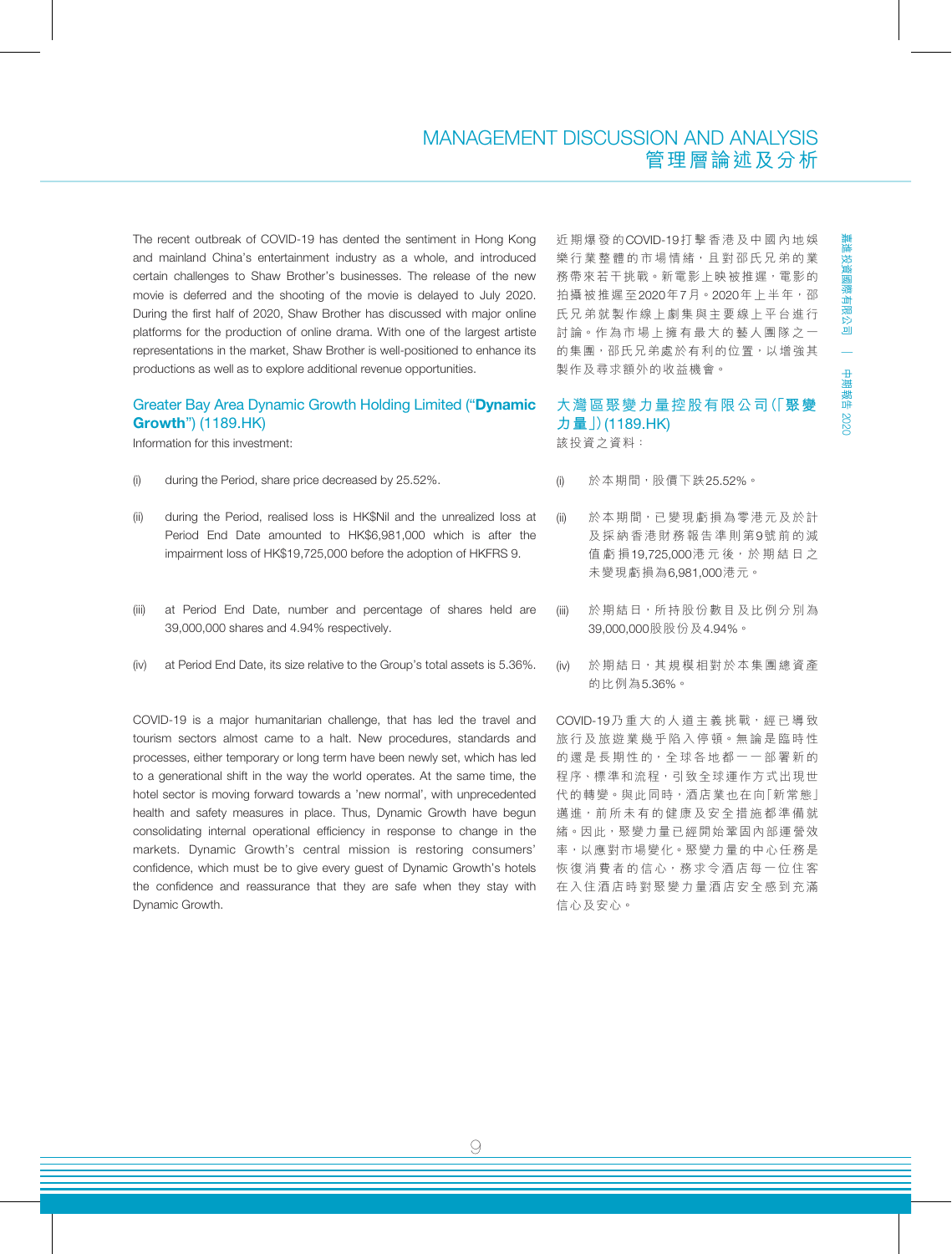### MANAGEMENT DISCUSSION AND ANALYSIS 管理層論述及分析

The recent outbreak of COVID-19 has dented the sentiment in Hong Kong and mainland China's entertainment industry as a whole, and introduced certain challenges to Shaw Brother's businesses. The release of the new movie is deferred and the shooting of the movie is delayed to July 2020. During the first half of 2020, Shaw Brother has discussed with major online platforms for the production of online drama. With one of the largest artiste representations in the market, Shaw Brother is well-positioned to enhance its productions as well as to explore additional revenue opportunities.

#### Greater Bay Area Dynamic Growth Holding Limited ("Dynamic Growth") (1189.HK)

Information for this investment:

- (i) during the Period, share price decreased by 25.52%.
- (ii) during the Period, realised loss is HK\$Nil and the unrealized loss at Period End Date amounted to HK\$6,981,000 which is after the impairment loss of HK\$19,725,000 before the adoption of HKFRS 9.
- (iii) at Period End Date, number and percentage of shares held are 39,000,000 shares and 4.94% respectively.
- (iv) at Period End Date, its size relative to the Group's total assets is 5.36%.

COVID-19 is a major humanitarian challenge, that has led the travel and tourism sectors almost came to a halt. New procedures, standards and processes, either temporary or long term have been newly set, which has led to a generational shift in the way the world operates. At the same time, the hotel sector is moving forward towards a 'new normal', with unprecedented health and safety measures in place. Thus, Dynamic Growth have begun consolidating internal operational efficiency in response to change in the markets. Dynamic Growth's central mission is restoring consumers' confidence, which must be to give every guest of Dynamic Growth's hotels the confidence and reassurance that they are safe when they stay with Dynamic Growth.

近期爆發的COVID-19打擊香港及中國內地娛 樂行業整體的市場情緒,且對邵氏兄弟的業 務帶來若干挑戰。新電影上映被推遲,電影的 拍攝被推遲至2020年7月。2020年上半年,邵 氏兄弟就製作線上劇集與主要線上平台進行 討論。作為市場上擁有最大的藝人團隊之一 的集團,邵氏兄弟處於有利的位置,以增強其 製作及尋求額外的收益機會。

### 大灣區聚變力量控股有限公司(「**聚變 力量**」)(1189.HK)

該投資之資料:

- (i) 於本期間,股價下跌25.52%。
- (ii) 於本期間,已變現虧損為零港元及於計 及採納香港財務報告準則第9號前的減 值虧損19,725,000港 元 後,於 期 結 日 之 未變現虧損為6,981,000港元。
- (iii) 於期結日,所持股份數目及比例分別為 39,000,000股股份及4.94%。
- (iv) 於期結日,其規模相對於本集團總資產 的比例為5.36%。

COVID-19乃重大的人道主義挑戰,經已導致 旅行及旅遊業幾乎陷入停頓。無論是臨時性 的還是長期性的,全球各地都一一部署新的 程序、標準和流程,引致全球運作方式出現世 代的轉變。與此同時,酒店業也在向「新常態」 邁進,前所未有的健康及安全措施都準備就 緒。因此,聚變力量已經開始鞏固內部運營效 率,以應對市場變化。聚變力量的中心任務是 恢復消費者的信心,務求令酒店每一位住客 在入住酒店時對聚變力量酒店安全感到充滿 信心及安心。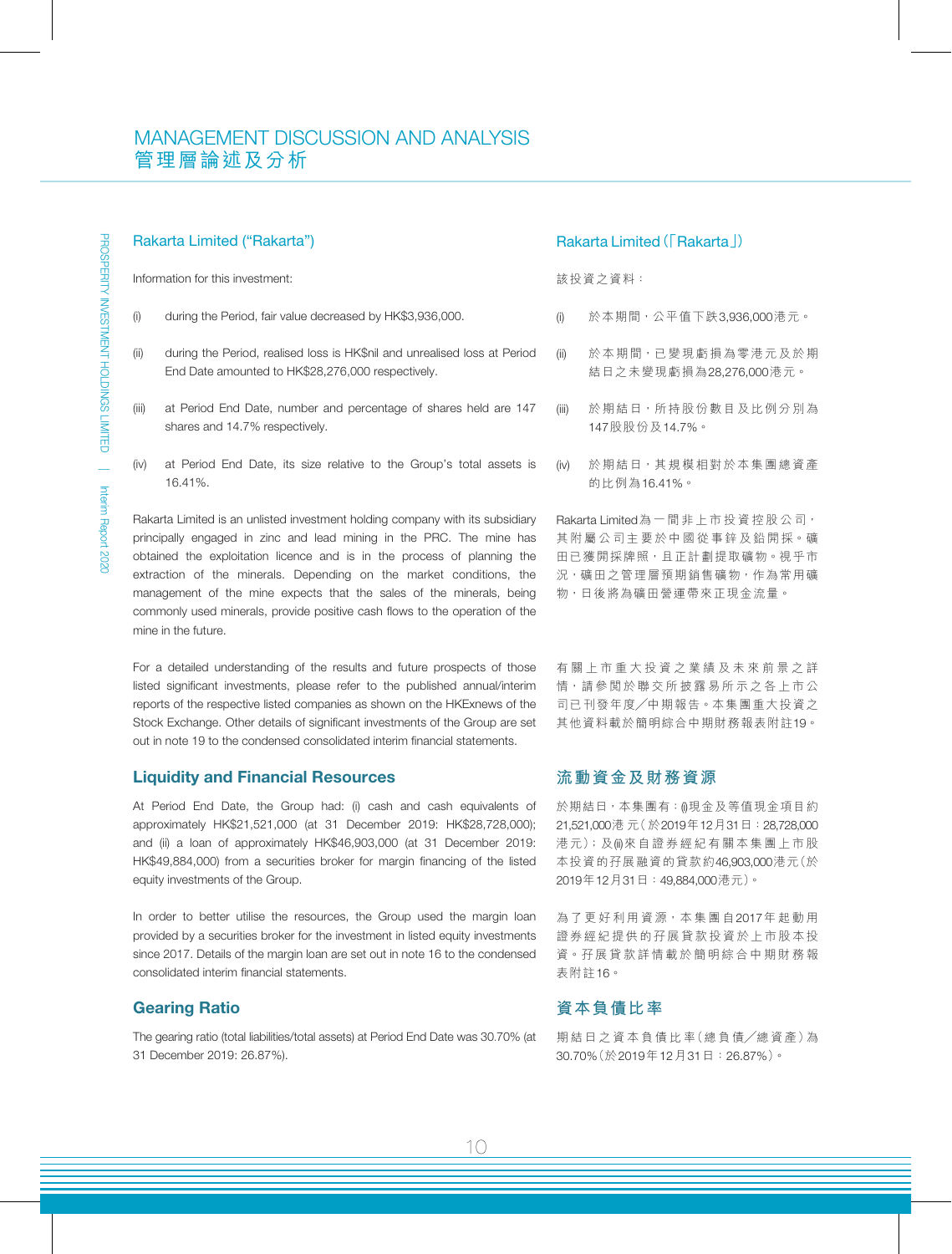#### Rakarta Limited ("Rakarta")

Information for this investment:

- (i) during the Period, fair value decreased by HK\$3,936,000.
- (ii) during the Period, realised loss is HK\$nil and unrealised loss at Period End Date amounted to HK\$28,276,000 respectively.
- (iii) at Period End Date, number and percentage of shares held are 147 shares and 14.7% respectively.
- (iv) at Period End Date, its size relative to the Group's total assets is 16.41%.

Rakarta Limited is an unlisted investment holding company with its subsidiary principally engaged in zinc and lead mining in the PRC. The mine has obtained the exploitation licence and is in the process of planning the extraction of the minerals. Depending on the market conditions, the management of the mine expects that the sales of the minerals, being commonly used minerals, provide positive cash flows to the operation of the mine in the future.

For a detailed understanding of the results and future prospects of those listed significant investments, please refer to the published annual/interim reports of the respective listed companies as shown on the HKExnews of the Stock Exchange. Other details of significant investments of the Group are set out in note 19 to the condensed consolidated interim financial statements.

#### Liquidity and Financial Resources

At Period End Date, the Group had: (i) cash and cash equivalents of approximately HK\$21,521,000 (at 31 December 2019: HK\$28,728,000); and (ii) a loan of approximately HK\$46,903,000 (at 31 December 2019: HK\$49,884,000) from a securities broker for margin financing of the listed equity investments of the Group.

In order to better utilise the resources, the Group used the margin loan provided by a securities broker for the investment in listed equity investments since 2017. Details of the margin loan are set out in note 16 to the condensed consolidated interim financial statements.

#### Gearing Ratio

The gearing ratio (total liabilities/total assets) at Period End Date was 30.70% (at 31 December 2019: 26.87%).

#### Rakarta Limited(「Rakarta」)

該投資之資料:

- (i) 於本期間,公平值下跌3,936,000港元。
- (ii) 於本期間,已變現虧損為零港元及於期 結日之未變現虧損為28,276,000港元。
- (iii) 於期結日,所持股份數目及比例分別為 147股股份及14.7%。
- (iv) 於期結日,其規模相對於本集團總資產 的比例為16.41%。

Rakarta Limited為一間非上市投資控股公司, 其附屬公司主要於中國從事鋅及鉛開採。礦 田已獲開採牌照,且正計劃提取礦物。視乎市 況,礦田之管理層預期銷售礦物,作為常用礦 物,日後將為礦田營運帶來正現金流量。

有關上市重大投資之業績及未來前景之詳 情,請參閱於聯交所披露易所示之各上市公 司已刊發年度╱中期報告。本集團重大投資之 其他資料載於簡明綜合中期財務報表附註19。

#### **流動資金及財務資源**

於期結日,本集團有: 0現金及等值現金項目約 21,521,000港 元(於2019年12月31日:28,728,000 港元);及(ii)來自證券經紀有關本集團上市股 本投資的孖展融資的貸款約46,903,000港元(於 2019年12月31日:49,884,000港元)。

為了更好利用資源,本集團自2017年起動用 證券經紀提供的孖展貸款投資於上市股本投 資。孖展貸款詳情載於簡明綜合中期財務報 表附註16。

#### **資本負債比率**

期 結 日 之 資 本 負 債 比 率(總 負 債╱總 資 產)為 30.70%(於2019年12月31日:26.87%)。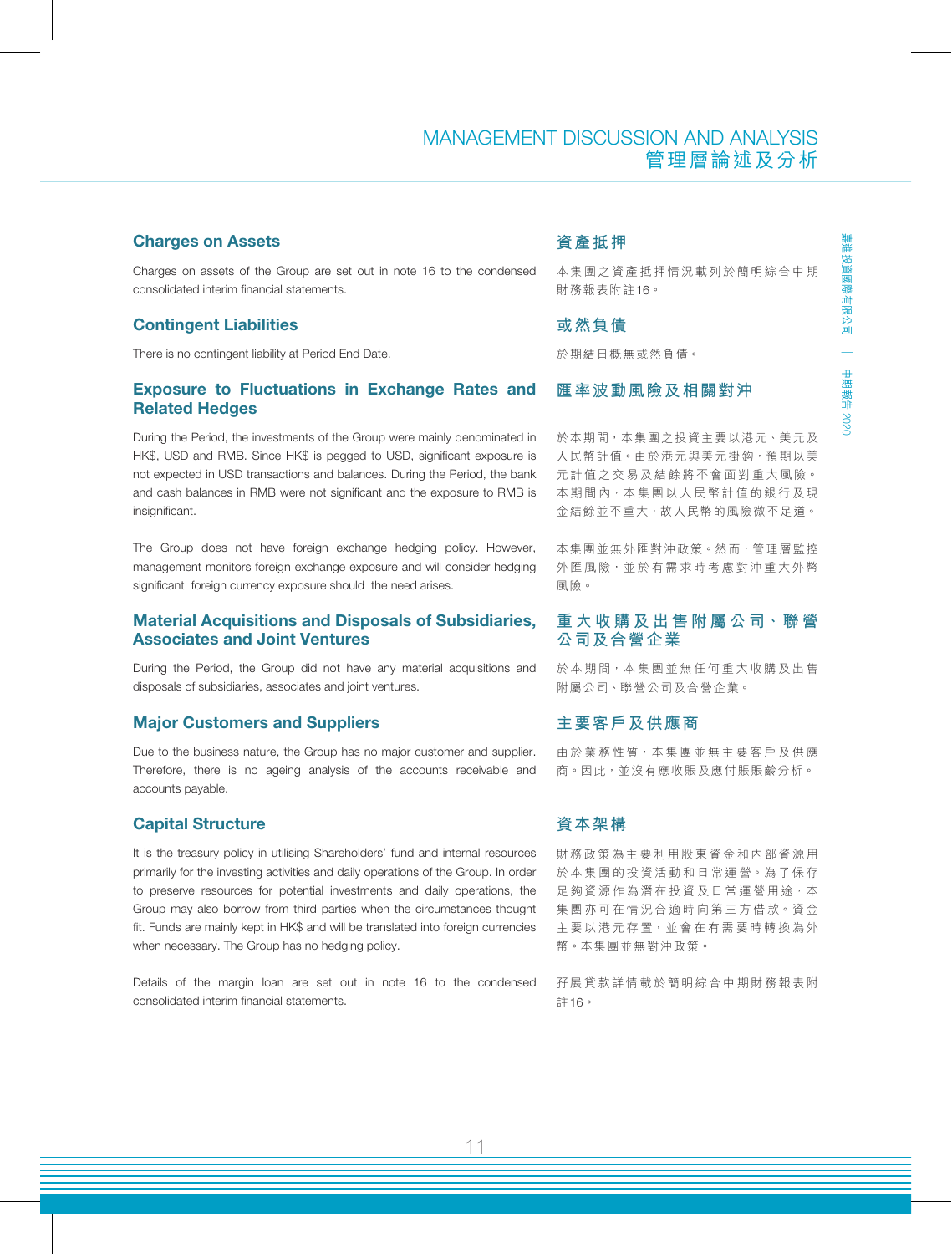#### Charges on Assets

Charges on assets of the Group are set out in note 16 to the condensed consolidated interim financial statements.

#### Contingent Liabilities

There is no contingent liability at Period End Date.

#### Exposure to Fluctuations in Exchange Rates and Related Hedges

During the Period, the investments of the Group were mainly denominated in HK\$, USD and RMB. Since HK\$ is pegged to USD, significant exposure is not expected in USD transactions and balances. During the Period, the bank and cash balances in RMB were not significant and the exposure to RMB is insignificant.

The Group does not have foreign exchange hedging policy. However, management monitors foreign exchange exposure and will consider hedging significant foreign currency exposure should the need arises.

#### Material Acquisitions and Disposals of Subsidiaries, Associates and Joint Ventures

During the Period, the Group did not have any material acquisitions and disposals of subsidiaries, associates and joint ventures.

#### Major Customers and Suppliers

Due to the business nature, the Group has no major customer and supplier. Therefore, there is no ageing analysis of the accounts receivable and accounts payable.

#### Capital Structure

It is the treasury policy in utilising Shareholders' fund and internal resources primarily for the investing activities and daily operations of the Group. In order to preserve resources for potential investments and daily operations, the Group may also borrow from third parties when the circumstances thought fit. Funds are mainly kept in HK\$ and will be translated into foreign currencies when necessary. The Group has no hedging policy.

Details of the margin loan are set out in note 16 to the condensed consolidated interim financial statements.

### **資產抵押**

本集團之資產抵押情況載列於簡明綜合中期 財務報表附註16。

#### **或然負債**

於期結日概無或然負債。

#### **匯率波動風險及相關對沖**

於本期間,本集團之投資主要以港元、美元及 人民幣計值。由於港元與美元掛鈎,預期以美 元計值之交易及結餘將不會面對重大風險。 本期間內,本集團以人民幣計值的銀行及現 金結餘並不重大,故人民幣的風險微不足道。

本集團並無外匯對沖政策。然而,管理層監控 外匯風險,並於有需求時考慮對沖重大外幣 風險。

#### **重 大 收 購 及 出 售 附 屬 公 司、聯 營 公司及合營企業**

於本期間,本集團並無任何重大收購及出售 附屬公司、聯營公司及合營企業。

#### **主要客戶及供應商**

由於業務性質,本集團並無主要客戶及供應 商。因此,並沒有應收賬及應付賬賬齡分析。

#### **資本架構**

財務政策為主要利用股東資金和內部資源用 於本集團的投資活動和日常運營。為了保存 足夠資源作為潛在投資及日常運營用途,本 集團亦可在情況合適時向第三方借款。資金 主要以港元存置,並會在有需要時轉換為外 幣。本集團並無對沖政策。

孖展貸款詳情載於簡明綜合中期財務報表附 註16。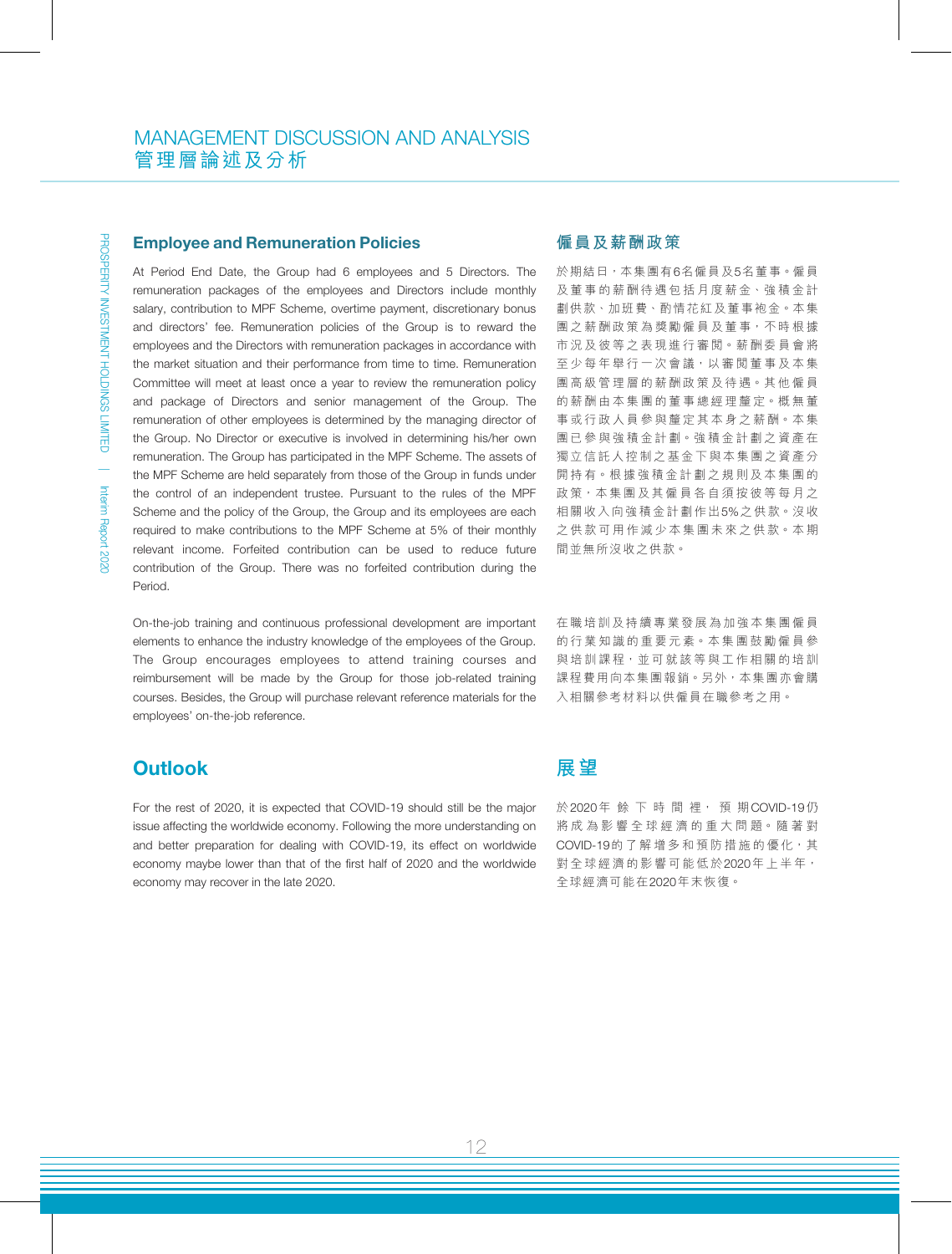#### Employee and Remuneration Policies

At Period End Date, the Group had 6 employees and 5 Directors. The remuneration packages of the employees and Directors include monthly salary, contribution to MPF Scheme, overtime payment, discretionary bonus and directors' fee. Remuneration policies of the Group is to reward the employees and the Directors with remuneration packages in accordance with the market situation and their performance from time to time. Remuneration Committee will meet at least once a year to review the remuneration policy and package of Directors and senior management of the Group. The remuneration of other employees is determined by the managing director of the Group. No Director or executive is involved in determining his/her own remuneration. The Group has participated in the MPF Scheme. The assets of the MPF Scheme are held separately from those of the Group in funds under the control of an independent trustee. Pursuant to the rules of the MPF Scheme and the policy of the Group, the Group and its employees are each required to make contributions to the MPF Scheme at 5% of their monthly relevant income. Forfeited contribution can be used to reduce future contribution of the Group. There was no forfeited contribution during the Period.

On-the-job training and continuous professional development are important elements to enhance the industry knowledge of the employees of the Group. The Group encourages employees to attend training courses and reimbursement will be made by the Group for those job-related training courses. Besides, the Group will purchase relevant reference materials for the employees' on-the-job reference.

### **Outlook**

For the rest of 2020, it is expected that COVID-19 should still be the major issue affecting the worldwide economy. Following the more understanding on and better preparation for dealing with COVID-19, its effect on worldwide economy maybe lower than that of the first half of 2020 and the worldwide economy may recover in the late 2020.

#### **僱員及薪酬政策**

於期結日,本集團有6名僱員及5名董事。僱員 及董事的薪酬待遇包括月度薪金、強積金計 劃供款、加班費、酌情花紅及董事袍金。本集 團之薪酬政策為獎勵僱員及董事,不時根據 市況及彼等之表現進行審閱。薪酬委員會將 至少每年舉行一次會議,以審閱董事及本集 團高級管理層的薪酬政策及待遇。其他僱員 的薪酬由本集團的董事總經理釐定。概無董 事或行政人員參與釐定其本身之薪酬。本集 團已參與強積金計劃。強積金計劃之資產在 獨立信託人控制之基金下與本集團之資產分 開持有。根據強積金計劃之規則及本集團的 政策,本集團及其僱員各自須按彼等每月之 相關收入向強積金計劃作出5%之供款。沒收 之供款可用作減少本集團未來之供款。本期 間並無所沒收之供款。

在職培訓及持續專業發展為加強本集團僱員 的行業知識的重要元素。本集團鼓勵僱員參 與培訓課程,並可就該等與工作相關的培訓 課程費用向本集團報銷。另外,本集團亦會購 入相關參考材料以供僱員在職參考之用。

### **展望**

於2020年餘 下 時 間 裡, 預 期COVID-19仍 將成為影響全球經濟的重大問題。隨著對 COVID-19的了解增多和預防措施的優化,其 對全球經濟的影響可能低於2020年上半年, 全球經濟可能在2020年末恢復。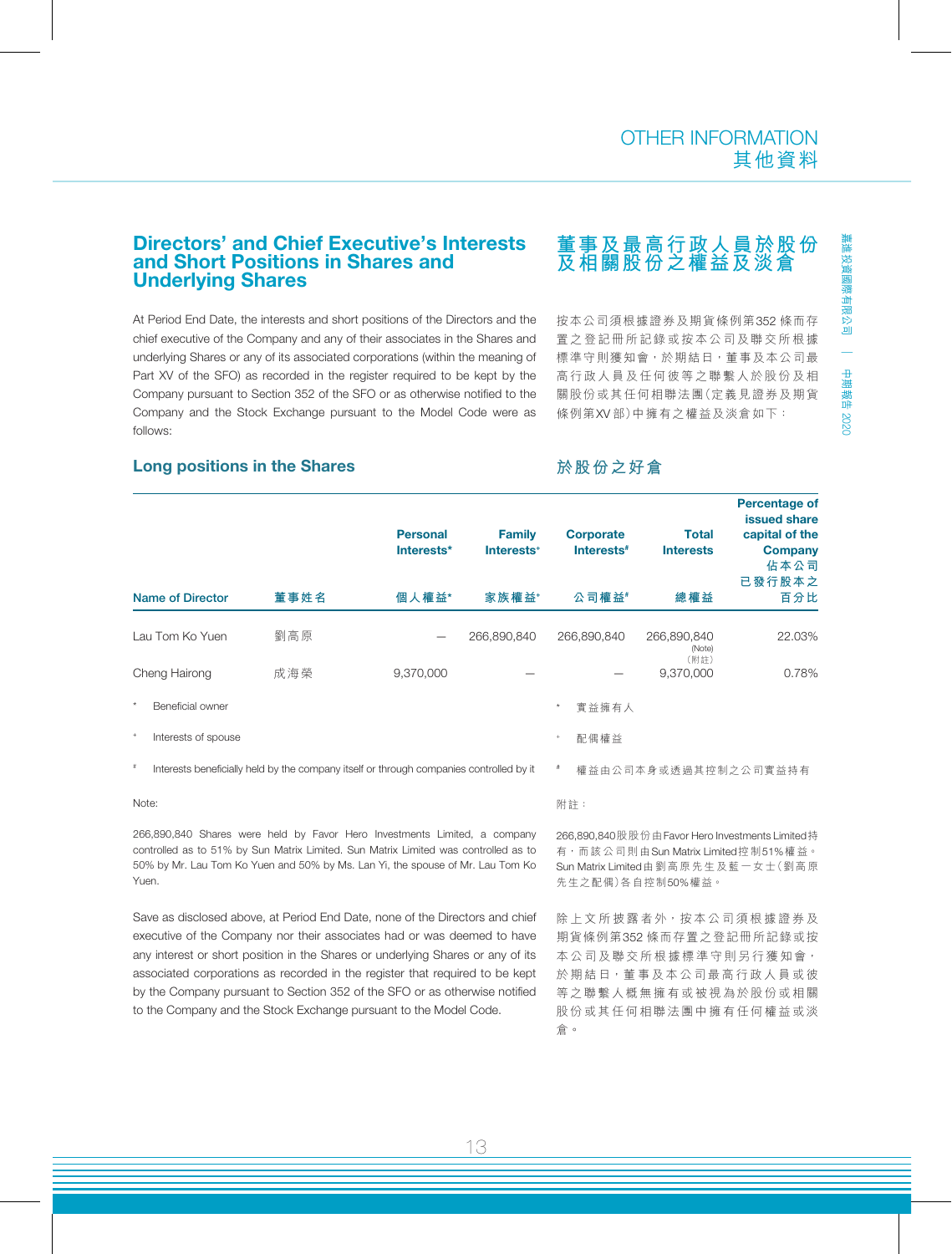中期報告

2020

#### Directors' and Chief Executive's Interests and Short Positions in Shares and Underlying Shares

At Period End Date, the interests and short positions of the Directors and the chief executive of the Company and any of their associates in the Shares and underlying Shares or any of its associated corporations (within the meaning of Part XV of the SFO) as recorded in the register required to be kept by the Company pursuant to Section 352 of the SFO or as otherwise notified to the Company and the Stock Exchange pursuant to the Model Code were as follows:

## **董事及最高行政人員於股份 及相關股份之權益及淡倉**

按本公司須根據證券及期貨條例第352 條而存 置之登記冊所記錄或按本公司及聯交所根據 標準守則獲知會,於期結日,董事及本公司最 高行政人員及任何彼等之聯繫人於股份及相 關股份或其任何相聯法團(定義見證券及期貨 條例第XV 部)中擁有之權益及淡倉如下:

#### Long positions in the Shares

#### **於股份之好倉**

|         |                                                                                         |      | <b>Personal</b><br>Interests* | <b>Family</b><br>Interests <sup>+</sup> | <b>Corporate</b><br>Interests <sup>#</sup> | <b>Total</b><br><b>Interests</b> | <b>Percentage of</b><br>issued share<br>capital of the<br><b>Company</b><br>佔本公司<br>已發行股本之 |
|---------|-----------------------------------------------------------------------------------------|------|-------------------------------|-----------------------------------------|--------------------------------------------|----------------------------------|--------------------------------------------------------------------------------------------|
|         | Name of Director                                                                        | 董事姓名 | 個人權益*                         | 家族權益+                                   | 公司權益#                                      | 總權益                              | 百分比                                                                                        |
|         | Lau Tom Ko Yuen                                                                         | 劉高原  |                               | 266,890,840                             | 266,890,840                                | 266,890,840<br>(Note)<br>(附註)    | 22.03%                                                                                     |
|         | Cheng Hairong                                                                           | 成海榮  | 9,370,000                     |                                         |                                            | 9,370,000                        | 0.78%                                                                                      |
| $\star$ | Beneficial owner                                                                        |      |                               |                                         | 實益擁有人<br>$^{\star}$                        |                                  |                                                                                            |
| $+$     | Interests of spouse                                                                     |      |                               |                                         | 配偶權益<br>$\ddot{}$                          |                                  |                                                                                            |
| $\#$    | Interests beneficially held by the company itself or through companies controlled by it |      |                               |                                         |                                            | 權益由公司本身或透過其控制之公司實益持有             |                                                                                            |

Note:

266,890,840 Shares were held by Favor Hero Investments Limited, a company controlled as to 51% by Sun Matrix Limited. Sun Matrix Limited was controlled as to 50% by Mr. Lau Tom Ko Yuen and 50% by Ms. Lan Yi, the spouse of Mr. Lau Tom Ko Yuen.

Save as disclosed above, at Period End Date, none of the Directors and chief executive of the Company nor their associates had or was deemed to have any interest or short position in the Shares or underlying Shares or any of its associated corporations as recorded in the register that required to be kept by the Company pursuant to Section 352 of the SFO or as otherwise notified to the Company and the Stock Exchange pursuant to the Model Code.

附註:

266,890,840股股份由Favor Hero Investments Limited持 有,而該公司則由Sun Matrix Limited控制51%權益。 Sun Matrix Limited由劉高原先生及藍一女士(劉高原 先生之配偶)各自控制50%權益。

除上文所披露者外,按本公司須根據證券及 期貨條例第352 條而存置之登記冊所記錄或按 本公司及聯交所根據標準守則另行獲知會, 於期結日,董事及本公司最高行政人員或彼 等之聯繫人概無擁有或被視為於股份或相關 股份或其任何相聯法團中擁有任何權益或淡 倉。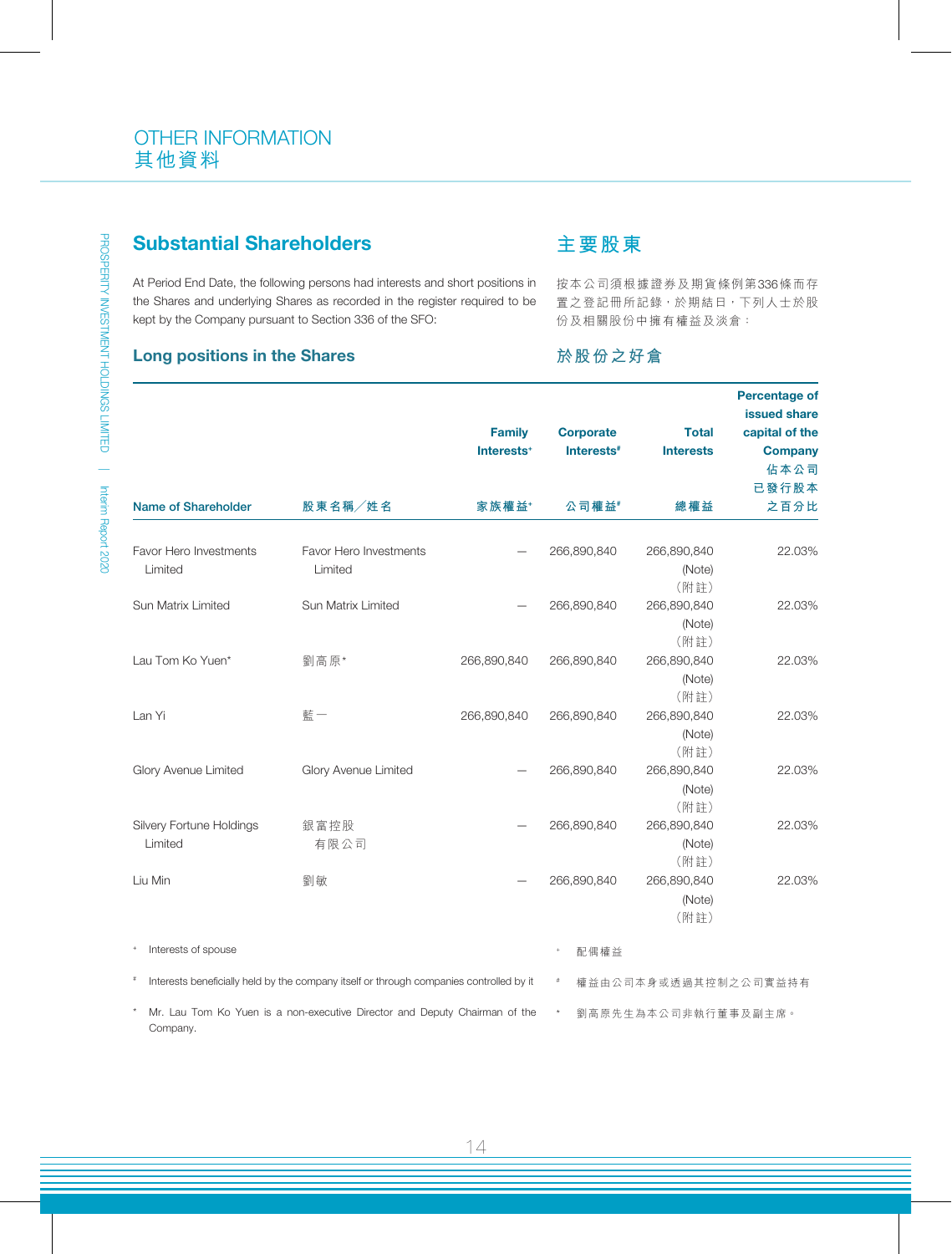# Substantial Shareholders

At Period End Date, the following persons had interests and short positions in the Shares and underlying Shares as recorded in the register required to be kept by the Company pursuant to Section 336 of the SFO:

#### Long positions in the Shares

## **主要股東**

按本公司須根據證券及期貨條例第336條而存 置之登記冊所記錄,於期結日,下列人士於股 份及相關股份中擁有權益及淡倉:

## **於股份之好倉**

|                                                         |                                                                                         |                        |                        |                      | <b>Percentage of</b><br>issued share |
|---------------------------------------------------------|-----------------------------------------------------------------------------------------|------------------------|------------------------|----------------------|--------------------------------------|
|                                                         |                                                                                         | <b>Family</b>          | <b>Corporate</b>       | <b>Total</b>         | capital of the                       |
|                                                         |                                                                                         | Interests <sup>+</sup> | Interests <sup>#</sup> | <b>Interests</b>     | <b>Company</b>                       |
|                                                         |                                                                                         |                        |                        |                      | 佔本公司                                 |
|                                                         |                                                                                         |                        |                        |                      | 已發行股本                                |
| <b>Name of Shareholder</b>                              | 股東名稱/姓名                                                                                 | 家族權益*                  | 公司權益#                  | 總權益                  | 之百分比                                 |
|                                                         |                                                                                         |                        |                        |                      |                                      |
| Favor Hero Investments                                  | Favor Hero Investments                                                                  |                        | 266,890,840            | 266,890,840          | 22.03%                               |
| Limited                                                 | Limited                                                                                 |                        |                        | (Note)               |                                      |
|                                                         |                                                                                         |                        |                        | (附註)                 |                                      |
| Sun Matrix Limited                                      | Sun Matrix Limited                                                                      |                        | 266,890,840            | 266,890,840          | 22.03%                               |
|                                                         |                                                                                         |                        |                        | (Note)               |                                      |
| Lau Tom Ko Yuen*                                        |                                                                                         |                        |                        | (附註)<br>266,890,840  | 22.03%                               |
|                                                         | 劉高原*                                                                                    | 266,890,840            | 266,890,840            |                      |                                      |
|                                                         |                                                                                         |                        |                        | (Note)<br>(附註)       |                                      |
| Lan Yi                                                  | 藍一                                                                                      | 266,890,840            | 266,890,840            | 266,890,840          | 22.03%                               |
|                                                         |                                                                                         |                        |                        | (Note)               |                                      |
|                                                         |                                                                                         |                        |                        | (附註)                 |                                      |
| Glory Avenue Limited                                    | Glory Avenue Limited                                                                    |                        | 266,890,840            | 266,890,840          | 22.03%                               |
|                                                         |                                                                                         |                        |                        | (Note)               |                                      |
|                                                         |                                                                                         |                        |                        | (附註)                 |                                      |
| Silvery Fortune Holdings                                | 銀富控股                                                                                    |                        | 266,890,840            | 266,890,840          | 22.03%                               |
| Limited                                                 | 有限公司                                                                                    |                        |                        | (Note)               |                                      |
|                                                         |                                                                                         |                        |                        | (附註)                 |                                      |
| Liu Min                                                 | 劉敏                                                                                      |                        | 266,890,840            | 266,890,840          | 22.03%                               |
|                                                         |                                                                                         |                        |                        | (Note)               |                                      |
|                                                         |                                                                                         |                        |                        | (附註)                 |                                      |
| $\begin{array}{c} + \end{array}$<br>Interests of spouse |                                                                                         |                        |                        |                      |                                      |
|                                                         |                                                                                         |                        | 配偶權益                   |                      |                                      |
| $\#$                                                    | Interests beneficially held by the company itself or through companies controlled by it |                        | $\#$                   | 權益由公司本身或透過其控制之公司實益持有 |                                      |
| Company.                                                | Mr. Lau Tom Ko Yuen is a non-executive Director and Deputy Chairman of the              |                        | $\star$                | 劉高原先生為本公司非執行董事及副主席。  |                                      |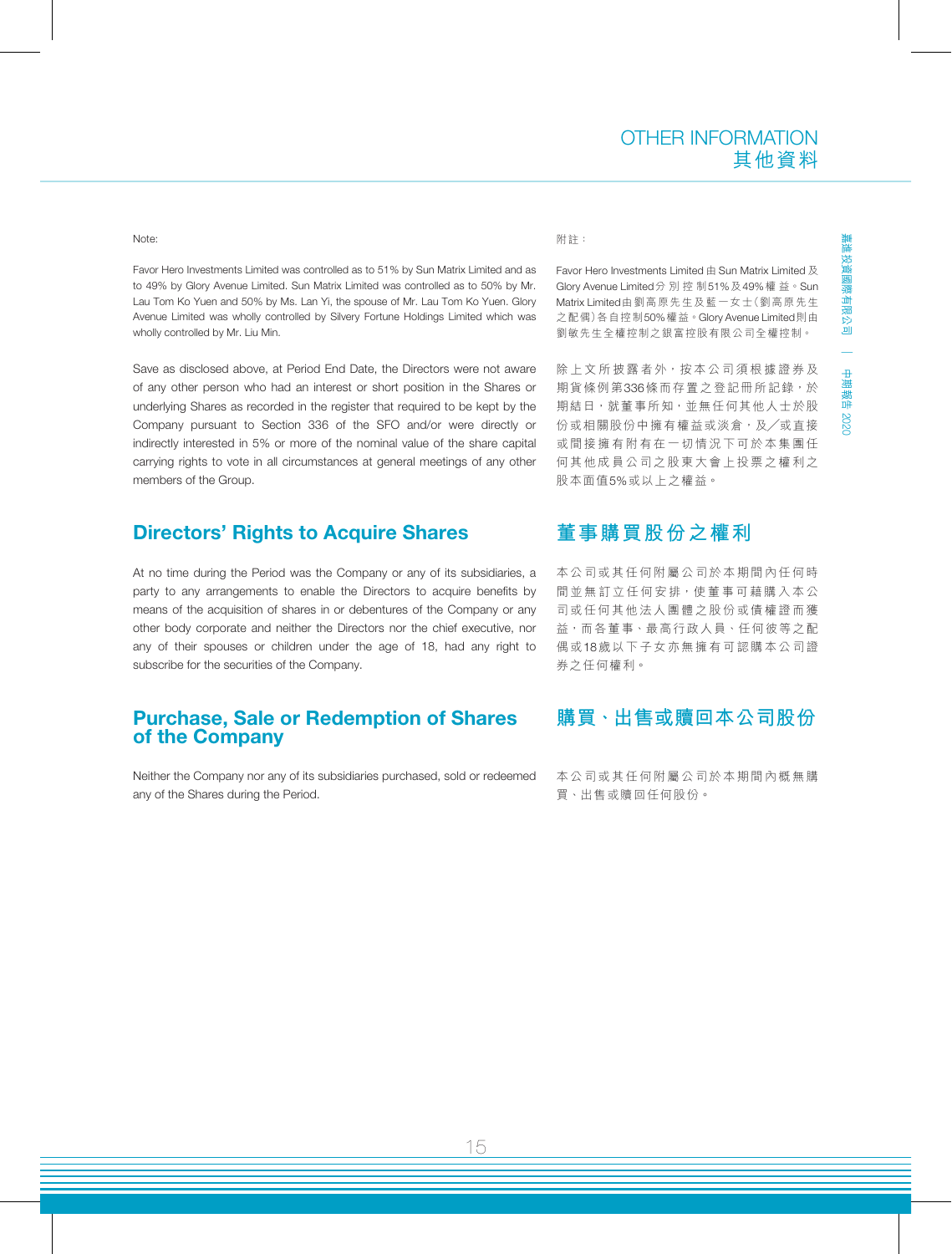#### Note:

Favor Hero Investments Limited was controlled as to 51% by Sun Matrix Limited and as to 49% by Glory Avenue Limited. Sun Matrix Limited was controlled as to 50% by Mr. Lau Tom Ko Yuen and 50% by Ms. Lan Yi, the spouse of Mr. Lau Tom Ko Yuen. Glory Avenue Limited was wholly controlled by Silvery Fortune Holdings Limited which was wholly controlled by Mr. Liu Min.

Save as disclosed above, at Period End Date, the Directors were not aware of any other person who had an interest or short position in the Shares or underlying Shares as recorded in the register that required to be kept by the Company pursuant to Section 336 of the SFO and/or were directly or indirectly interested in 5% or more of the nominal value of the share capital carrying rights to vote in all circumstances at general meetings of any other members of the Group.

### Directors' Rights to Acquire Shares

At no time during the Period was the Company or any of its subsidiaries, a party to any arrangements to enable the Directors to acquire benefits by means of the acquisition of shares in or debentures of the Company or any other body corporate and neither the Directors nor the chief executive, nor any of their spouses or children under the age of 18, had any right to subscribe for the securities of the Company.

#### Purchase, Sale or Redemption of Shares of the Company

Neither the Company nor any of its subsidiaries purchased, sold or redeemed any of the Shares during the Period.

#### 附註:

Favor Hero Investments Limited 由 Sun Matrix Limited 及 Glory Avenue Limited分別控制51%及49%權 益。Sun Matrix Limited由劉高原先生及藍一女士(劉高原先生 之配偶)各自控制50%權益。Glory Avenue Limited則由 劉敏先生全權控制之銀富控股有限公司全權控制。

除上文所披露者外,按本公司須根據證券及 期貨條例第336條而存置之登記冊所記錄,於 期結日, 就董事所知, 並無任何其他人士於股 份或相關股份中擁有權益或淡倉,及╱或直接 或間接擁有附有在一切情況下可於本集團任 何其他成員公司之股東大會上投票之權利之 股本面值5%或以上之權益。

### **董事購買股份之權利**

本公司或其任何附屬公司於本期間內任何時 間並無訂立任何安排,使董事可藉購入本公 司或任何其他法人團體之股份或債權證而獲 益,而各董事、最高行政人員、任何彼等之配 偶或18歲以下子女亦無擁有可認購本公司證 券之任何權利。

### **購買、出售或贖回本公司股份**

本公司或其任何附屬公司於本期間內概無購 買、出售或贖回任何股份。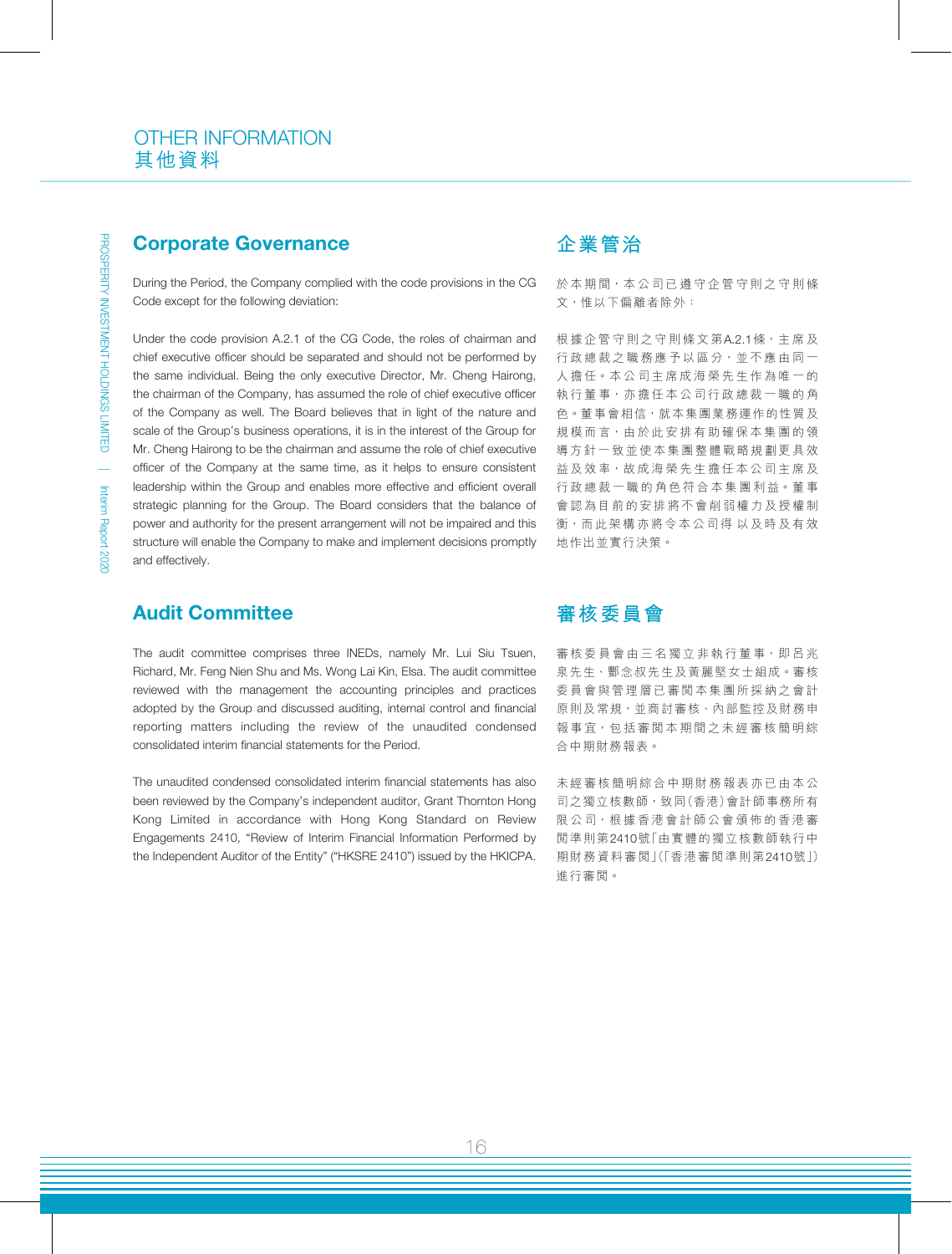#### Corporate Governance

During the Period, the Company complied with the code provisions in the CG Code except for the following deviation:

Under the code provision A.2.1 of the CG Code, the roles of chairman and chief executive officer should be separated and should not be performed by the same individual. Being the only executive Director, Mr. Cheng Hairong, the chairman of the Company, has assumed the role of chief executive officer of the Company as well. The Board believes that in light of the nature and scale of the Group's business operations, it is in the interest of the Group for Mr. Cheng Hairong to be the chairman and assume the role of chief executive officer of the Company at the same time, as it helps to ensure consistent leadership within the Group and enables more effective and efficient overall strategic planning for the Group. The Board considers that the balance of power and authority for the present arrangement will not be impaired and this structure will enable the Company to make and implement decisions promptly and effectively.

### Audit Committee

The audit committee comprises three INEDs, namely Mr. Lui Siu Tsuen, Richard, Mr. Feng Nien Shu and Ms. Wong Lai Kin, Elsa. The audit committee reviewed with the management the accounting principles and practices adopted by the Group and discussed auditing, internal control and financial reporting matters including the review of the unaudited condensed consolidated interim financial statements for the Period.

The unaudited condensed consolidated interim financial statements has also been reviewed by the Company's independent auditor, Grant Thornton Hong Kong Limited in accordance with Hong Kong Standard on Review Engagements 2410, "Review of Interim Financial Information Performed by the Independent Auditor of the Entity" ("HKSRE 2410") issued by the HKICPA.

## **企業管治**

於本期間,本公司已遵守企管守則之守則條 文,惟以下偏離者除外:

根據企管守則之守則條文第A.2.1條,主席及 行政總裁之職務應予以區分,並不應由同一 人擔任。本公司主席成海榮先生作為唯一的 執行董事,亦擔任本公司行政總裁一職的角 色。董事會相信,就本集團業務運作的性質及 規模而言,由於此安排有助確保本集團的領 導方針一致並使本集團整體戰略規劃更具效 益及效率,故成海榮先生擔任本公司主席及 行政總裁一職的角色符合本集團利益。董事 會認為目前的安排將不會削弱權力及授權制 衡,而此架構亦將令本公司得 以及時及有效 地作出並實行決策。

## **審核委員會**

審核委員會由三名獨立非執行董事,即呂兆 泉先生、酆念叔先生及黃麗堅女士組成。審核 委員會與管理層已審閱本集團所採納之會計 原則及常規,並商討審核、內部監控及財務申 報事宜,包括審閱本期間之未經審核簡明綜 合中期財務報表。

未經審核簡明綜合中期財務報表亦已由本公 司之獨立核數師,致同(香港)會計師事務所有 限公司,根據香港會計師公會頒佈的香港審 閱準則第2410號「由實體的獨立核數師執行中 期財務資料審閱」(「香港審閱準則第2410號」) 進行審閱。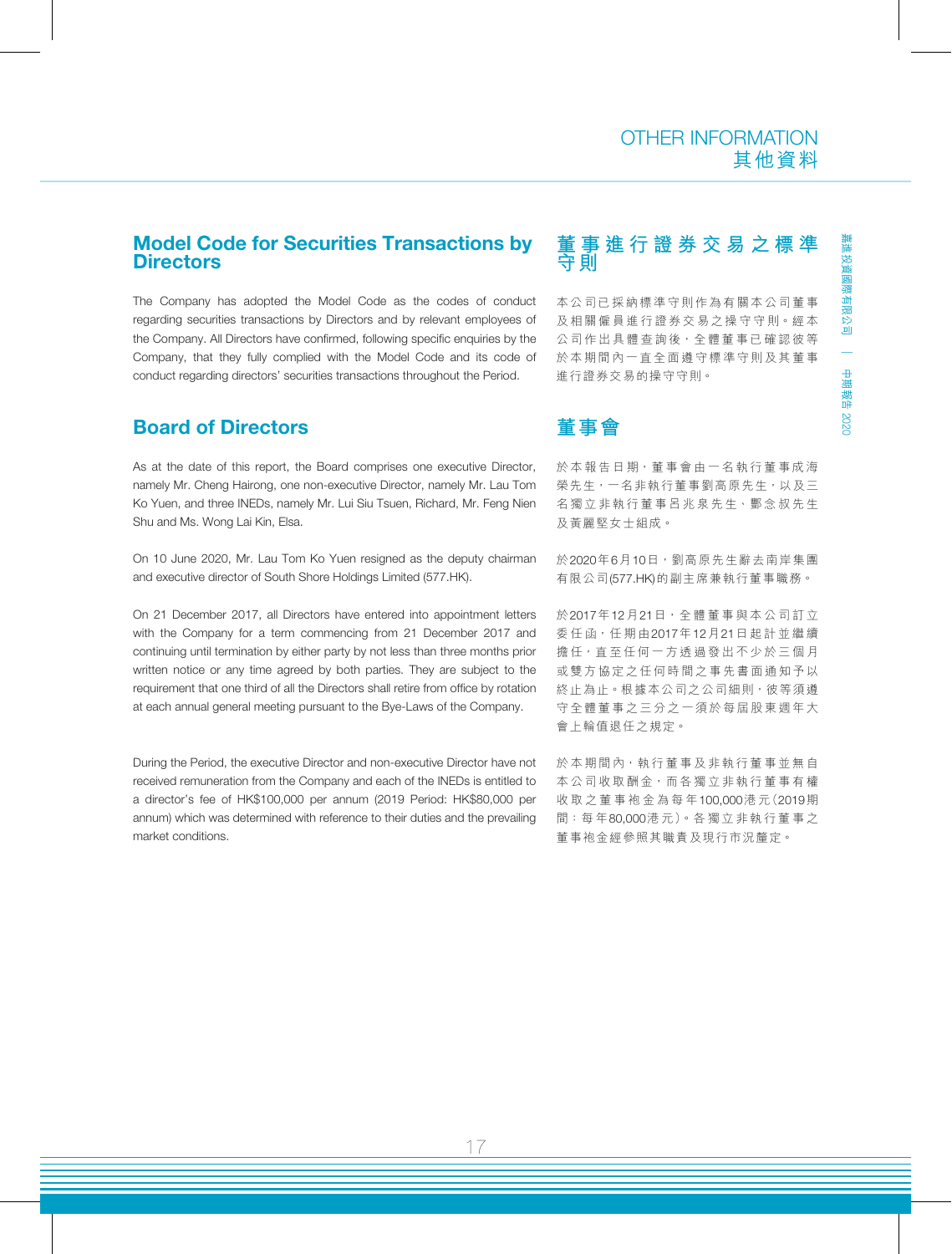### Model Code for Securities Transactions by **Directors**

The Company has adopted the Model Code as the codes of conduct regarding securities transactions by Directors and by relevant employees of the Company. All Directors have confirmed, following specific enquiries by the Company, that they fully complied with the Model Code and its code of conduct regarding directors' securities transactions throughout the Period.

## Board of Directors

As at the date of this report, the Board comprises one executive Director, namely Mr. Cheng Hairong, one non-executive Director, namely Mr. Lau Tom Ko Yuen, and three INEDs, namely Mr. Lui Siu Tsuen, Richard, Mr. Feng Nien Shu and Ms. Wong Lai Kin, Elsa.

On 10 June 2020, Mr. Lau Tom Ko Yuen resigned as the deputy chairman and executive director of South Shore Holdings Limited (577.HK).

On 21 December 2017, all Directors have entered into appointment letters with the Company for a term commencing from 21 December 2017 and continuing until termination by either party by not less than three months prior written notice or any time agreed by both parties. They are subject to the requirement that one third of all the Directors shall retire from office by rotation at each annual general meeting pursuant to the Bye-Laws of the Company.

During the Period, the executive Director and non-executive Director have not received remuneration from the Company and each of the INEDs is entitled to a director's fee of HK\$100,000 per annum (2019 Period: HK\$80,000 per annum) which was determined with reference to their duties and the prevailing market conditions.

## **董事進行證券交易之標準 守則**

本公司已採納標準守則作為有關本公司董事 及相關僱員進行證券交易之操守守則。經本 公司作出具體查詢後,全體董事已確認彼等 於本期間內一直全面遵守標準守則及其董事 進行證券交易的操守守則。

## **董事會**

於本報告日期,董事會由一名執行董事成海 榮先生,一名非執行董事劉高原先生,以及三 名獨立非執行董事呂兆泉先生、酆念叔先生 及黃麗堅女士組成。

於2020年6月10日,劉高原先生辭去南岸集團 有限公司(577.HK)的副主席兼執行董事職務。

於2017年12月21日,全 體 董 事 與 本 公 司 訂 立 委任函,任期由2017年12月21日起計並繼續 擔任,直至任何一方透過發出不少於三個月 或雙方協定之任何時間之事先書面通知予以 終止為止。根據本公司之公司細則,彼等須遵 守全體董事之三分之一須於每屆股東週年大 會上輪值退任之規定。

於本期間內,執行董事及非執行董事並無自 本公司收取酬金,而各獨立非執行董事有權 收取之董事袍金為每年100,000港 元(2019期 間:每 年80,000港 元)。各 獨 立 非 執 行 董 事 之 董事袍金經參照其職責及現行市況釐定。

嘉進投資國際有限公司

中期報告

2020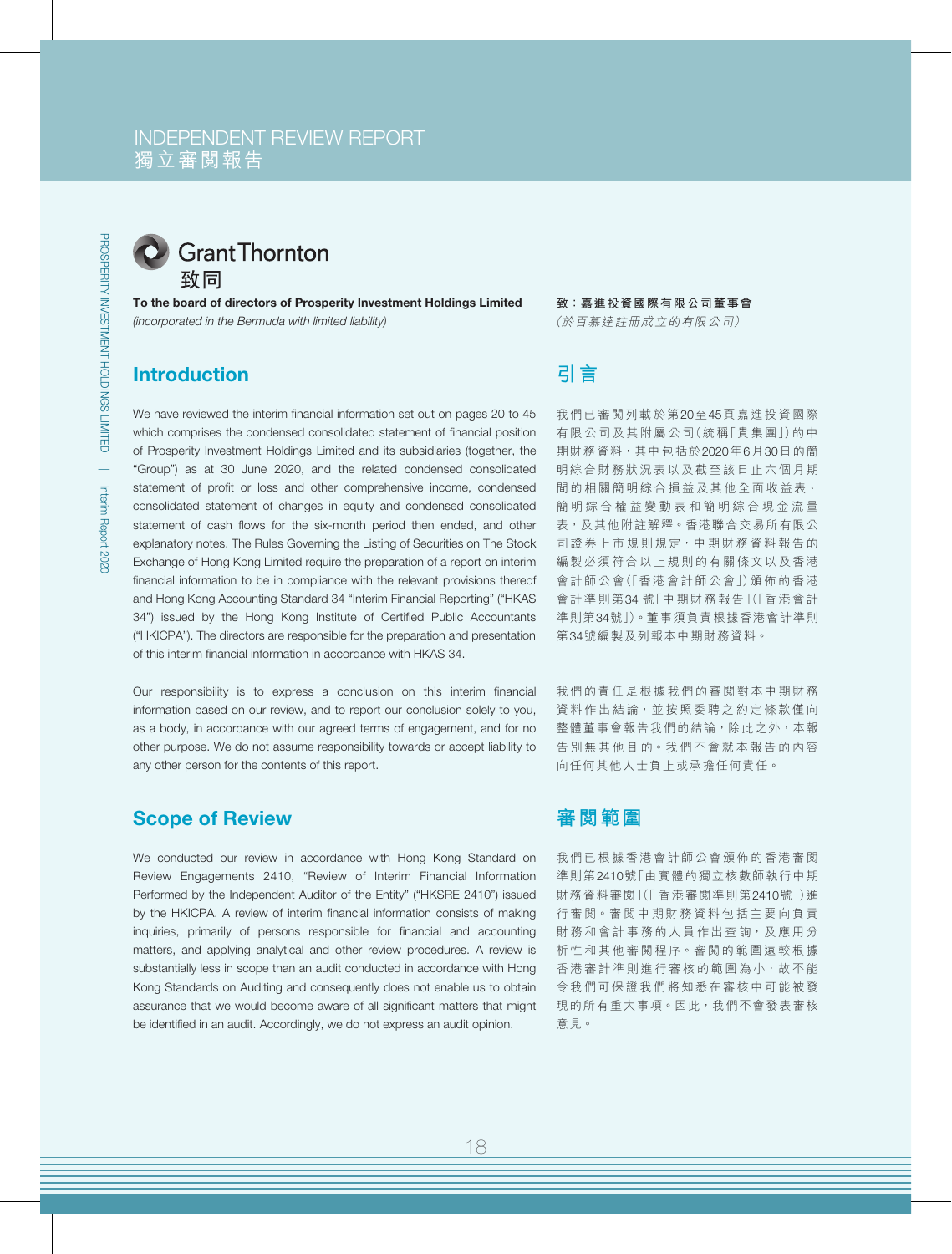## INDEPENDENT REVIEW REPORT 獨立審閱報告



C Grant Thornton 致同

To the board of directors of Prosperity Investment Holdings Limited *(incorporated in the Bermuda with limited liability)*

## Introduction

We have reviewed the interim financial information set out on pages 20 to 45 which comprises the condensed consolidated statement of financial position of Prosperity Investment Holdings Limited and its subsidiaries (together, the "Group") as at 30 June 2020, and the related condensed consolidated statement of profit or loss and other comprehensive income, condensed consolidated statement of changes in equity and condensed consolidated statement of cash flows for the six-month period then ended, and other explanatory notes. The Rules Governing the Listing of Securities on The Stock Exchange of Hong Kong Limited require the preparation of a report on interim financial information to be in compliance with the relevant provisions thereof and Hong Kong Accounting Standard 34 "Interim Financial Reporting" ("HKAS 34") issued by the Hong Kong Institute of Certified Public Accountants ("HKICPA"). The directors are responsible for the preparation and presentation of this interim financial information in accordance with HKAS 34.

Our responsibility is to express a conclusion on this interim financial information based on our review, and to report our conclusion solely to you, as a body, in accordance with our agreed terms of engagement, and for no other purpose. We do not assume responsibility towards or accept liability to any other person for the contents of this report.

## Scope of Review

We conducted our review in accordance with Hong Kong Standard on Review Engagements 2410, "Review of Interim Financial Information Performed by the Independent Auditor of the Entity" ("HKSRE 2410") issued by the HKICPA. A review of interim financial information consists of making inquiries, primarily of persons responsible for financial and accounting matters, and applying analytical and other review procedures. A review is substantially less in scope than an audit conducted in accordance with Hong Kong Standards on Auditing and consequently does not enable us to obtain assurance that we would become aware of all significant matters that might be identified in an audit. Accordingly, we do not express an audit opinion.

#### **致:嘉進投資國際有限公司董事會**

(於百慕達註冊成立的有限公司)

# **引言**

我們已審閱列載於第20至45頁嘉進投資國際 有限公司及其附屬公司(統稱「貴集團」)的中 期財務資料, 其中包括於2020年6月30日的簡 明綜合財務狀況表以及截至該日止六個月期 間的相關簡明綜合損益及其他全面收益表、 簡明綜合權益變動表和簡明綜合現金流量 表,及其他附註解釋。香港聯合交易所有限公 司證券上市規則規定,中期財務資料報告的 编製必須符合以上規則的有關條文以及香港 會計師公會(「香港會計師公會」)頒佈的香港 會計準則第34 號「中期財務報告」(「香港會計 準則第34號」)。董事須負責根據香港會計準則 第34號編製及列報本中期財務資料。

我們的責任是根據我們的審閱對本中期財務 資料作出結論,並按照委聘之約定條款僅向 整體董事會報告我們的結論,除此之外,本報 告別無其他目的。我們不會就本報告的內容 向任何其他人士負上或承擔任何責任。

#### **審閱範圍**

我們已根據香港會計師公會頒佈的香港審閱 準則第2410號「由實體的獨立核數師執行中期 財務資料審閱」(「 香港審閱準則第2410號」)進 行審閱。審閱中期財務資料包括主要向負責 財務和會計事務的人員作出查詢,及應用分 析性和其他審閱程序。審閱的範圍遠較根據 香港審計準則進行審核的範圍為小,故不能 令我們可保證我們將知悉在審核中可能被發 現的所有重大事項。因此,我們不會發表審核 意見。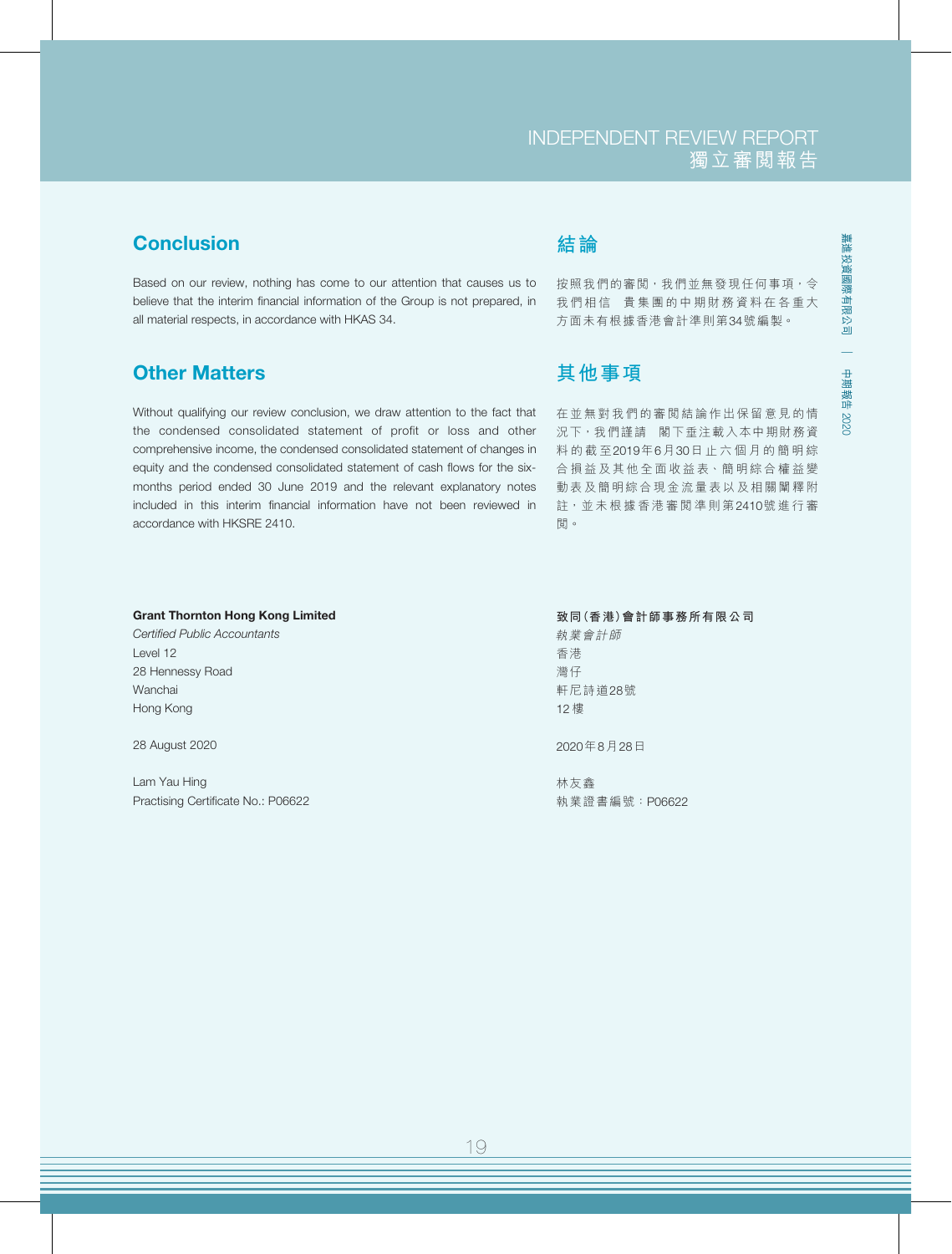## **Conclusion**

Based on our review, nothing has come to our attention that causes us to believe that the interim financial information of the Group is not prepared, in all material respects, in accordance with HKAS 34.

## Other Matters

Without qualifying our review conclusion, we draw attention to the fact that the condensed consolidated statement of profit or loss and other comprehensive income, the condensed consolidated statement of changes in equity and the condensed consolidated statement of cash flows for the sixmonths period ended 30 June 2019 and the relevant explanatory notes included in this interim financial information have not been reviewed in accordance with HKSRE 2410.

# **結論**

按照我們的審閲,我們並無發現任何事項,令 我們相信 貴集團的中期財務資料在各重大 方面未有根據香港會計準則第34號編製。

嘉進投資國際有限公司

嘉進投資國際有限公司

|

中期報告

2020

# **其他事項**

在並無對我們的審閱結論作出保留意見的情 況下, 我們謹請 閣下垂注載入本中期財務資 料的截至2019年6月30日止六個月的簡明綜 合損益及其他全面收益表、簡明綜合權益變 動表及簡明綜合現金流量表以及相關闡釋附 註,並未根據香港審閱準則第2410號進行審 閱。

#### Grant Thornton Hong Kong Limited

*Certified Public Accountants* Level 12 28 Hennessy Road Wanchai Hong Kong

28 August 2020

Lam Yau Hing Practising Certificate No.: P06622

#### **致同(香港)會計師事務所有限公司** 執業會計師 香港

灣仔 軒尼詩道28號 12 樓

2020年8月28日

林友鑫 執業證書編號:P06622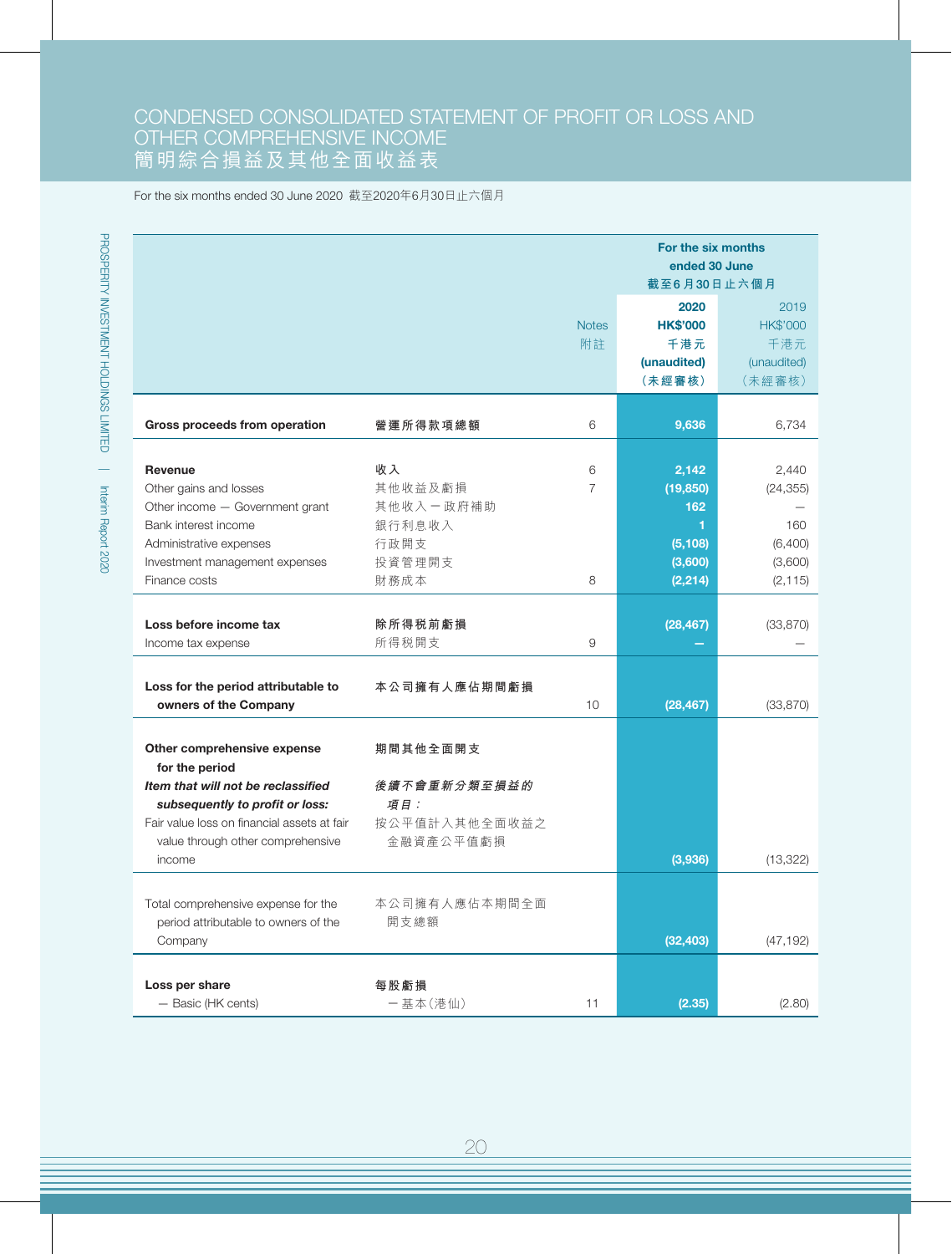## CONDENSED CONSOLIDATED STATEMENT OF PROFIT OR LOSS AND OTHER COMPREHENSIVE INCOME 簡明綜合損益及其他全面收益表

For the six months ended 30 June 2020 截至2020年6月30日止六個月

|                                                                                                                                                                                                                      |                                                                |                    | For the six months<br>ended 30 June<br>截至6月30日止六個月                |                                                             |
|----------------------------------------------------------------------------------------------------------------------------------------------------------------------------------------------------------------------|----------------------------------------------------------------|--------------------|-------------------------------------------------------------------|-------------------------------------------------------------|
|                                                                                                                                                                                                                      |                                                                | <b>Notes</b><br>附註 | 2020<br><b>HK\$'000</b><br>千港元<br>(unaudited)<br>(未經審核)           | 2019<br><b>HK\$'000</b><br>千港元<br>(unaudited)<br>(未經審核)     |
| Gross proceeds from operation                                                                                                                                                                                        | 營運所得款項總額                                                       | 6                  | 9,636                                                             | 6,734                                                       |
| Revenue<br>Other gains and losses<br>Other income - Government grant<br>Bank interest income<br>Administrative expenses<br>Investment management expenses<br>Finance costs                                           | 收入<br>其他收益及虧損<br>其他收入一政府補助<br>銀行利息收入<br>行政開支<br>投資管理開支<br>財務成本 | 6<br>7<br>8        | 2,142<br>(19, 850)<br>162<br>1<br>(5, 108)<br>(3,600)<br>(2, 214) | 2,440<br>(24, 355)<br>160<br>(6,400)<br>(3,600)<br>(2, 115) |
| Loss before income tax<br>Income tax expense                                                                                                                                                                         | 除所得税前虧損<br>所得税開支                                               | 9                  | (28, 467)                                                         | (33, 870)                                                   |
| Loss for the period attributable to<br>owners of the Company                                                                                                                                                         | 本公司擁有人應佔期間虧損                                                   | 10                 | (28, 467)                                                         | (33, 870)                                                   |
| Other comprehensive expense<br>for the period<br>Item that will not be reclassified<br>subsequently to profit or loss:<br>Fair value loss on financial assets at fair<br>value through other comprehensive<br>income | 期間其他全面開支<br>後續不會重新分類至損益的<br>項目:<br>按公平值計入其他全面收益之<br>金融資產公平值虧損  |                    | (3,936)                                                           | (13, 322)                                                   |
| Total comprehensive expense for the<br>period attributable to owners of the<br>Company                                                                                                                               | 本公司擁有人應佔本期間全面<br>開支總額                                          |                    | (32, 403)                                                         | (47, 192)                                                   |
| Loss per share<br>- Basic (HK cents)                                                                                                                                                                                 | 每股虧損<br>一基本(港仙)                                                | 11                 | (2.35)                                                            | (2.80)                                                      |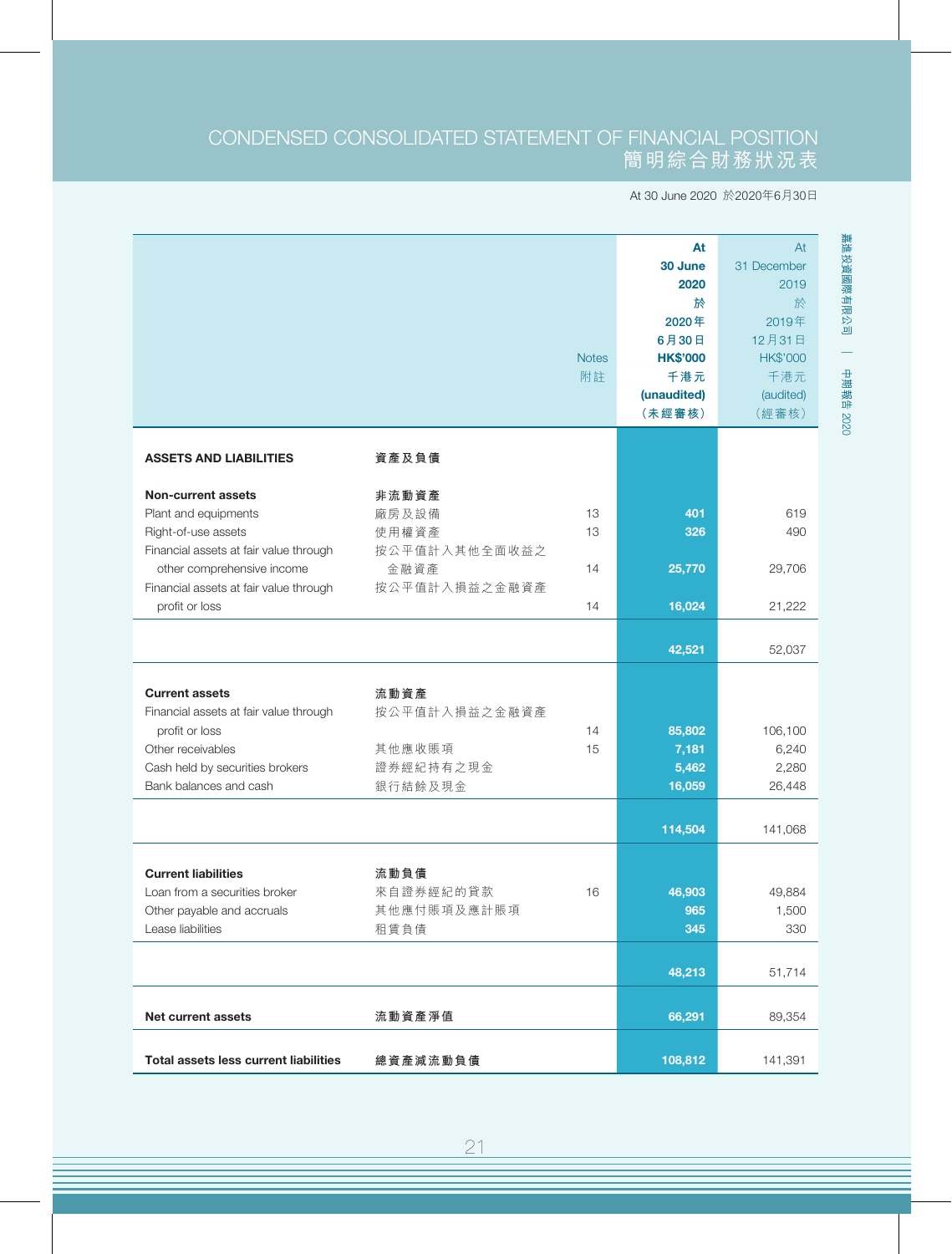## CONDENSED CONSOLIDATED STATEMENT OF FINANCIAL POSITION 簡明綜合財務狀況表

At 30 June 2020 於2020年6月30日

|                                              |               |              | At              | At              |
|----------------------------------------------|---------------|--------------|-----------------|-----------------|
|                                              |               |              | 30 June         | 31 December     |
|                                              |               |              | 2020            | 2019            |
|                                              |               |              | 於               | 於               |
|                                              |               |              | 2020年           | 2019年           |
|                                              |               |              | 6月30日           | 12月31日          |
|                                              |               | <b>Notes</b> | <b>HK\$'000</b> | <b>HK\$'000</b> |
|                                              |               | 附註           | 千港元             | 千港元             |
|                                              |               |              | (unaudited)     | (audited)       |
|                                              |               |              | (未經審核)          | (經審核)           |
|                                              |               |              |                 |                 |
| <b>ASSETS AND LIABILITIES</b>                | 資產及負債         |              |                 |                 |
|                                              |               |              |                 |                 |
| <b>Non-current assets</b>                    | 非流動資產         |              |                 |                 |
| Plant and equipments                         | 廠房及設備         | 13           | 401             | 619             |
| Right-of-use assets                          | 使用權資產         | 13           | 326             | 490             |
| Financial assets at fair value through       | 按公平值計入其他全面收益之 |              |                 |                 |
| other comprehensive income                   | 金融資產          | 14           | 25,770          | 29,706          |
| Financial assets at fair value through       | 按公平值計入損益之金融資產 |              |                 |                 |
| profit or loss                               |               | 14           | 16,024          | 21,222          |
|                                              |               |              |                 |                 |
|                                              |               |              | 42,521          | 52,037          |
|                                              |               |              |                 |                 |
| <b>Current assets</b>                        | 流動資產          |              |                 |                 |
| Financial assets at fair value through       | 按公平值計入損益之金融資產 |              |                 |                 |
| profit or loss                               |               | 14           | 85,802          | 106,100         |
| Other receivables                            | 其他應收賬項        | 15           | 7,181           | 6,240           |
| Cash held by securities brokers              | 證券經紀持有之現金     |              | 5,462           | 2,280           |
| Bank balances and cash                       | 銀行結餘及現金       |              | 16,059          | 26,448          |
|                                              |               |              |                 |                 |
|                                              |               |              | 114,504         | 141,068         |
|                                              |               |              |                 |                 |
| <b>Current liabilities</b>                   | 流動負債          |              |                 |                 |
| Loan from a securities broker                | 來自證券經紀的貸款     | 16           | 46,903          | 49,884          |
| Other payable and accruals                   | 其他應付賬項及應計賬項   |              | 965             | 1,500           |
| Lease liabilities                            | 租賃負債          |              | 345             | 330             |
|                                              |               |              |                 |                 |
|                                              |               |              | 48,213          | 51,714          |
|                                              |               |              |                 |                 |
| <b>Net current assets</b>                    | 流動資產淨值        |              | 66,291          | 89,354          |
|                                              |               |              |                 |                 |
| <b>Total assets less current liabilities</b> | 總資產減流動負債      |              | 108,812         | 141,391         |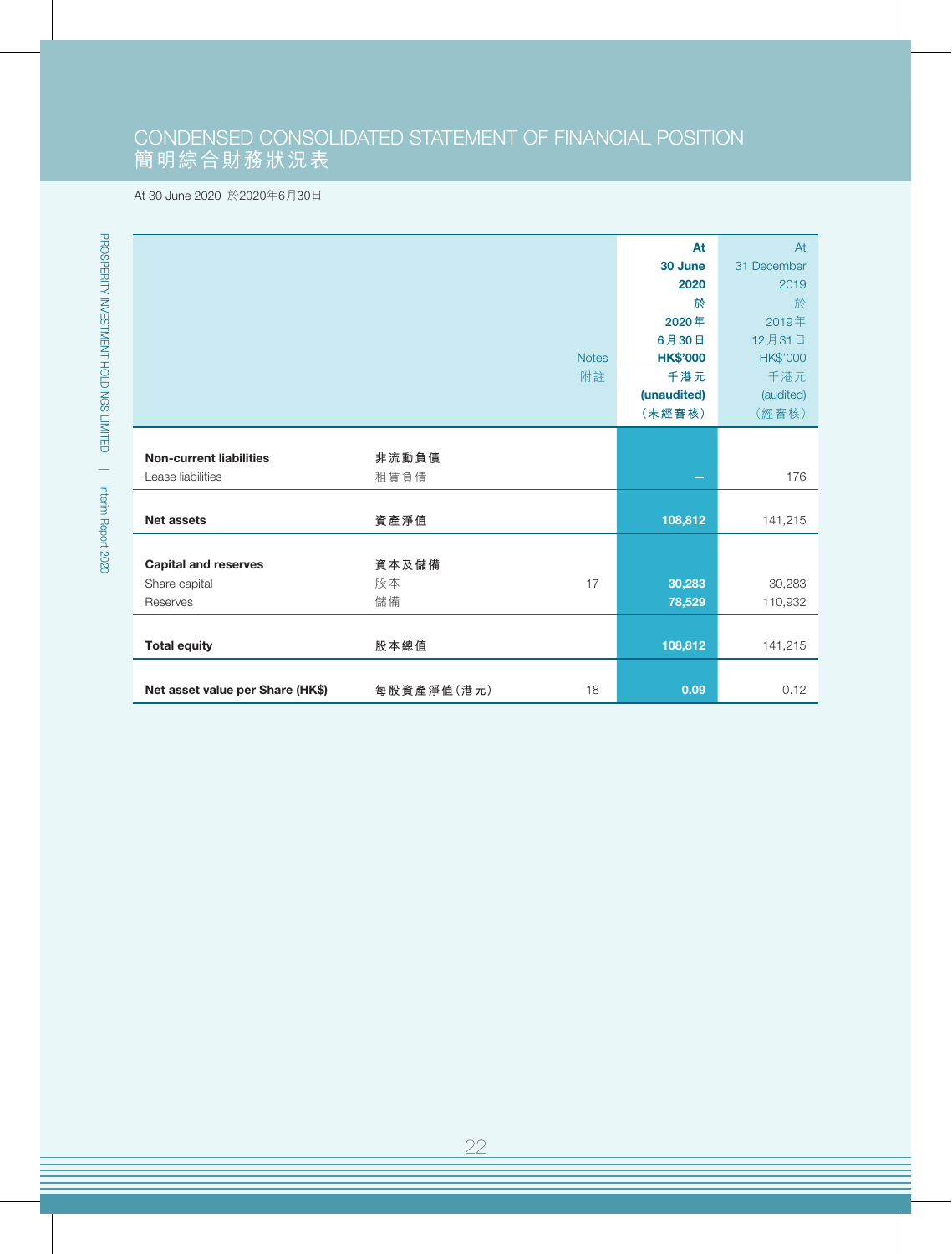# CONDENSED CONSOLIDATED STATEMENT OF FINANCIAL POSITION 簡明綜合財務狀況表

#### At 30 June 2020 於2020年6月30日

|                                  |            |              | At              | At              |
|----------------------------------|------------|--------------|-----------------|-----------------|
|                                  |            |              | 30 June         | 31 December     |
|                                  |            |              | 2020            | 2019            |
|                                  |            |              | 於               | 於               |
|                                  |            |              | 2020年           | 2019年           |
|                                  |            |              | 6月30日           | 12月31日          |
|                                  |            | <b>Notes</b> | <b>HK\$'000</b> | <b>HK\$'000</b> |
|                                  |            | 附註           | 千港元             | 千港元             |
|                                  |            |              | (unaudited)     | (audited)       |
|                                  |            |              | (未經審核)          | (經審核)           |
|                                  |            |              |                 |                 |
| <b>Non-current liabilities</b>   | 非流動負債      |              |                 |                 |
| Lease liabilities                | 租賃負債       |              | -               | 176             |
|                                  |            |              |                 |                 |
| <b>Net assets</b>                | 資產淨值       |              | 108,812         | 141,215         |
|                                  |            |              |                 |                 |
| <b>Capital and reserves</b>      | 資本及儲備      |              |                 |                 |
| Share capital                    | 股本         | 17           | 30,283          | 30,283          |
| Reserves                         | 儲備         |              | 78,529          | 110,932         |
|                                  |            |              |                 |                 |
| <b>Total equity</b>              | 股本總值       |              | 108,812         | 141,215         |
|                                  |            |              |                 |                 |
| Net asset value per Share (HK\$) | 每股資產淨值(港元) | 18           | 0.09            | 0.12            |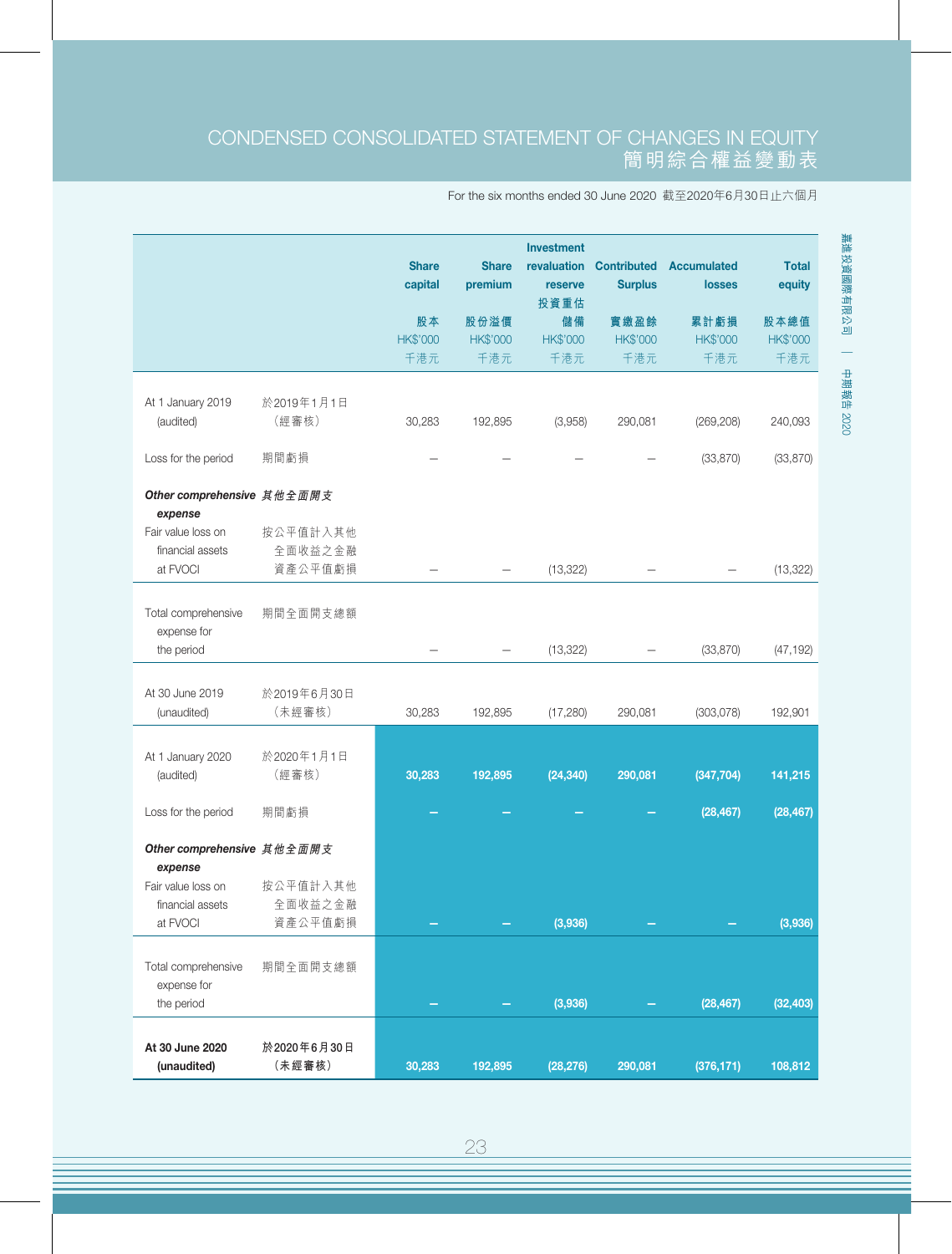## CONDENSED CONSOLIDATED STATEMENT OF CHANGES IN EQUITY 簡明綜合權益變動表

#### For the six months ended 30 June 2020 截至2020年6月30日止六個月

|                                        |                     | <b>Share</b><br>capital | <b>Share</b><br>premium | <b>Investment</b><br>revaluation<br>reserve<br>投資重估 | <b>Contributed</b><br><b>Surplus</b> | <b>Accumulated</b><br><b>losses</b> | <b>Total</b><br>equity |
|----------------------------------------|---------------------|-------------------------|-------------------------|-----------------------------------------------------|--------------------------------------|-------------------------------------|------------------------|
|                                        |                     | 股本                      | 股份溢價                    | 儲備                                                  | 實繳盈餘                                 | 累計虧損                                | 股本總值                   |
|                                        |                     | <b>HK\$'000</b>         | <b>HK\$'000</b>         | HK\$'000                                            | HK\$'000                             | <b>HK\$'000</b>                     | HK\$'000               |
|                                        |                     | 千港元                     | 千港元                     | 千港元                                                 | 千港元                                  | 千港元                                 | 千港元                    |
|                                        | 於2019年1月1日          |                         |                         |                                                     |                                      |                                     |                        |
| At 1 January 2019<br>(audited)         | (經審核)               | 30,283                  | 192,895                 | (3,958)                                             | 290,081                              | (269, 208)                          | 240,093                |
|                                        |                     |                         |                         |                                                     |                                      |                                     |                        |
| Loss for the period                    | 期間虧損                |                         |                         |                                                     |                                      | (33, 870)                           | (33, 870)              |
| Other comprehensive 其他全面開支             |                     |                         |                         |                                                     |                                      |                                     |                        |
| expense<br>Fair value loss on          | 按公平值計入其他            |                         |                         |                                                     |                                      |                                     |                        |
| financial assets                       | 全面收益之金融             |                         |                         |                                                     |                                      |                                     |                        |
| at FVOCI                               | 資產公平值虧損             |                         |                         | (13, 322)                                           |                                      |                                     | (13, 322)              |
| Total comprehensive<br>expense for     | 期間全面開支總額            |                         |                         |                                                     |                                      |                                     |                        |
| the period                             |                     |                         |                         | (13, 322)                                           |                                      | (33, 870)                           | (47, 192)              |
|                                        |                     |                         |                         |                                                     |                                      |                                     |                        |
| At 30 June 2019                        | 於2019年6月30日         |                         |                         |                                                     |                                      |                                     |                        |
| (unaudited)                            | (未經審核)              | 30,283                  | 192,895                 | (17, 280)                                           | 290,081                              | (303,078)                           | 192,901                |
| At 1 January 2020                      | 於2020年1月1日          |                         |                         |                                                     |                                      |                                     |                        |
| (audited)                              | (經審核)               | 30,283                  | 192,895                 | (24, 340)                                           | 290,081                              | (347, 704)                          | 141,215                |
|                                        |                     |                         |                         |                                                     |                                      |                                     |                        |
| Loss for the period                    | 期間虧損                |                         |                         |                                                     |                                      | (28, 467)                           | (28, 467)              |
| Other comprehensive 其他全面開支             |                     |                         |                         |                                                     |                                      |                                     |                        |
| expense                                |                     |                         |                         |                                                     |                                      |                                     |                        |
| Fair value loss on<br>financial assets | 按公平值計入其他<br>全面收益之金融 |                         |                         |                                                     |                                      |                                     |                        |
| at FVOCI                               | 資產公平值虧損             |                         |                         | (3,936)                                             |                                      |                                     | (3,936)                |
|                                        |                     |                         |                         |                                                     |                                      |                                     |                        |
| Total comprehensive                    | 期間全面開支總額            |                         |                         |                                                     |                                      |                                     |                        |
| expense for                            |                     |                         |                         |                                                     |                                      |                                     |                        |
| the period                             |                     |                         |                         | (3,936)                                             |                                      | (28, 467)                           | (32, 403)              |
| At 30 June 2020                        | 於2020年6月30日         |                         |                         |                                                     |                                      |                                     |                        |
| (unaudited)                            | (未經審核)              | 30,283                  | 192,895                 | (28, 276)                                           | 290,081                              | (376, 171)                          | 108,812                |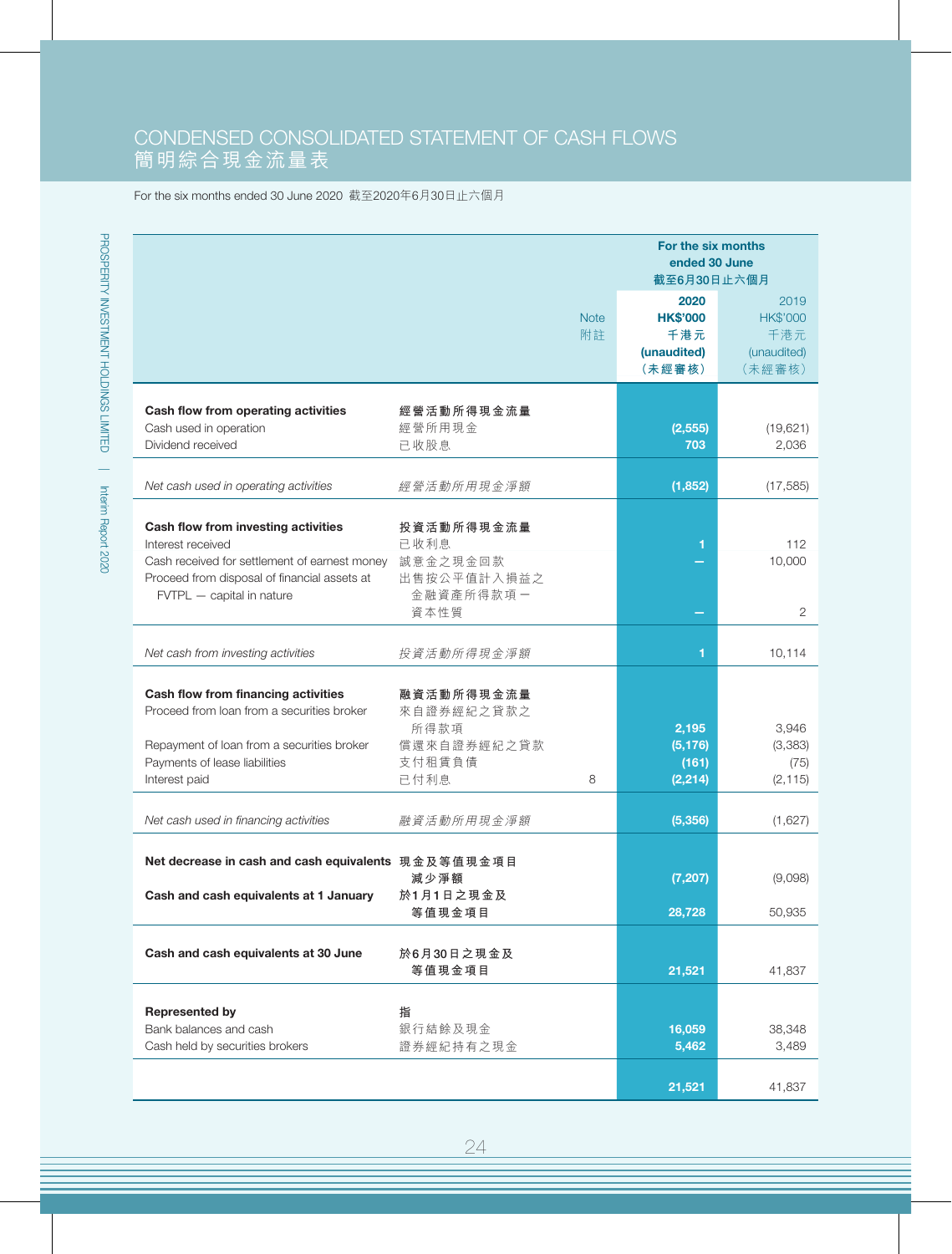## CONDENSED CONSOLIDATED STATEMENT OF CASH FLOWS 簡明綜合現金流量表

#### For the six months ended 30 June 2020 截至2020年6月30日止六個月

|                                                     |             | For the six months |                 |
|-----------------------------------------------------|-------------|--------------------|-----------------|
|                                                     |             | ended 30 June      |                 |
|                                                     |             | 截至6月30日止六個月        |                 |
|                                                     |             | 2020               | 2019            |
|                                                     | <b>Note</b> | <b>HK\$'000</b>    | <b>HK\$'000</b> |
|                                                     | 附註          |                    |                 |
|                                                     |             | 千港元                | 千港元             |
|                                                     |             | (unaudited)        | (unaudited)     |
|                                                     |             | (未經審核)             | (未經審核)          |
|                                                     |             |                    |                 |
| Cash flow from operating activities                 | 經營活動所得現金流量  |                    |                 |
| Cash used in operation                              | 經營所用現金      | (2, 555)           | (19,621)        |
| Dividend received                                   | 已收股息        | 703                | 2,036           |
|                                                     |             |                    |                 |
| Net cash used in operating activities               | 經營活動所用現金淨額  | (1,852)            | (17, 585)       |
|                                                     |             |                    |                 |
|                                                     |             |                    |                 |
| Cash flow from investing activities                 | 投資活動所得現金流量  |                    |                 |
| Interest received                                   | 已收利息        | 1                  | 112             |
| Cash received for settlement of earnest money       | 誠意金之現金回款    |                    | 10,000          |
| Proceed from disposal of financial assets at        | 出售按公平值計入損益之 |                    |                 |
| FVTPL - capital in nature                           | 金融資產所得款項一   |                    |                 |
|                                                     | 資本性質        |                    | 2               |
|                                                     |             |                    |                 |
| Net cash from investing activities                  | 投資活動所得現金淨額  | 1                  | 10,114          |
|                                                     |             |                    |                 |
| Cash flow from financing activities                 | 融資活動所得現金流量  |                    |                 |
| Proceed from loan from a securities broker          | 來自證券經紀之貸款之  |                    |                 |
|                                                     | 所得款項        | 2,195              | 3,946           |
| Repayment of loan from a securities broker          | 償還來自證券經紀之貸款 | (5, 176)           | (3,383)         |
| Payments of lease liabilities                       | 支付租賃負債      | (161)              | (75)            |
| Interest paid                                       | 已付利息<br>8   | (2, 214)           | (2, 115)        |
|                                                     |             |                    |                 |
| Net cash used in financing activities               | 融資活動所用現金淨額  | (5, 356)           | (1,627)         |
|                                                     |             |                    |                 |
|                                                     |             |                    |                 |
| Net decrease in cash and cash equivalents 現金及等值現金項目 |             |                    |                 |
|                                                     | 減少淨額        | (7, 207)           | (9,098)         |
| Cash and cash equivalents at 1 January              | 於1月1日之現金及   |                    |                 |
|                                                     | 等值現金項目      | 28,728             | 50,935          |
|                                                     |             |                    |                 |
| Cash and cash equivalents at 30 June                | 於6月30日之現金及  |                    |                 |
|                                                     | 等值現金項目      | 21,521             | 41,837          |
|                                                     |             |                    |                 |
| <b>Represented by</b>                               | 指           |                    |                 |
| Bank balances and cash                              | 銀行結餘及現金     | 16,059             | 38,348          |
| Cash held by securities brokers                     | 證券經紀持有之現金   | 5,462              | 3,489           |
|                                                     |             |                    |                 |
|                                                     |             | 21,521             | 41,837          |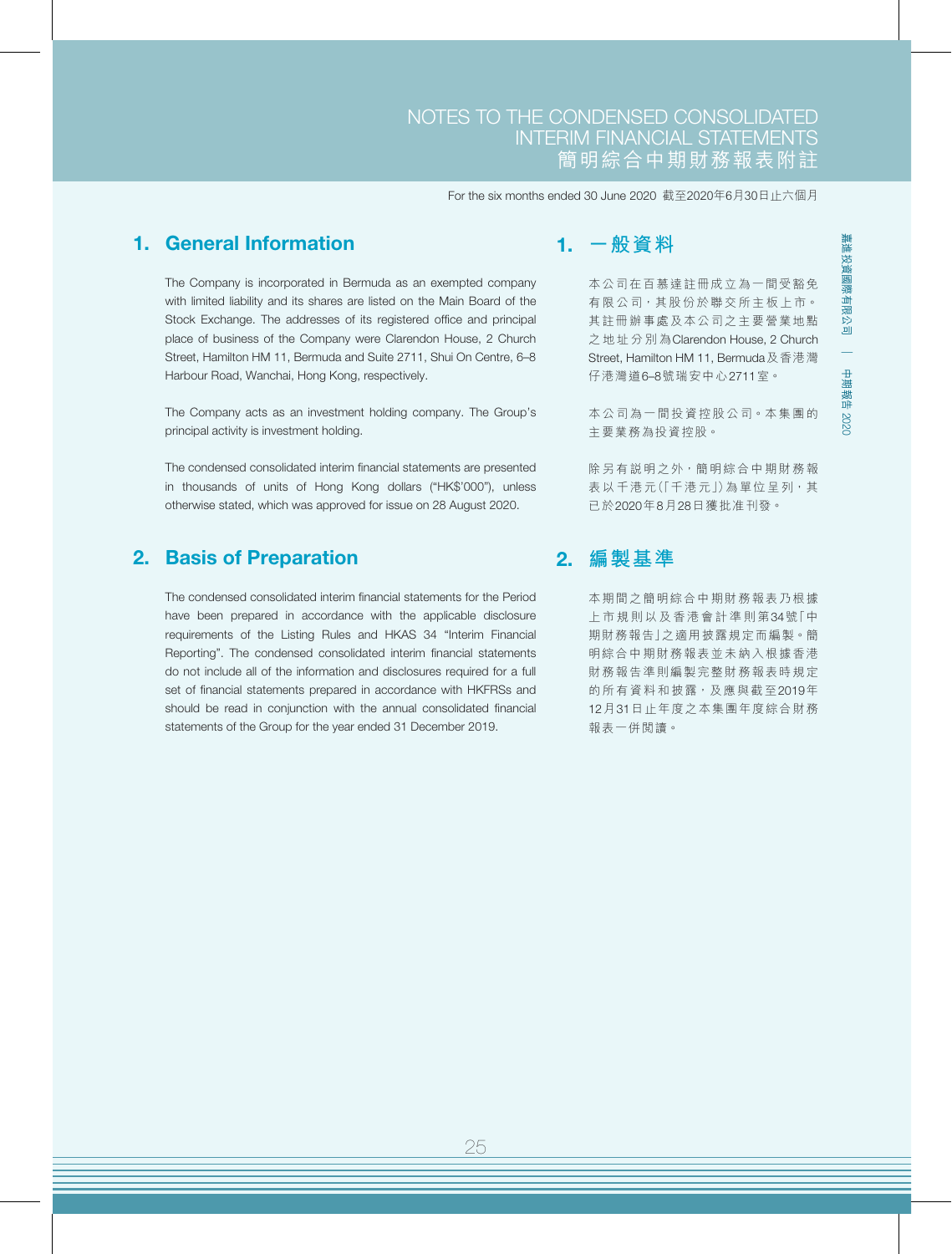### 1. General Information

The Company is incorporated in Bermuda as an exempted company with limited liability and its shares are listed on the Main Board of the Stock Exchange. The addresses of its registered office and principal place of business of the Company were Clarendon House, 2 Church Street, Hamilton HM 11, Bermuda and Suite 2711, Shui On Centre, 6–8 Harbour Road, Wanchai, Hong Kong, respectively.

The Company acts as an investment holding company. The Group's principal activity is investment holding.

The condensed consolidated interim financial statements are presented in thousands of units of Hong Kong dollars ("HK\$'000"), unless otherwise stated, which was approved for issue on 28 August 2020.

## 2. Basis of Preparation

The condensed consolidated interim financial statements for the Period have been prepared in accordance with the applicable disclosure requirements of the Listing Rules and HKAS 34 "Interim Financial Reporting". The condensed consolidated interim financial statements do not include all of the information and disclosures required for a full set of financial statements prepared in accordance with HKFRSs and should be read in conjunction with the annual consolidated financial statements of the Group for the year ended 31 December 2019.

## 1. **一般資料**

本公司在百慕達註冊成立為一間受豁免 有限公司,其股份於聯交所主板上市。 其註冊辦事處及本公司之主要營業地點 之地址分別為Clarendon House, 2 Church Street, Hamilton HM 11, Bermuda及香港灣 仔港灣道6–8號瑞安中心2711室。

本公司為一間投資控股公司。本集團的 主要業務為投資控股。

除另有説明之外,簡明綜合中期財務報 表以千港元(「千港元」)為單位呈列,其 已於2020年8月28日獲批准刊發。

## 2. **編製基準**

本期間之簡明綜合中期財務報表乃根據 上市規則以及香港會計準則第34號「中 期財務報告」之適用披露規定而編製。簡 明綜合中期財務報表並未納入根據香港 財務報告準則編製完整財務報表時規定 的所有資料和披露,及應與截至2019年 12月31日止年度之本集團年度綜合財務 報表一併閱讀。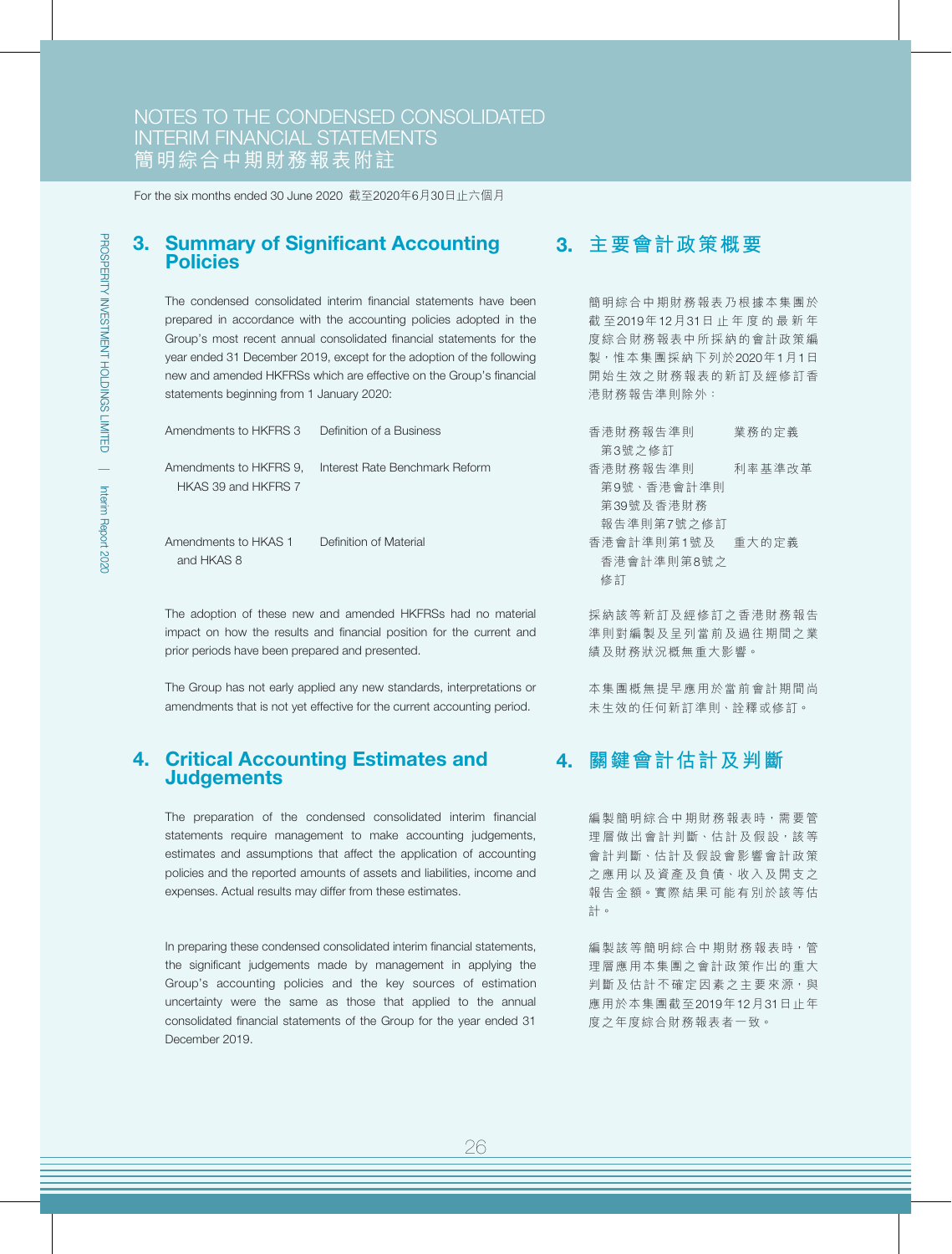#### 3. Summary of Significant Accounting Policies

The condensed consolidated interim financial statements have been prepared in accordance with the accounting policies adopted in the Group's most recent annual consolidated financial statements for the year ended 31 December 2019, except for the adoption of the following new and amended HKFRSs which are effective on the Group's financial statements beginning from 1 January 2020:

| Amendments to HKFRS 3                         | Definition of a Business       |
|-----------------------------------------------|--------------------------------|
| Amendments to HKFRS 9,<br>HKAS 39 and HKFRS 7 | Interest Rate Benchmark Reform |
| Amendments to HKAS 1<br>and HKAS 8            | Definition of Material         |

The adoption of these new and amended HKFRSs had no material impact on how the results and financial position for the current and prior periods have been prepared and presented.

The Group has not early applied any new standards, interpretations or amendments that is not yet effective for the current accounting period.

#### 4. Critical Accounting Estimates and **Judgements**

The preparation of the condensed consolidated interim financial statements require management to make accounting judgements, estimates and assumptions that affect the application of accounting policies and the reported amounts of assets and liabilities, income and expenses. Actual results may differ from these estimates.

In preparing these condensed consolidated interim financial statements, the significant judgements made by management in applying the Group's accounting policies and the key sources of estimation uncertainty were the same as those that applied to the annual consolidated financial statements of the Group for the year ended 31 December 2019.

## 3. **主要會計政策概要**

簡明綜合中期財務報表乃根據本集團於 截 至2019年12月31日止年度的最新年 度綜合財務報表中所採納的會計政策編 製,惟本集團採納下列於2020年1月1日 開始生效之財務報表的新訂及經修訂香 港財務報告準則除外:

| 香港財務報告準則   | 業務的定義  |
|------------|--------|
| 第3號之修訂     |        |
| 香港財務報告準則   | 利率基準改革 |
| 第9號、香港會計準則 |        |
| 第39號及香港財務  |        |
| 報告準則第7號之修訂 |        |
| 香港會計準則第1號及 | 重大的定義  |
| 香港會計準則第8號之 |        |
| 修訂         |        |
|            |        |

採納該等新訂及經修訂之香港財務報告 準則對編製及呈列當前及過往期間之業 績及財務狀況概無重大影響。

本集團概無提早應用於當前會計期間尚 未生效的任何新訂準則、詮釋或修訂。

## 4. **關鍵會計估計及判斷**

編製簡明綜合中期財務報表時,需要管 理層做出會計判斷、估計及假設,該等 會計判斷、估計及假設會影響會計政策 之應用以及資產及負債、收入及開支之 報告金額。實際結果可能有別於該等估 計。

編製該等簡明綜合中期財務報表時,管 理層應用本集團之會計政策作出的重大 判斷及估計不確定因素之主要來源,與 應用於本集團截至2019年12月31日止年 度之年度綜合財務報表者一致。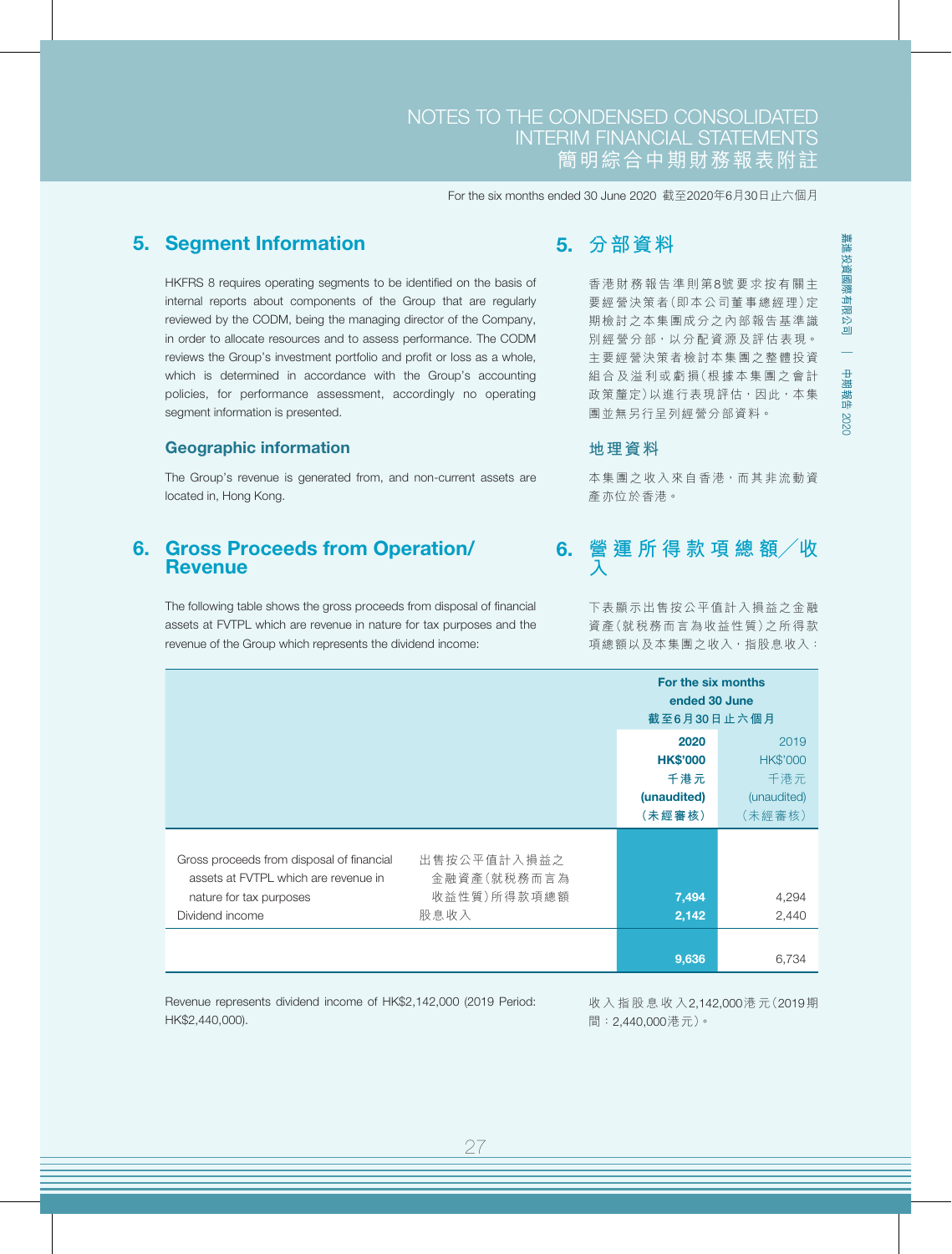### 5. Segment Information

HKFRS 8 requires operating segments to be identified on the basis of internal reports about components of the Group that are regularly reviewed by the CODM, being the managing director of the Company, in order to allocate resources and to assess performance. The CODM reviews the Group's investment portfolio and profit or loss as a whole, which is determined in accordance with the Group's accounting policies, for performance assessment, accordingly no operating segment information is presented.

#### Geographic information

The Group's revenue is generated from, and non-current assets are located in, Hong Kong.

#### 6. Gross Proceeds from Operation/ **Revenue**

The following table shows the gross proceeds from disposal of financial assets at FVTPL which are revenue in nature for tax purposes and the revenue of the Group which represents the dividend income:

## 5. **分部資料**

香港財務報告準則第8號要求按有關主 要經營決策者(即本公司董事總經理)定 期檢討之本集團成分之內部報告基準識 別經營分部,以分配資源及評估表現。 主要經營決策者檢討本集團之整體投資 組合及溢利或虧損(根據本集團之會計 政策釐定)以進行表現評估,因此,本集 團並無另行呈列經營分部資料。

#### **地理資料**

本集團之收入來自香港,而其非流動資 產亦位於香港。

### 6. **營 運 所 得 款 項 總 額╱收 入**

下表顯示出售按公平值計入損益之金融 資產(就稅務而言為收益性質)之所得款 項總額以及本集團之收入,指股息收入:

|                                                                                                                                 |                                                   | For the six months<br>ended 30 June<br>截至6月30日止六個月      |                                                         |
|---------------------------------------------------------------------------------------------------------------------------------|---------------------------------------------------|---------------------------------------------------------|---------------------------------------------------------|
|                                                                                                                                 |                                                   | 2020<br><b>HK\$'000</b><br>千港元<br>(unaudited)<br>(未經審核) | 2019<br><b>HK\$'000</b><br>千港元<br>(unaudited)<br>(未經審核) |
| Gross proceeds from disposal of financial<br>assets at FVTPL which are revenue in<br>nature for tax purposes<br>Dividend income | 出售按公平值計入損益之<br>金融資產(就税務而言為<br>收益性質)所得款項總額<br>股息收入 | 7,494<br>2,142                                          | 4,294<br>2,440                                          |
|                                                                                                                                 |                                                   | 9,636                                                   | 6,734                                                   |

Revenue represents dividend income of HK\$2,142,000 (2019 Period: HK\$2,440,000).

收入指股息收入2,142,000港 元(2019期 間:2,440,000港元)。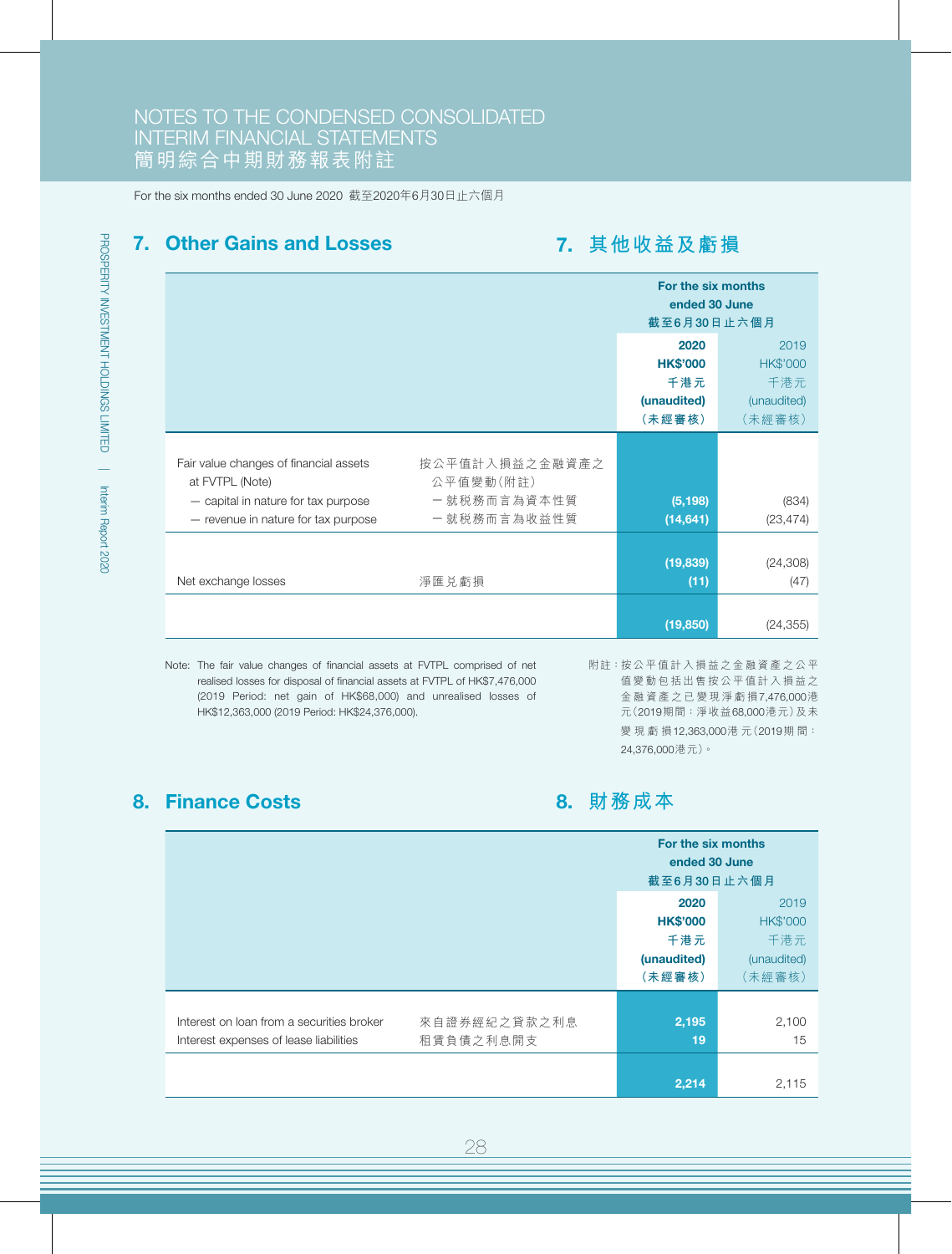### 7. Other Gains and Losses

## 7. **其他收益及虧損**

|                                                                                                                                                                                    | For the six months<br>ended 30 June<br>截至6月30日止六個月      |                                                         |
|------------------------------------------------------------------------------------------------------------------------------------------------------------------------------------|---------------------------------------------------------|---------------------------------------------------------|
|                                                                                                                                                                                    | 2020<br><b>HK\$'000</b><br>千港元<br>(unaudited)<br>(未經審核) | 2019<br><b>HK\$'000</b><br>千港元<br>(unaudited)<br>(未經審核) |
| Fair value changes of financial assets<br>公平值變動(附註)<br>at FVTPL (Note)<br>一就税務而言為資本性質<br>- capital in nature for tax purpose<br>一就税務而言為收益性質<br>- revenue in nature for tax purpose | 按公平值計入損益之金融資產之<br>(5, 198)<br>(14, 641)                 | (834)<br>(23, 474)                                      |
| 淨匯兑虧損<br>Net exchange losses                                                                                                                                                       | (19, 839)<br>(11)                                       | (24, 308)<br>(47)                                       |
|                                                                                                                                                                                    | (19, 850)                                               | (24, 355)                                               |

Note: The fair value changes of financial assets at FVTPL comprised of net realised losses for disposal of financial assets at FVTPL of HK\$7,476,000 (2019 Period: net gain of HK\$68,000) and unrealised losses of HK\$12,363,000 (2019 Period: HK\$24,376,000).

附註:按公平值計入損益之金融資產之公平 值變動包括出售按公平值計入損益之 金融資產之已變現淨虧損7,476,000港 元(2019期間:淨收益68,000港元)及未 變現虧損12,363,000港 元(2019期 間: 24,376,000港元)。

## 8. Finance Costs

8. **財務成本**

|                                                                                     |                           | For the six months<br>ended 30 June<br>截至6月30日止六個月      |                                                         |
|-------------------------------------------------------------------------------------|---------------------------|---------------------------------------------------------|---------------------------------------------------------|
|                                                                                     |                           | 2020<br><b>HK\$'000</b><br>千港元<br>(unaudited)<br>(未經審核) | 2019<br><b>HK\$'000</b><br>千港元<br>(unaudited)<br>(未經審核) |
| Interest on loan from a securities broker<br>Interest expenses of lease liabilities | 來自證券經紀之貸款之利息<br>租賃負債之利息開支 | 2,195<br>19<br>2,214                                    | 2,100<br>15<br>2,115                                    |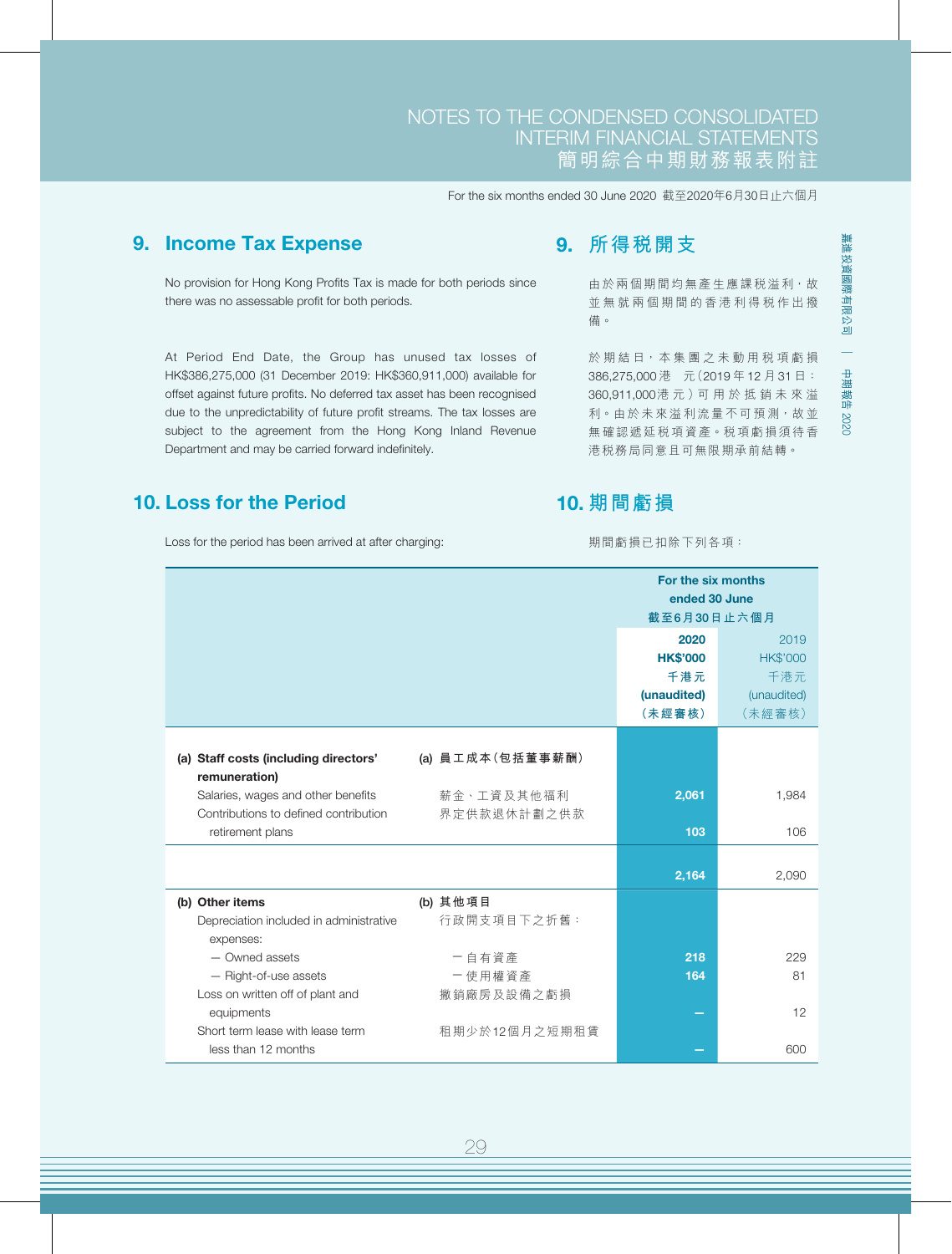## 9. Income Tax Expense

No provision for Hong Kong Profits Tax is made for both periods since there was no assessable profit for both periods.

At Period End Date, the Group has unused tax losses of HK\$386,275,000 (31 December 2019: HK\$360,911,000) available for offset against future profits. No deferred tax asset has been recognised due to the unpredictability of future profit streams. The tax losses are subject to the agreement from the Hong Kong Inland Revenue Department and may be carried forward indefinitely.

### 10. Loss for the Period

Loss for the period has been arrived at after charging:

## 9. **所得稅開支**

由於兩個期間均無產生應課稅溢利,故 並無就兩個期間的香港利得稅作出撥 備。

於期結日,本集團之未動用税項虧損 386,275,000 港 元(2019 年 12 月 31 日: 360,911,000港 元 )可 用 於 抵 銷 未 來 溢 利。由於未來溢利流量不可預測,故並 無確認遞延稅項資產。稅項虧損須待香 港稅務局同意且可無限期承前結轉。

## 10. **期間虧損**

期間虧損已扣除下列各項:

|                                                           |                  | For the six months<br>ended 30 June<br>截至6月30日止六個月      |                                                         |  |
|-----------------------------------------------------------|------------------|---------------------------------------------------------|---------------------------------------------------------|--|
|                                                           |                  | 2020<br><b>HK\$'000</b><br>千港元<br>(unaudited)<br>(未經審核) | 2019<br><b>HK\$'000</b><br>千港元<br>(unaudited)<br>(未經審核) |  |
| (a) Staff costs (including directors'<br>remuneration)    | (a) 員工成本(包括董事薪酬) |                                                         |                                                         |  |
| Salaries, wages and other benefits                        | 薪金、工資及其他福利       | 2,061                                                   | 1,984                                                   |  |
| Contributions to defined contribution<br>retirement plans | 界定供款退休計劃之供款      | 103                                                     | 106                                                     |  |
|                                                           |                  | 2,164                                                   | 2,090                                                   |  |
| (b) Other items                                           | (b) 其他項目         |                                                         |                                                         |  |
| Depreciation included in administrative<br>expenses:      | 行政開支項目下之折舊:      |                                                         |                                                         |  |
| - Owned assets                                            | 一自有資產            | 218                                                     | 229                                                     |  |
| - Right-of-use assets                                     | 一使用權資產           | 164                                                     | 81                                                      |  |
| Loss on written off of plant and                          | 撇銷廠房及設備之虧損       |                                                         |                                                         |  |
| equipments<br>Short term lease with lease term            |                  |                                                         | 12                                                      |  |
| less than 12 months                                       | 租期少於12個月之短期租賃    |                                                         | 600                                                     |  |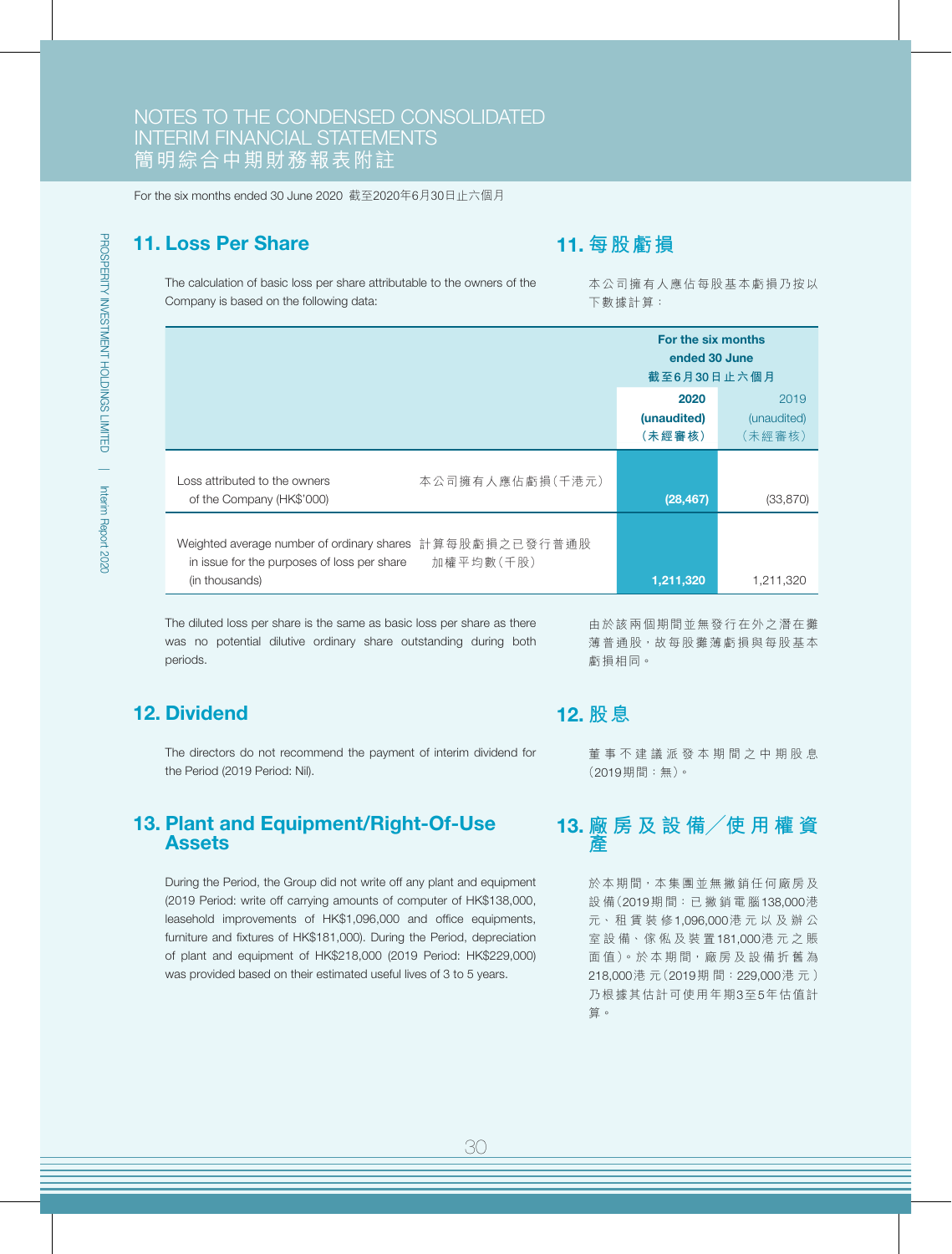### 11. Loss Per Share

## 11. **每股虧損**

The calculation of basic loss per share attributable to the owners of the Company is based on the following data:

本公司擁有人應佔每股基本虧損乃按以 下數據計算:

|                                                                                                                           | For the six months<br>ended 30 June<br>截至6月30日止六個月 |                               |
|---------------------------------------------------------------------------------------------------------------------------|----------------------------------------------------|-------------------------------|
|                                                                                                                           | 2020<br>(unaudited)<br>(未經審核)                      | 2019<br>(unaudited)<br>(未經審核) |
| Loss attributed to the owners<br>of the Company (HK\$'000)                                                                | 本公司擁有人應佔虧損(千港元)<br>(28, 467)                       | (33, 870)                     |
| Weighted average number of ordinary shares 計算每股虧損之已發行普通股<br>in issue for the purposes of loss per share<br>(in thousands) | 加權平均數(千股)<br>1,211,320                             | 1,211,320                     |

The diluted loss per share is the same as basic loss per share as there was no potential dilutive ordinary share outstanding during both periods.

## 12. Dividend

The directors do not recommend the payment of interim dividend for the Period (2019 Period: Nil).

#### 13. Plant and Equipment/Right-Of-Use Assets

During the Period, the Group did not write off any plant and equipment (2019 Period: write off carrying amounts of computer of HK\$138,000, leasehold improvements of HK\$1,096,000 and office equipments, furniture and fixtures of HK\$181,000). During the Period, depreciation of plant and equipment of HK\$218,000 (2019 Period: HK\$229,000) was provided based on their estimated useful lives of 3 to 5 years.

由於該兩個期間並無發行在外之潛在攤 薄普通股,故每股攤薄虧損與每股基本 虧損相同。

### 12. **股息**

董事不建議派發本期間之中期股息 (2019期間:無)。

#### 13. **廠 房 及 設 備╱使 用 權 資 產**

於本期間,本集團並無撇銷任何廠房及 設 備(2019期 間:已 撇 銷 電 腦138,000港 元、 租 賃 裝 修1,096,000港元以及辦公 室 設 備、傢 俬 及 裝 置181,000港元之賬 面值)。於本期間,廠房及設備折舊為 218,000港 元(2019期 間:229,000港元) 乃根據其估計可使用年期3至5年估值計 算。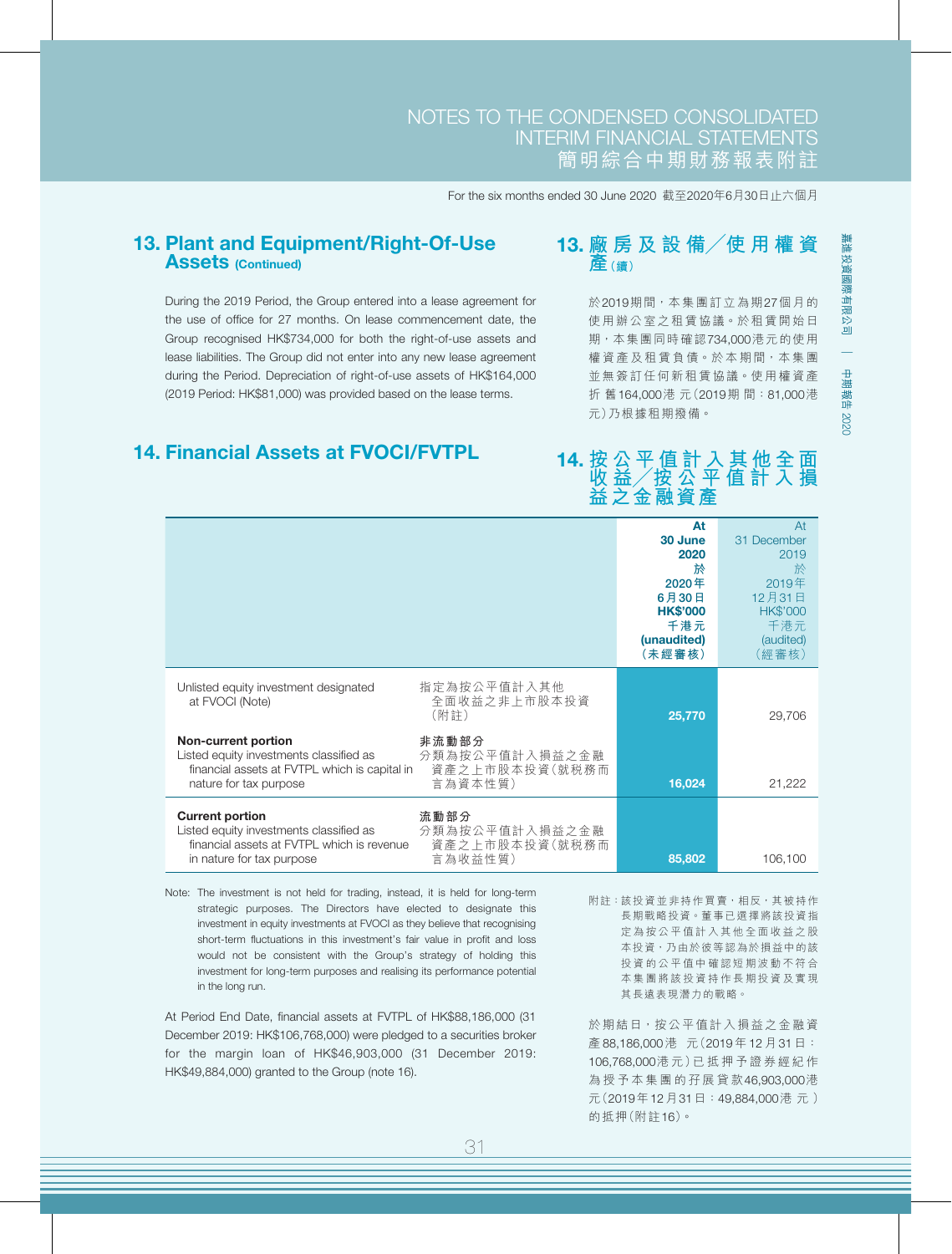## NOTES TO THE CONDENSED CONSOLIDATED INTERIM FINANCIAL STATEMENTS 簡明綜合中期財務報表附註

For the six months ended 30 June 2020 截至2020年6月30日止六個月

#### 13. Plant and Equipment/Right-Of-Use **Assets (Continued)**

During the 2019 Period, the Group entered into a lease agreement for the use of office for 27 months. On lease commencement date, the Group recognised HK\$734,000 for both the right-of-use assets and lease liabilities. The Group did not enter into any new lease agreement during the Period. Depreciation of right-of-use assets of HK\$164,000 (2019 Period: HK\$81,000) was provided based on the lease terms.

### 14. Financial Assets at FVOCI/FVTPL

## 13. **廠 房 及 設 備╱使 用 權 資 產(續)**

於2019期間,本集團訂立為期27個月的 使用辦公室之租賃協議。於租賃開始日 期,本集團同時確認734,000港元的使用 權資產及租賃負債。於本期間,本集團 並無簽訂任何新租賃協議。使用權資產 折 舊164,000港 元(2019期 間:81,000港 元)乃根據租期撥備。

|                                                                                                                                                                                                          | At<br>30 June<br>2020<br>於<br>$2020$ 年<br>6月30日<br><b>HK\$'000</b><br>千港元<br>(unaudited)<br>(未經審核) | At<br>31 December<br>2019<br>於<br>2019年<br>12月31日<br><b>HK\$'000</b><br>千港元<br>(audited)<br>(經審核) |
|----------------------------------------------------------------------------------------------------------------------------------------------------------------------------------------------------------|----------------------------------------------------------------------------------------------------|---------------------------------------------------------------------------------------------------|
| 指定為按公平值計入其他<br>Unlisted equity investment designated<br>全面收益之非上市股本投資<br>at FVOCI (Note)<br>(附註)                                                                                                          | 25,770                                                                                             | 29,706                                                                                            |
| 非流動部分<br><b>Non-current portion</b><br>分類為按公平值計入損益之金融<br>Listed equity investments classified as<br>資產之上市股本投資(就税務而<br>financial assets at FVTPL which is capital in<br>言為資本性質)<br>nature for tax purpose | 16,024                                                                                             | 21,222                                                                                            |
| <b>Current portion</b><br>流動部分<br>分類為按公平值計入損益之金融<br>Listed equity investments classified as<br>資產之上市股本投資(就税務而<br>financial assets at FVTPL which is revenue<br>言為收益性質)<br>in nature for tax purpose      | 85,802                                                                                             | 106,100                                                                                           |

Note: The investment is not held for trading, instead, it is held for long-term strategic purposes. The Directors have elected to designate this investment in equity investments at FVOCI as they believe that recognising short-term fluctuations in this investment's fair value in profit and loss would not be consistent with the Group's strategy of holding this investment for long-term purposes and realising its performance potential in the long run.

At Period End Date, financial assets at FVTPL of HK\$88,186,000 (31 December 2019: HK\$106,768,000) were pledged to a securities broker for the margin loan of HK\$46,903,000 (31 December 2019: HK\$49,884,000) granted to the Group (note 16).

附註:該投資並非持作買賣,相反,其被持作 長期戰略投資。董事已選擇將該投資指 定為按公平值計入其他全面收益之股 本投資,乃由於彼等認為於損益中的該 投資的公平值中確認短期波動不符合 本集團將該投資持作長期投資及實現 其長遠表現潛力的戰略。

於期結日,按公平值計入損益之金融資 產 88,186,000 港 元(2019 年 12 月 31 日: 106,768,000港 元)已 抵 押 予 證 券 經 紀 作 為授予本集團的孖展貸款46,903,000港 元(2019年12月31日:49,884,000港元) 的抵押(附註16)。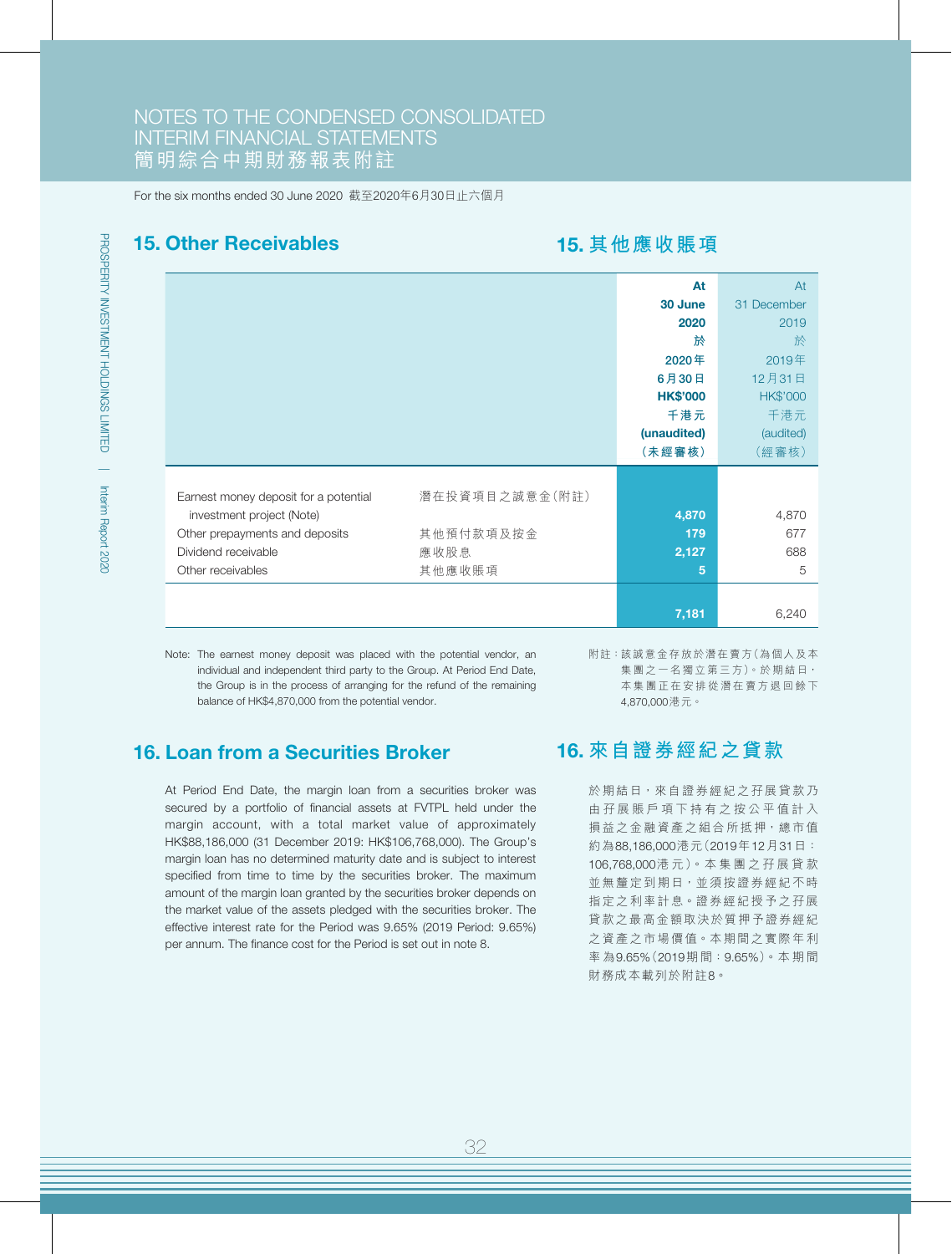#### 15. Other Receivables

## 15. **其他應收賬項**

|                                                         | At              | At              |
|---------------------------------------------------------|-----------------|-----------------|
|                                                         | 30 June         | 31 December     |
|                                                         | 2020            | 2019            |
|                                                         | 於               | 於               |
|                                                         | 2020年           | 2019年           |
|                                                         | 6月30日           | 12月31日          |
|                                                         | <b>HK\$'000</b> | <b>HK\$'000</b> |
|                                                         | 千港元             | 千港元             |
|                                                         | (unaudited)     | (audited)       |
|                                                         | (未經審核)          | (經審核)           |
|                                                         |                 |                 |
| 潛在投資項目之誠意金(附註)<br>Earnest money deposit for a potential |                 |                 |
| investment project (Note)                               | 4,870           | 4,870           |
| 其他預付款項及按金<br>Other prepayments and deposits             | 179             | 677             |
| 應收股息<br>Dividend receivable                             | 2,127           | 688             |
| 其他應收賬項<br>Other receivables                             | 5               | 5               |
|                                                         |                 |                 |
|                                                         | 7,181           | 6,240           |

Note: The earnest money deposit was placed with the potential vendor, an individual and independent third party to the Group. At Period End Date, the Group is in the process of arranging for the refund of the remaining balance of HK\$4,870,000 from the potential vendor.

16. Loan from a Securities Broker

At Period End Date, the margin loan from a securities broker was secured by a portfolio of financial assets at FVTPL held under the margin account, with a total market value of approximately HK\$88,186,000 (31 December 2019: HK\$106,768,000). The Group's margin loan has no determined maturity date and is subject to interest specified from time to time by the securities broker. The maximum amount of the margin loan granted by the securities broker depends on the market value of the assets pledged with the securities broker. The effective interest rate for the Period was 9.65% (2019 Period: 9.65%) per annum. The finance cost for the Period is set out in note 8.

附註:該誠意金存放於潛在賣方(為個人及本 集團之一名獨立第三方)。於期結日, 本集團正在安排從潛在賣方退回餘下 4,870,000港元。

## 16. **來自證券經紀之貸款**

於期結日,來自證券經紀之孖展貸款乃 由孖展賬戶項下持有之按公平值計入 損益之金融資產之組合所抵押,總市值 約為88,186,000港元(2019年12月31日: 106,768,000港 元)。本 集 團 之 孖 展 貸 款 並無釐定到期日,並須按證券經紀不時 指定之利率計息。證券經紀授予之孖展 貸款之最高金額取決於質押予證券經紀 之資產之市場價值。本期間之實際年利 率 為9.65%(2019期 間:9.65%)。本 期 間 財務成本載列於附註8。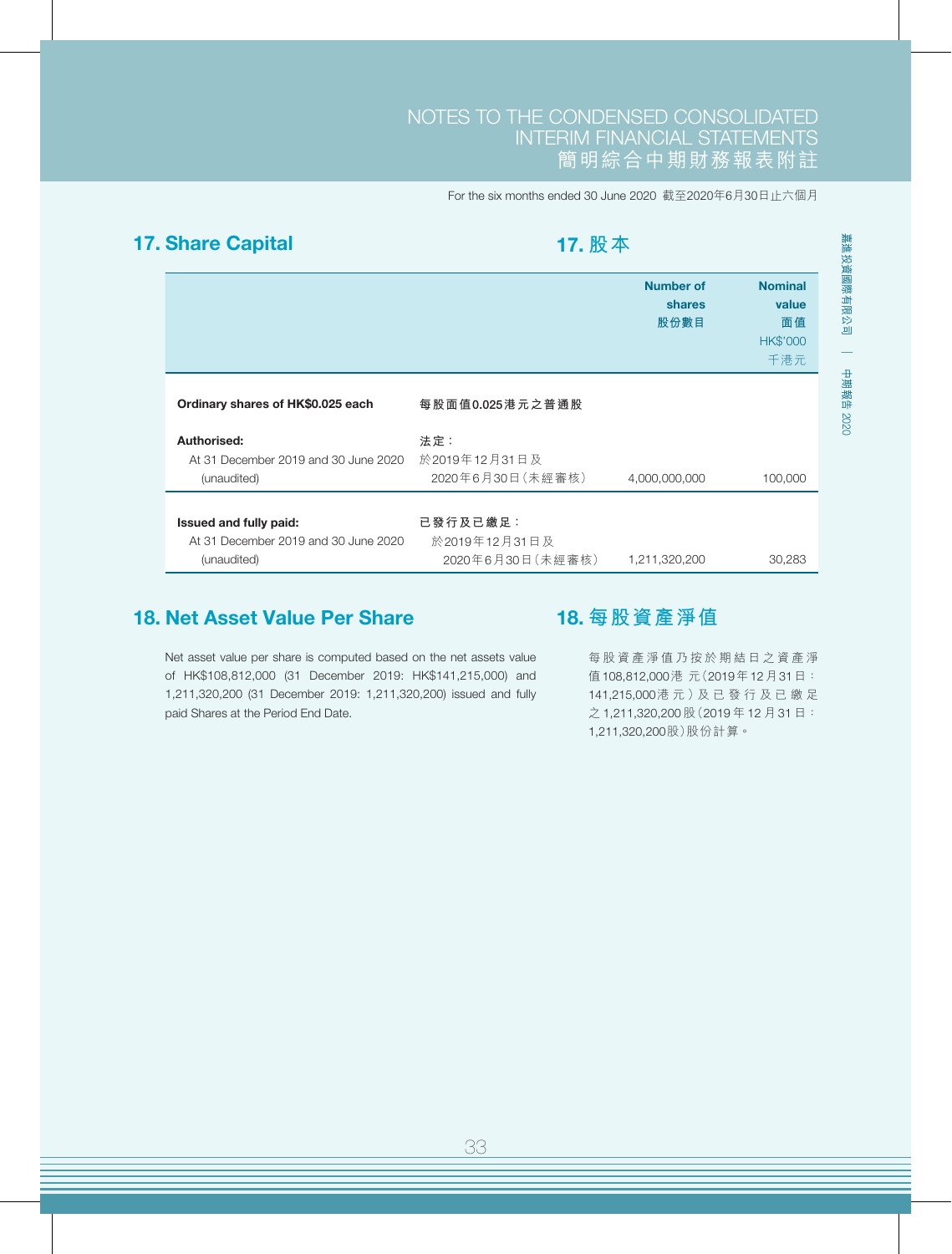## 17. Share Capital

17. **股本**

|                                                                               |                                                      | <b>Number of</b><br>shares<br>股份數目 | <b>Nominal</b><br>value<br>面值<br><b>HK\$'000</b><br>千港元 |
|-------------------------------------------------------------------------------|------------------------------------------------------|------------------------------------|---------------------------------------------------------|
| Ordinary shares of HK\$0.025 each                                             | 每股面值0.025港元之普通股                                      |                                    |                                                         |
| Authorised:<br>At 31 December 2019 and 30 June 2020<br>(unaudited)            | 法定:<br>於2019年12月31日及<br>2020年6月30日 (未經審核)            | 4,000,000,000                      | 100,000                                                 |
| Issued and fully paid:<br>At 31 December 2019 and 30 June 2020<br>(unaudited) | 已 發 行 及 已 繳 足 :<br>於2019年12月31日及<br>2020年6月30日(未經審核) | 1,211,320,200                      | 30,283                                                  |

## 18. Net Asset Value Per Share

18. **每股資產淨值**

Net asset value per share is computed based on the net assets value of HK\$108,812,000 (31 December 2019: HK\$141,215,000) and 1,211,320,200 (31 December 2019: 1,211,320,200) issued and fully paid Shares at the Period End Date.

每股資產淨值乃按於期結日之資產淨 值108,812,000港 元(2019年12月31日: 141,215,000港 元 )及 已 發 行 及 已 繳 足 之 1,211,320,200 股(2019 年 12 月 31 日: 1,211,320,200股)股份計算。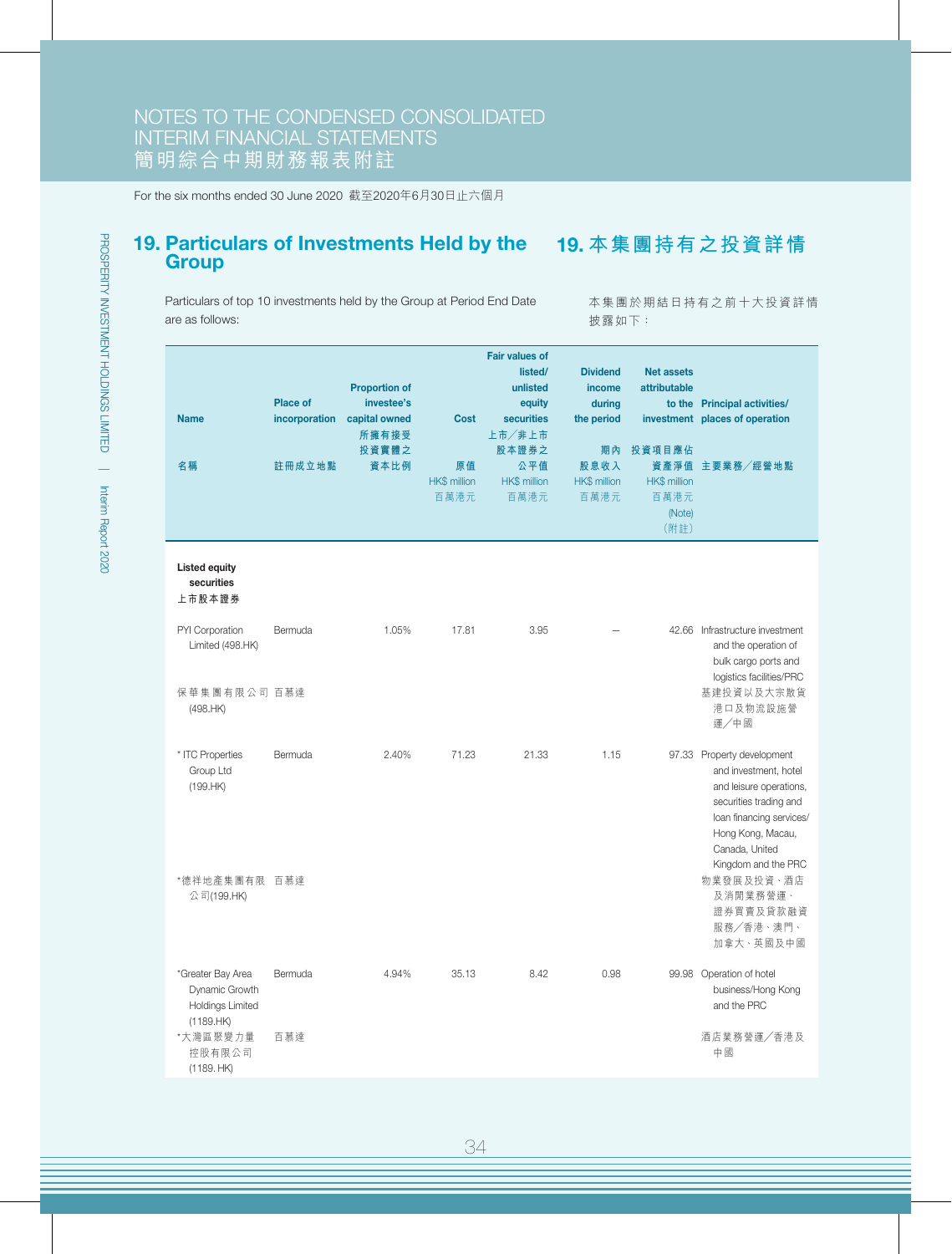### 19. Particulars of Investments Held by the 19. **本集團持有之投資詳情 Group**

Particulars of top 10 investments held by the Group at Period End Date are as follows:

本集團於期結日持有之前十大投資詳情 披露如下:

| <b>Name</b><br>名稱                                                    | <b>Place of</b><br>incorporation<br>註冊成立地點 | <b>Proportion of</b><br>investee's<br>capital owned<br>所擁有接受<br>投資實體之<br>資本比例 | <b>Cost</b><br>原值<br><b>HK\$</b> million<br>百萬港元 | <b>Fair values of</b><br>listed/<br>unlisted<br>equity<br>securities<br>上市/非上市<br>股本證券之<br>公平值<br><b>HK\$</b> million<br>百萬港元 | <b>Dividend</b><br><i>income</i><br>during<br>the period<br>期內<br>股息收入<br><b>HK\$</b> million<br>百萬港元 | <b>Net assets</b><br>attributable<br>投資項目應佔<br>資產淨值<br><b>HK\$</b> million<br>百萬港元<br>(Note)<br>(附註) | to the Principal activities/<br>investment places of operation<br>主要業務/經營地點                                                                                                                        |
|----------------------------------------------------------------------|--------------------------------------------|-------------------------------------------------------------------------------|--------------------------------------------------|-------------------------------------------------------------------------------------------------------------------------------|-------------------------------------------------------------------------------------------------------|------------------------------------------------------------------------------------------------------|----------------------------------------------------------------------------------------------------------------------------------------------------------------------------------------------------|
| <b>Listed equity</b><br>securities<br>上市股本證券                         |                                            |                                                                               |                                                  |                                                                                                                               |                                                                                                       |                                                                                                      |                                                                                                                                                                                                    |
| PYI Corporation<br>Limited (498.HK)                                  | Bermuda                                    | 1.05%                                                                         | 17.81                                            | 3.95                                                                                                                          |                                                                                                       |                                                                                                      | 42.66 Infrastructure investment<br>and the operation of<br>bulk cargo ports and<br>logistics facilities/PRC                                                                                        |
| 保華集團有限公司 百慕達<br>(498.HK)                                             |                                            |                                                                               |                                                  |                                                                                                                               |                                                                                                       |                                                                                                      | 基建投資以及大宗散貨<br>港口及物流設施營<br>運/中國                                                                                                                                                                     |
| * ITC Properties<br>Group Ltd<br>(199.HK)                            | Bermuda                                    | 2.40%                                                                         | 71.23                                            | 21.33                                                                                                                         | 1.15                                                                                                  |                                                                                                      | 97.33 Property development<br>and investment, hotel<br>and leisure operations,<br>securities trading and<br>loan financing services/<br>Hong Kong, Macau,<br>Canada, United<br>Kingdom and the PRC |
| *德祥地產集團有限 百慕達<br>公司(199.HK)                                          |                                            |                                                                               |                                                  |                                                                                                                               |                                                                                                       |                                                                                                      | 物業發展及投資、酒店<br>及消閒業務營運、<br>證券買賣及貸款融資<br>服務/香港、澳門、<br>加拿大、英國及中國                                                                                                                                      |
| *Greater Bay Area<br>Dynamic Growth<br>Holdings Limited<br>(1189.HK) | Bermuda                                    | 4.94%                                                                         | 35.13                                            | 8.42                                                                                                                          | 0.98                                                                                                  |                                                                                                      | 99.98 Operation of hotel<br>business/Hong Kong<br>and the PRC                                                                                                                                      |
| *大灣區聚變力量<br>控股有限公司<br>(1189. HK)                                     | 百慕達                                        |                                                                               |                                                  |                                                                                                                               |                                                                                                       |                                                                                                      | 酒店業務營運/香港及<br>中國                                                                                                                                                                                   |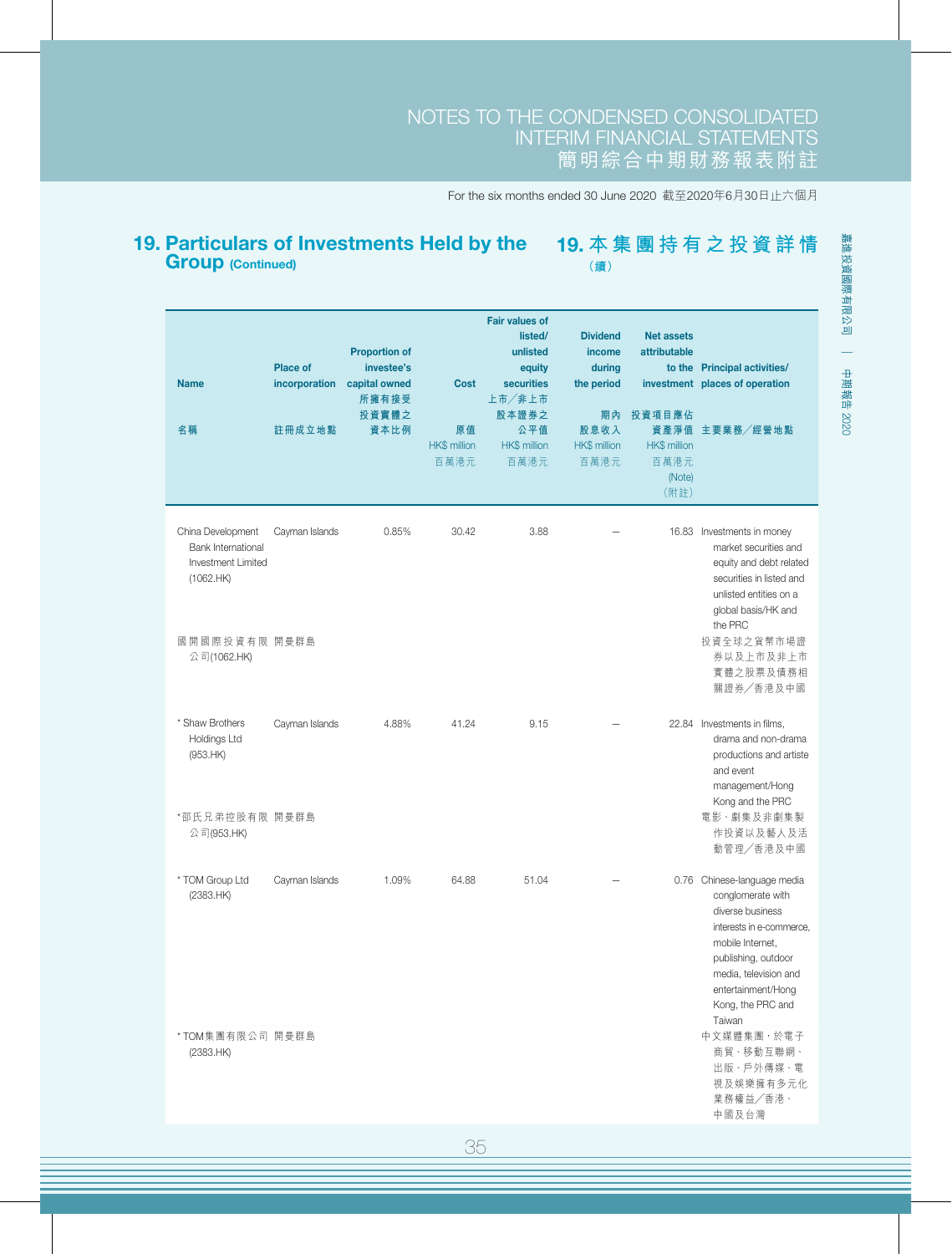#### 19. Particulars of Investments Held by the Group (Continued) 19. **本集團持有之投資詳情 (續)**

| <b>Name</b><br>名稱                                                                                                 | <b>Place of</b><br>incorporation<br>註冊成立地點 | <b>Proportion of</b><br>investee's<br>capital owned<br>所擁有接受<br>投資實體之<br>資本比例 | <b>Cost</b><br>原值<br>HK\$ million<br>百萬港元 | <b>Fair values of</b><br>listed/<br>unlisted<br>equity<br><b>securities</b><br>上市/非上市<br>股本證券之<br>公平值<br><b>HK\$ million</b><br>百萬港元 | <b>Dividend</b><br>income<br>during<br>the period<br>期內<br>股息收入<br>HK\$ million<br>百萬港元 | <b>Net assets</b><br>attributable<br>投資項目應佔<br><b>HK\$</b> million<br>百萬港元<br>(Note)<br>(附註) | to the Principal activities/<br>investment places of operation<br>資產淨值 主要業務/經營地點                                                                                                                                      |
|-------------------------------------------------------------------------------------------------------------------|--------------------------------------------|-------------------------------------------------------------------------------|-------------------------------------------|--------------------------------------------------------------------------------------------------------------------------------------|-----------------------------------------------------------------------------------------|----------------------------------------------------------------------------------------------|-----------------------------------------------------------------------------------------------------------------------------------------------------------------------------------------------------------------------|
| China Development<br><b>Bank International</b><br>Investment Limited<br>(1062.HK)<br>國開國際投資有限 開曼群島<br>公司(1062.HK) | Cayman Islands                             | 0.85%                                                                         | 30.42                                     | 3.88                                                                                                                                 |                                                                                         | 16.83                                                                                        | Investments in money<br>market securities and<br>equity and debt related<br>securities in listed and<br>unlisted entities on a<br>global basis/HK and<br>the PRC<br>投資全球之貨幣市場證<br>券以及上市及非上市<br>實體之股票及債務相<br>關證券/香港及中國 |
| * Shaw Brothers<br><b>Holdings Ltd</b><br>(953.HK)<br>*邵氏兄弟控股有限 開曼群島<br>公司(953.HK)                                | Cayman Islands                             | 4.88%                                                                         | 41.24                                     | 9.15                                                                                                                                 |                                                                                         |                                                                                              | 22.84 Investments in films,<br>drama and non-drama<br>productions and artiste<br>and event<br>management/Hong<br>Kong and the PRC<br>電影、劇集及非劇集製<br>作投資以及藝人及活<br>動管理/香港及中國                                             |
| * TOM Group Ltd<br>(2383.HK)                                                                                      | Cayman Islands                             | 1.09%                                                                         | 64.88                                     | 51.04                                                                                                                                |                                                                                         |                                                                                              | 0.76 Chinese-language media<br>conglomerate with<br>diverse business<br>interests in e-commerce,<br>mobile Internet,<br>publishing, outdoor<br>media, television and<br>entertainment/Hong<br>Kong, the PRC and       |
| *TOM集團有限公司 開曼群島<br>(2383.HK)                                                                                      |                                            |                                                                               |                                           |                                                                                                                                      |                                                                                         |                                                                                              | Taiwan<br>中文媒體集團, 於電子<br>商貿、移動互聯網、<br>出版、戶外傳媒、電<br>視及娛樂擁有多元化<br>業務權益/香港、<br>中國及台灣                                                                                                                                     |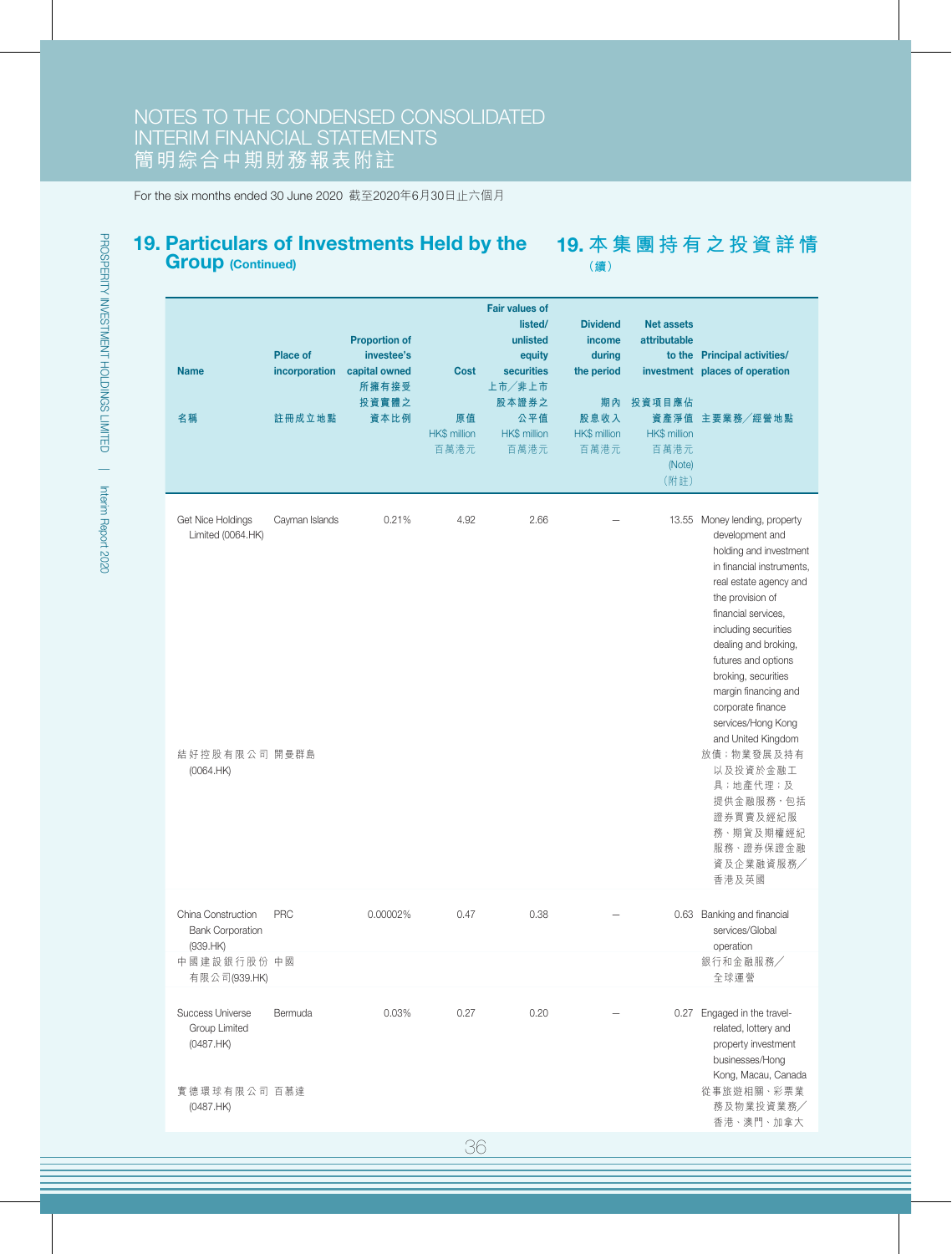### 19. Particulars of Investments Held by the Group (Continued)

19. **本集團持有之投資詳情 (續)**

| <b>Name</b><br>名稱                                                                        | <b>Place of</b><br>incorporation<br>註冊成立地點 | <b>Proportion of</b><br>investee's<br>capital owned<br>所擁有接受<br>投資實體之<br>資本比例 | <b>Cost</b><br>原值<br>HK\$ million<br>百萬港元 | <b>Fair values of</b><br>listed/<br>unlisted<br>equity<br><b>securities</b><br>上市/非上市<br>股本證券之<br>公平值<br><b>HK\$</b> million<br>百萬港元 | <b>Dividend</b><br>income<br>during<br>the period<br>期內<br>股息收入<br><b>HK\$</b> million<br>百萬港元 | <b>Net assets</b><br>attributable<br>投資項目應佔<br><b>HK\$</b> million<br>百萬港元<br>(Note)<br>(附註) | to the Principal activities/<br>investment places of operation<br>資產淨值 主要業務/經營地點                                                                                                                                                                                                                                                                                    |
|------------------------------------------------------------------------------------------|--------------------------------------------|-------------------------------------------------------------------------------|-------------------------------------------|--------------------------------------------------------------------------------------------------------------------------------------|------------------------------------------------------------------------------------------------|----------------------------------------------------------------------------------------------|---------------------------------------------------------------------------------------------------------------------------------------------------------------------------------------------------------------------------------------------------------------------------------------------------------------------------------------------------------------------|
| Get Nice Holdings<br>Limited (0064.HK)                                                   | Cayman Islands                             | 0.21%                                                                         | 4.92                                      | 2.66                                                                                                                                 |                                                                                                |                                                                                              | 13.55 Money lending, property<br>development and<br>holding and investment<br>in financial instruments,<br>real estate agency and<br>the provision of<br>financial services,<br>including securities<br>dealing and broking,<br>futures and options<br>broking, securities<br>margin financing and<br>corporate finance<br>services/Hong Kong<br>and United Kingdom |
| 結好控股有限公司 開曼群島<br>(0064.HK)                                                               |                                            |                                                                               |                                           |                                                                                                                                      |                                                                                                |                                                                                              | 放債;物業發展及持有<br>以及投資於金融工<br>具;地產代理;及<br>提供金融服務,包括<br>證券買賣及經紀服<br>務、期貨及期權經紀<br>服務、證券保證金融<br>資及企業融資服務/<br>香港及英國                                                                                                                                                                                                                                                         |
| China Construction<br><b>Bank Corporation</b><br>(939.HK)<br>中國建設銀行股份 中國<br>有限公司(939.HK) | PRC                                        | 0.00002%                                                                      | 0.47                                      | 0.38                                                                                                                                 |                                                                                                |                                                                                              | 0.63 Banking and financial<br>services/Global<br>operation<br>銀行和金融服務/<br>全球運營                                                                                                                                                                                                                                                                                      |
| Success Universe<br>Group Limited<br>(0487.HK)<br>實德環球有限公司 百慕達<br>(0487.HK)              | Bermuda                                    | 0.03%                                                                         | 0.27                                      | 0.20                                                                                                                                 |                                                                                                |                                                                                              | 0.27 Engaged in the travel-<br>related, lottery and<br>property investment<br>businesses/Hong<br>Kong, Macau, Canada<br>從事旅遊相關、彩票業<br>務及物業投資業務/<br>香港、澳門、加拿大                                                                                                                                                                                                        |

36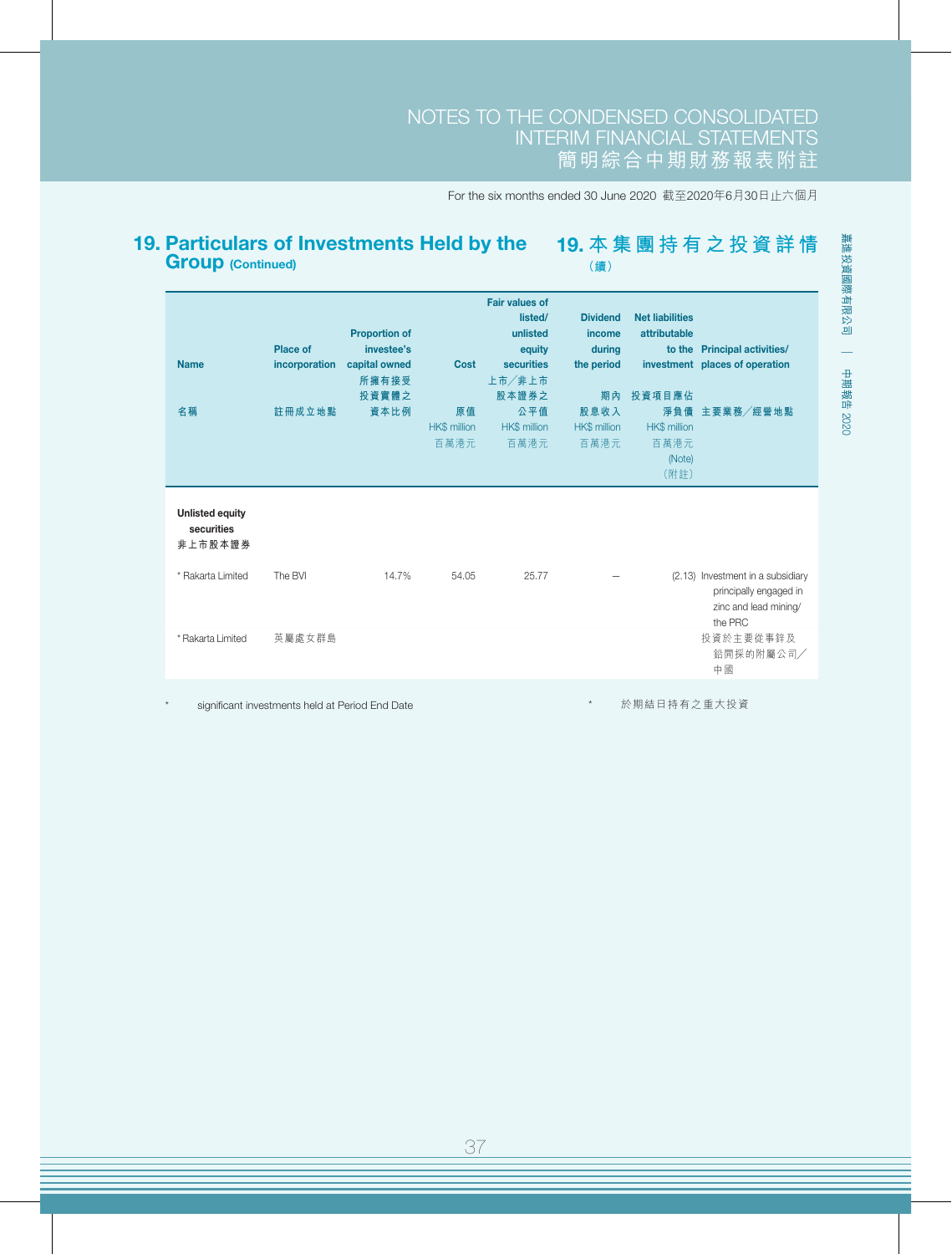#### 19. Particulars of Investments Held by the Group (Continued) 19. **本集團持有之投資詳情 (續)**

| <b>Name</b><br>名稱                    | <b>Place of</b><br>incorporation<br>註冊成立地點 | <b>Proportion of</b><br>investee's<br>capital owned<br>所擁有接受<br>投資實體之<br>資本比例 | Cost<br>原值<br>HK\$ million<br>百萬港元 | <b>Fair values of</b><br>listed/<br>unlisted<br>equity<br>securities<br>上市/非上市<br>股本證券之<br>公平值<br><b>HK\$</b> million<br>百萬港元 | <b>Dividend</b><br>income<br>during<br>the period<br>期內<br>股息收入<br><b>HK\$</b> million<br>百萬港元 | <b>Net liabilities</b><br>attributable<br>to the<br>投資項目應佔<br>淨負債<br><b>HK\$</b> million<br>百萬港元<br>(Note)<br>(附註) | <b>Principal activities/</b><br>investment places of operation<br>主要業務/經營地點 |
|--------------------------------------|--------------------------------------------|-------------------------------------------------------------------------------|------------------------------------|-------------------------------------------------------------------------------------------------------------------------------|------------------------------------------------------------------------------------------------|--------------------------------------------------------------------------------------------------------------------|-----------------------------------------------------------------------------|
| <b>Unlisted equity</b><br>securities |                                            |                                                                               |                                    |                                                                                                                               |                                                                                                |                                                                                                                    |                                                                             |
| 非上市股本證券<br>* Rakarta Limited         | The BVI                                    | 14.7%                                                                         | 54.05                              | 25.77                                                                                                                         |                                                                                                |                                                                                                                    | (2.13) Investment in a subsidiary                                           |
|                                      |                                            |                                                                               |                                    |                                                                                                                               |                                                                                                |                                                                                                                    | principally engaged in<br>zinc and lead mining/<br>the PRC                  |
| * Rakarta Limited                    | 英屬處女群島                                     |                                                                               |                                    |                                                                                                                               |                                                                                                |                                                                                                                    | 投資於主要從事鋅及<br>鉛開採的附屬公司/<br>中國                                                |
|                                      |                                            |                                                                               |                                    |                                                                                                                               |                                                                                                |                                                                                                                    |                                                                             |

significant investments held at Period End Date

於期結日持有之重大投資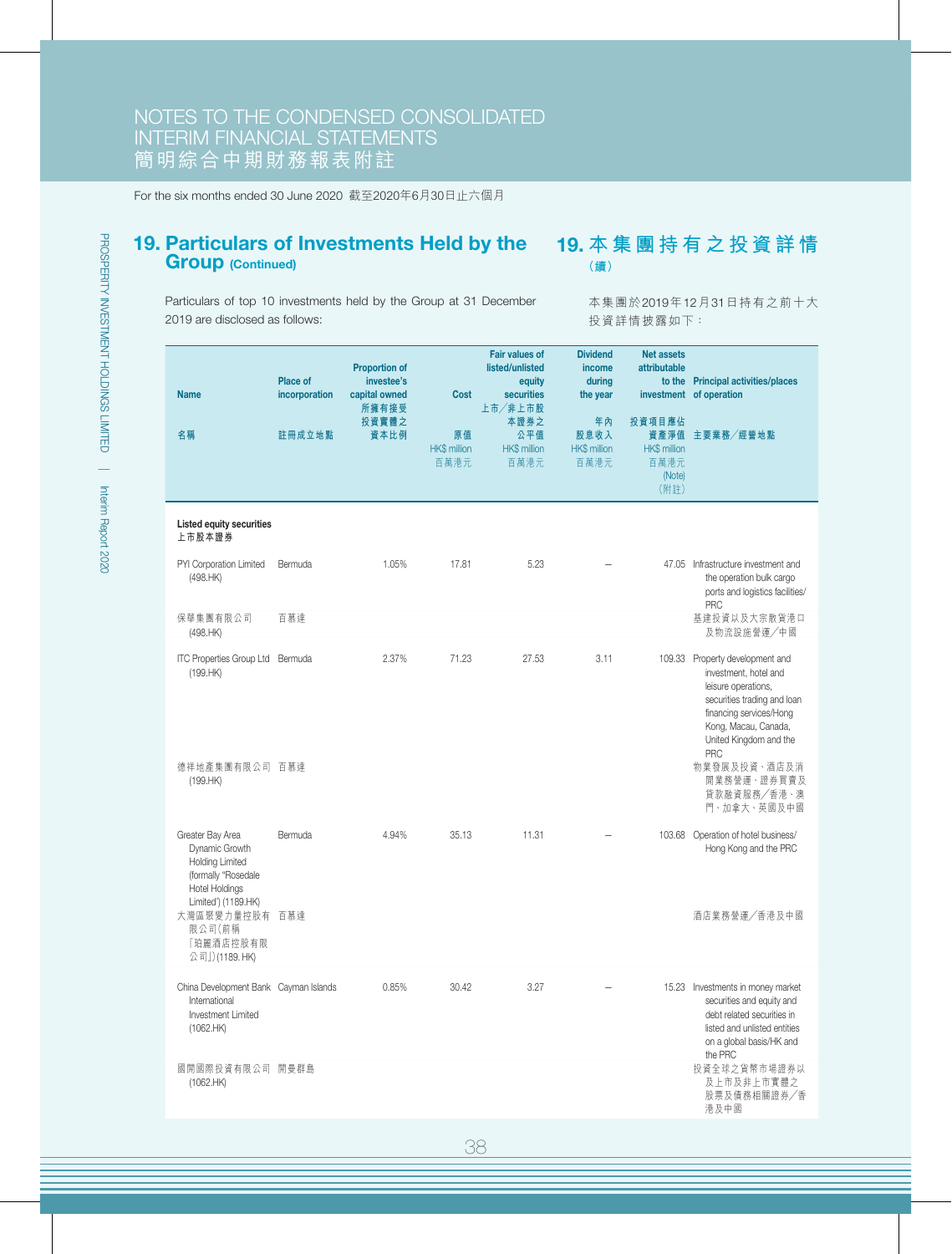### 19. Particulars of Investments Held by the Group (Continued)

19. **本集團持有之投資詳情 (續)**

Particulars of top 10 investments held by the Group at 31 December 2019 are disclosed as follows:

本集團於2019年12月31日持有之前十大 投資詳情披露如下:

| <b>Name</b><br>名稱                                                                                                                   | <b>Place of</b><br>incorporation<br>註冊成立地點 | <b>Proportion of</b><br>investee's<br>capital owned<br>所擁有接受<br>投資實體之<br>資本比例 | <b>Cost</b><br>原值<br><b>HK\$ million</b><br>百萬港元 | <b>Fair values of</b><br>listed/unlisted<br>equity<br>securities<br>上市/非上市股<br>本證券之<br>公平值<br><b>HK\$</b> million<br>百萬港元 | <b>Dividend</b><br>income<br>during<br>the year<br>年內<br>股息收入<br>HK\$ million<br>百萬港元 | <b>Net assets</b><br>attributable<br>to the<br>投資項目應佔<br>資產淨值<br><b>HK\$</b> million<br>百萬港元<br>(Note)<br>(附註) | <b>Principal activities/places</b><br>investment of operation<br>主要業務/經營地點                                                                                                                                |
|-------------------------------------------------------------------------------------------------------------------------------------|--------------------------------------------|-------------------------------------------------------------------------------|--------------------------------------------------|---------------------------------------------------------------------------------------------------------------------------|---------------------------------------------------------------------------------------|----------------------------------------------------------------------------------------------------------------|-----------------------------------------------------------------------------------------------------------------------------------------------------------------------------------------------------------|
| <b>Listed equity securities</b><br>上市股本證券                                                                                           |                                            |                                                                               |                                                  |                                                                                                                           |                                                                                       |                                                                                                                |                                                                                                                                                                                                           |
| PYI Corporation Limited<br>(498.HK)                                                                                                 | Bermuda                                    | 1.05%                                                                         | 17.81                                            | 5.23                                                                                                                      |                                                                                       |                                                                                                                | 47.05 Infrastructure investment and<br>the operation bulk cargo<br>ports and logistics facilities/<br>PRC                                                                                                 |
| 保華集團有限公司<br>(498.HK)                                                                                                                | 百慕達                                        |                                                                               |                                                  |                                                                                                                           |                                                                                       |                                                                                                                | 基建投資以及大宗散貨港口<br>及物流設施營運/中國                                                                                                                                                                                |
| ITC Properties Group Ltd Bermuda<br>(199.HK)                                                                                        |                                            | 2.37%                                                                         | 71.23                                            | 27.53                                                                                                                     | 3.11                                                                                  |                                                                                                                | 109.33 Property development and<br>investment, hotel and<br>leisure operations,<br>securities trading and loan<br>financing services/Hong<br>Kong, Macau, Canada,<br>United Kingdom and the<br><b>PRC</b> |
| 德祥地產集團有限公司 百慕達<br>(199.HK)                                                                                                          |                                            |                                                                               |                                                  |                                                                                                                           |                                                                                       |                                                                                                                | 物業發展及投資、酒店及消<br>閒業務營運、證券買賣及<br>貸款融資服務/香港、澳<br>門、加拿大、英國及中國                                                                                                                                                 |
| Greater Bay Area<br>Dynamic Growth<br><b>Holding Limited</b><br>(formally "Rosedale<br><b>Hotel Holdings</b><br>Limited') (1189.HK) | Bermuda                                    | 4.94%                                                                         | 35.13                                            | 11.31                                                                                                                     |                                                                                       |                                                                                                                | 103.68 Operation of hotel business/<br>Hong Kong and the PRC                                                                                                                                              |
| 大灣區聚變力量控股有<br>限公司(前稱<br>「珀麗酒店控股有限<br>公司」)(1189. HK)                                                                                 | 百慕達                                        |                                                                               |                                                  |                                                                                                                           |                                                                                       |                                                                                                                | 酒店業務營運/香港及中國                                                                                                                                                                                              |
| China Development Bank Cayman Islands<br>International<br>Investment Limited<br>(1062.HK)                                           |                                            | 0.85%                                                                         | 30.42                                            | 3.27                                                                                                                      |                                                                                       |                                                                                                                | 15.23 Investments in money market<br>securities and equity and<br>debt related securities in<br>listed and unlisted entities<br>on a global basis/HK and<br>the PRC                                       |
| 國開國際投資有限公司 開曼群島<br>(1062.HK)                                                                                                        |                                            |                                                                               |                                                  |                                                                                                                           |                                                                                       |                                                                                                                | 投資全球之貨幣市場證券以<br>及上市及非上市實體之<br>股票及債務相關證券/香<br>港及中國                                                                                                                                                         |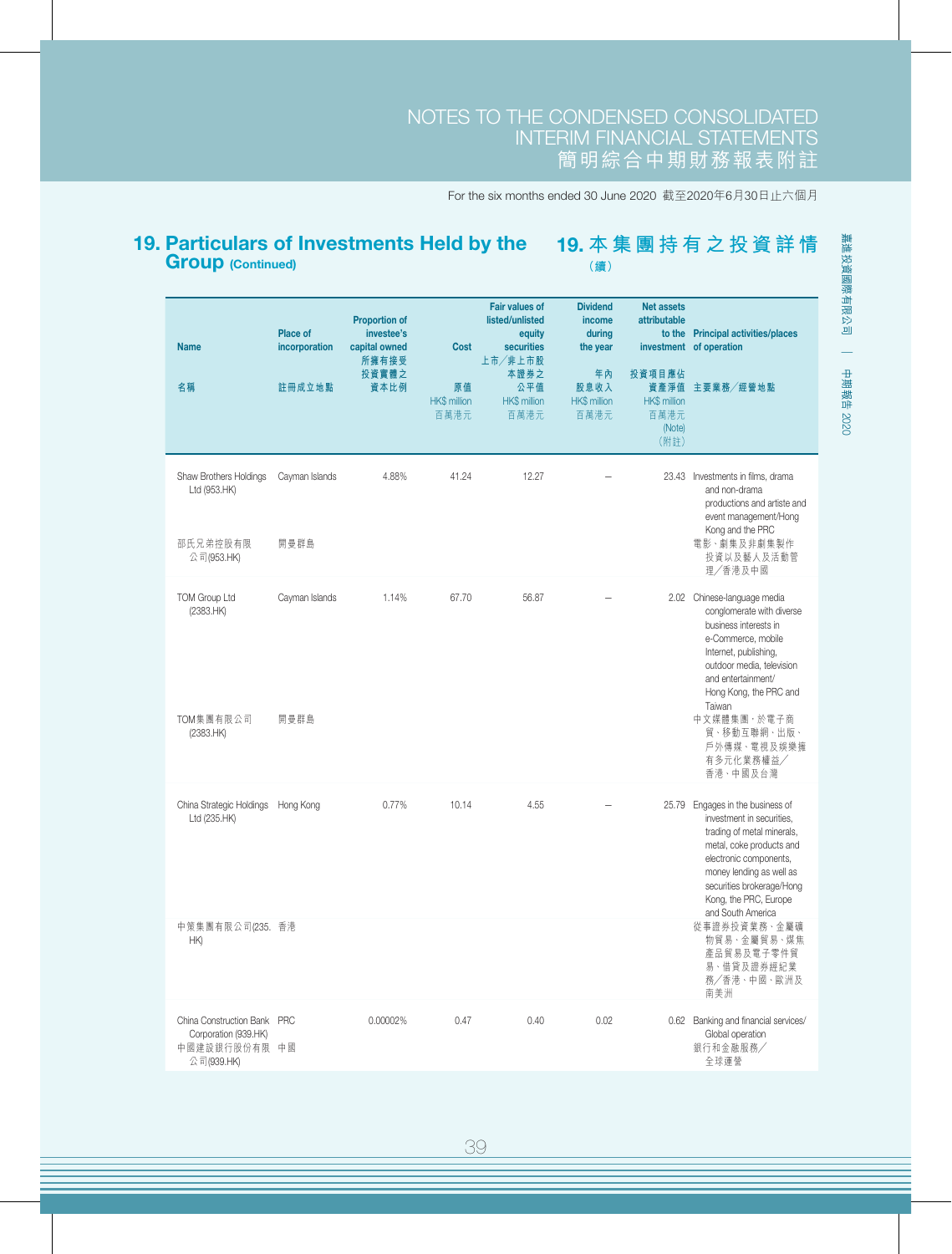#### 19. Particulars of Investments Held by the Group (Continued) 19. **本集團持有之投資詳情 (續)**

| <b>Name</b><br>名稱                                                                  | Place of<br>incorporation<br>註冊成立地點 | <b>Proportion of</b><br>investee's<br>capital owned<br>所擁有接受<br>投資實體之<br>資本比例 | Cost<br>原值<br>HK\$ million<br>百萬港元 | <b>Fair values of</b><br>listed/unlisted<br>equity<br>securities<br>上市/非上市股<br>本證券之<br>公平值<br><b>HK\$</b> million<br>百萬港元 | <b>Dividend</b><br>income<br>during<br>the year<br>年內<br>股息收入<br><b>HK\$</b> million<br>百萬港元 | <b>Net assets</b><br>attributable<br>投資項目應佔<br><b>HK\$</b> million<br>百萬港元<br>(Note)<br>(附註) | to the Principal activities/places<br>investment of operation<br>資產淨值 主要業務/經營地點                                                                                                                                                                    |
|------------------------------------------------------------------------------------|-------------------------------------|-------------------------------------------------------------------------------|------------------------------------|---------------------------------------------------------------------------------------------------------------------------|----------------------------------------------------------------------------------------------|----------------------------------------------------------------------------------------------|----------------------------------------------------------------------------------------------------------------------------------------------------------------------------------------------------------------------------------------------------|
| Shaw Brothers Holdings<br>Ltd (953.HK)<br>邵氏兄弟控股有限<br>公司(953.HK)                   | Cayman Islands<br>開曼群島              | 4.88%                                                                         | 41.24                              | 12.27                                                                                                                     |                                                                                              |                                                                                              | 23.43 Investments in films, drama<br>and non-drama<br>productions and artiste and<br>event management/Hong<br>Kong and the PRC<br>電影、劇集及非劇集製作<br>投資以及藝人及活動管<br>理/香港及中國                                                                             |
| <b>TOM Group Ltd</b><br>(2383.HK)                                                  | Cayman Islands                      | 1.14%                                                                         | 67.70                              | 56.87                                                                                                                     |                                                                                              |                                                                                              | 2.02 Chinese-language media<br>conglomerate with diverse<br>business interests in<br>e-Commerce, mobile<br>Internet, publishing,<br>outdoor media, television<br>and entertainment/<br>Hong Kong, the PRC and<br>Taiwan                            |
| TOM集團有限公司<br>(2383.HK)                                                             | 開曼群島                                |                                                                               |                                    |                                                                                                                           |                                                                                              |                                                                                              | 中文媒體集團,於電子商<br>貿、移動互聯網、出版、<br>戶外傳媒、電視及娛樂擁<br>有多元化業務權益/<br>香港、中國及台灣                                                                                                                                                                                 |
| China Strategic Holdings Hong Kong<br>Ltd (235.HK)                                 |                                     | 0.77%                                                                         | 10.14                              | 4.55                                                                                                                      |                                                                                              | 25.79                                                                                        | Engages in the business of<br>investment in securities,<br>trading of metal minerals,<br>metal, coke products and<br>electronic components,<br>money lending as well as<br>securities brokerage/Hong<br>Kong, the PRC, Europe<br>and South America |
| 中策集團有限公司(235. 香港<br>HK)                                                            |                                     |                                                                               |                                    |                                                                                                                           |                                                                                              |                                                                                              | 從事證券投資業務、金屬礦<br>物貿易、金屬貿易、煤焦<br>產品貿易及電子零件貿<br>易、借貸及證券經紀業<br>務/香港、中國、歐洲及<br>南美洲                                                                                                                                                                      |
| China Construction Bank PRC<br>Corporation (939.HK)<br>中國建設銀行股份有限 中國<br>公司(939.HK) |                                     | 0.00002%                                                                      | 0.47                               | 0.40                                                                                                                      | 0.02                                                                                         |                                                                                              | 0.62 Banking and financial services/<br>Global operation<br>銀行和金融服務/<br>全球運營                                                                                                                                                                       |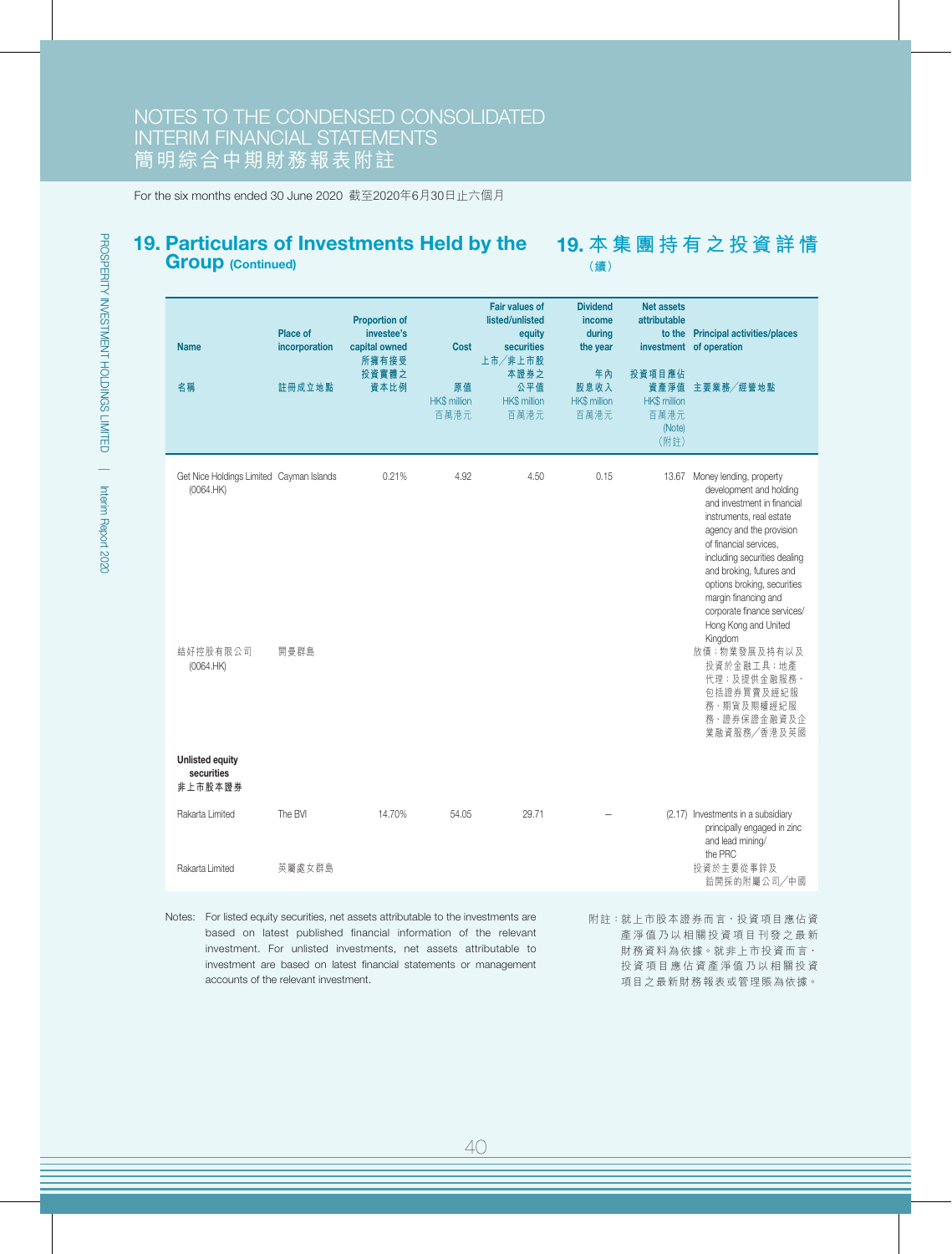### 19. Particulars of Investments Held by the Group (Continued)

19. **本集團持有之投資詳情 (續)**

| <b>Name</b><br>名稱                                     | Place of<br>incorporation<br>註冊成立地點 | <b>Proportion of</b><br>investee's<br>capital owned<br>所擁有接受<br>投資實體之<br>資本比例 | <b>Cost</b><br>原值<br><b>HK\$ million</b><br>百萬港元 | <b>Fair values of</b><br>listed/unlisted<br>equity<br>securities<br>上市/非上市股<br>本證券之<br>公平值<br><b>HK\$</b> million<br>百萬港元 | <b>Dividend</b><br>income<br>during<br>the year<br>年內<br>股息收入<br><b>HK\$</b> million<br>百萬港元 | <b>Net assets</b><br>attributable<br>to the<br>投資項目應佔<br><b>HK\$</b> million<br>百萬港元<br>(Note)<br>(附註) | <b>Principal activities/places</b><br>investment of operation<br>資產淨值 主要業務/經營地點                                                                                                                                                                                                                                                                          |
|-------------------------------------------------------|-------------------------------------|-------------------------------------------------------------------------------|--------------------------------------------------|---------------------------------------------------------------------------------------------------------------------------|----------------------------------------------------------------------------------------------|--------------------------------------------------------------------------------------------------------|----------------------------------------------------------------------------------------------------------------------------------------------------------------------------------------------------------------------------------------------------------------------------------------------------------------------------------------------------------|
| Get Nice Holdings Limited Cayman Islands<br>(0064.HK) |                                     | 0.21%                                                                         | 4.92                                             | 4.50                                                                                                                      | 0.15                                                                                         | 13.67                                                                                                  | Money lending, property<br>development and holding<br>and investment in financial<br>instruments, real estate<br>agency and the provision<br>of financial services,<br>including securities dealing<br>and broking, futures and<br>options broking, securities<br>margin financing and<br>corporate finance services/<br>Hong Kong and United<br>Kingdom |
| 結好控股有限公司<br>(0064.HK)                                 | 開曼群島                                |                                                                               |                                                  |                                                                                                                           |                                                                                              |                                                                                                        | 放債;物業發展及持有以及<br>投資於金融工具;地產<br>代理;及提供金融服務,<br>包括證券買賣及經紀服<br>務、期貨及期權經紀服<br>務、證券保證金融資及企<br>業融資服務/香港及英國                                                                                                                                                                                                                                                      |
| <b>Unlisted equity</b><br>securities<br>非上市股本證券       |                                     |                                                                               |                                                  |                                                                                                                           |                                                                                              |                                                                                                        |                                                                                                                                                                                                                                                                                                                                                          |
| Rakarta Limited                                       | The BVI                             | 14.70%                                                                        | 54.05                                            | 29.71                                                                                                                     |                                                                                              |                                                                                                        | (2.17) Investments in a subsidiary<br>principally engaged in zinc<br>and lead mining/                                                                                                                                                                                                                                                                    |
| Rakarta Limited                                       | 英屬處女群島                              |                                                                               |                                                  |                                                                                                                           |                                                                                              |                                                                                                        | the PRC<br>投資於主要從事鋅及<br>鉛開採的附屬公司/中國                                                                                                                                                                                                                                                                                                                      |

Notes: For listed equity securities, net assets attributable to the investments are based on latest published financial information of the relevant investment. For unlisted investments, net assets attributable to investment are based on latest financial statements or management accounts of the relevant investment.

附註:就上市股本證券而言,投資項目應佔資 產淨值乃以相關投資項目刊發之最新 財務資料為依據。就非上市投資而言, 投資項目應佔資產淨值乃以相關投資 項目之最新財務報表或管理賬為依據。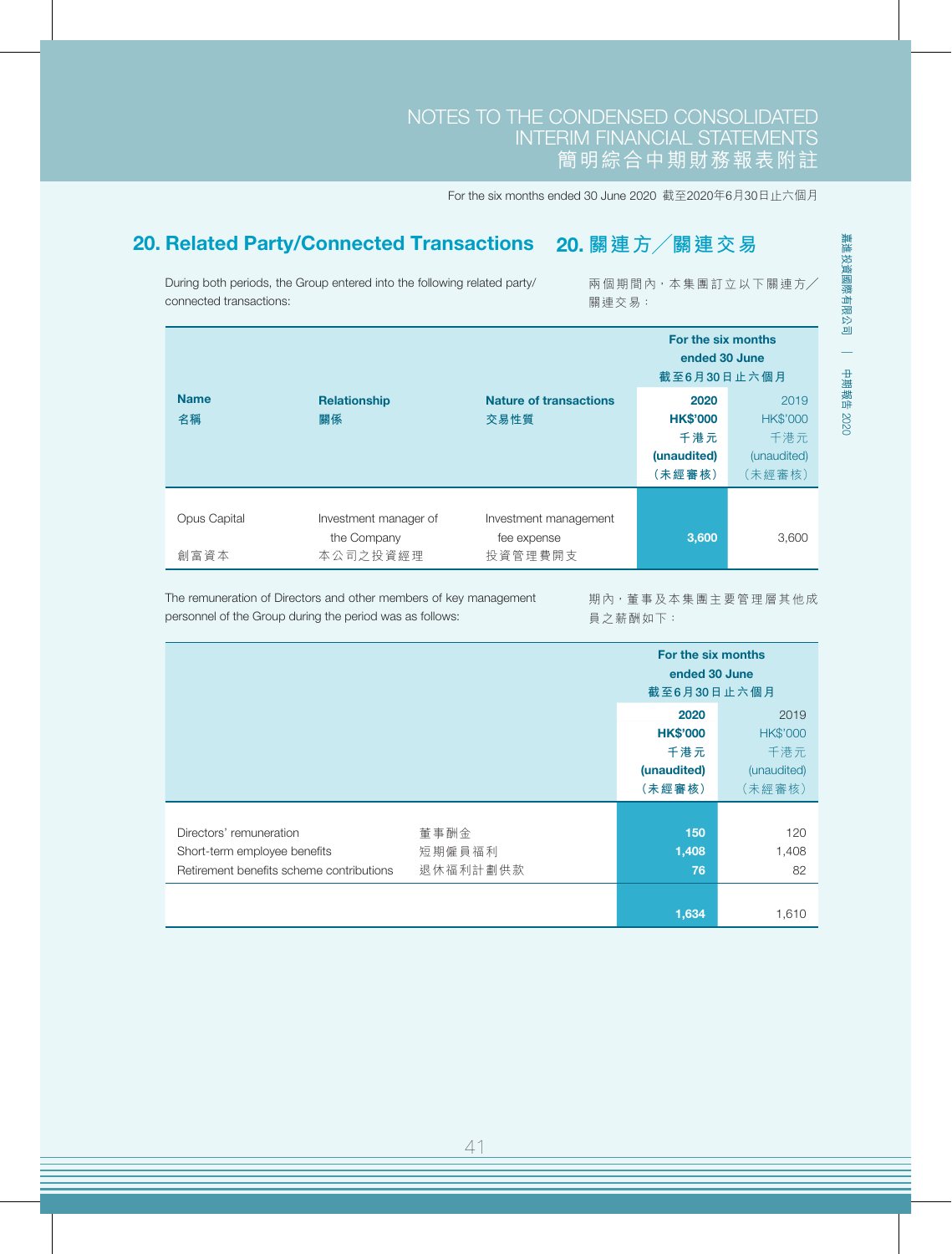## NOTES TO THE CONDENSED CONSOLIDATED INTERIM FINANCIAL STATEMENTS 簡明綜合中期財務報表附註

For the six months ended 30 June 2020 截至2020年6月30日止六個月

# 20. Related Party/Connected Transactions 20. **關連方╱關連交易**

During both periods, the Group entered into the following related party/ connected transactions:

兩個期間內,本集團訂立以下關連方╱ 關連交易:

|                     |                       |                               | For the six months<br>ended 30 June<br>截至6月30日止六個月 |                 |
|---------------------|-----------------------|-------------------------------|----------------------------------------------------|-----------------|
| <b>Name</b>         | <b>Relationship</b>   | <b>Nature of transactions</b> | 2020                                               | 2019            |
| 名稱                  | 關係                    | 交易性質                          | <b>HK\$'000</b>                                    | <b>HK\$'000</b> |
|                     |                       |                               | 千港元                                                | 千港元             |
|                     |                       |                               | (unaudited)                                        | (unaudited)     |
|                     |                       |                               | (未經審核)                                             | (未經審核)          |
|                     |                       |                               |                                                    |                 |
| <b>Opus Capital</b> | Investment manager of | Investment management         |                                                    |                 |
|                     | the Company           | fee expense                   | 3,600                                              | 3,600           |
| 創富資本                | 本公司之投資經理              | 投資管理費開支                       |                                                    |                 |

The remuneration of Directors and other members of key management personnel of the Group during the period was as follows:

期內,董事及本集團主要管理層其他成 員之薪酬如下:

|                                                                                                     |                            | For the six months<br>ended 30 June<br>截至6月30日止六個月      |                                                         |
|-----------------------------------------------------------------------------------------------------|----------------------------|---------------------------------------------------------|---------------------------------------------------------|
|                                                                                                     |                            | 2020<br><b>HK\$'000</b><br>千港元<br>(unaudited)<br>(未經審核) | 2019<br><b>HK\$'000</b><br>千港元<br>(unaudited)<br>(未經審核) |
| Directors' remuneration<br>Short-term employee benefits<br>Retirement benefits scheme contributions | 董事酬金<br>短期僱員福利<br>退休福利計劃供款 | 150<br>1,408<br>76                                      | 120<br>1,408<br>82                                      |
|                                                                                                     |                            | 1,634                                                   | 1,610                                                   |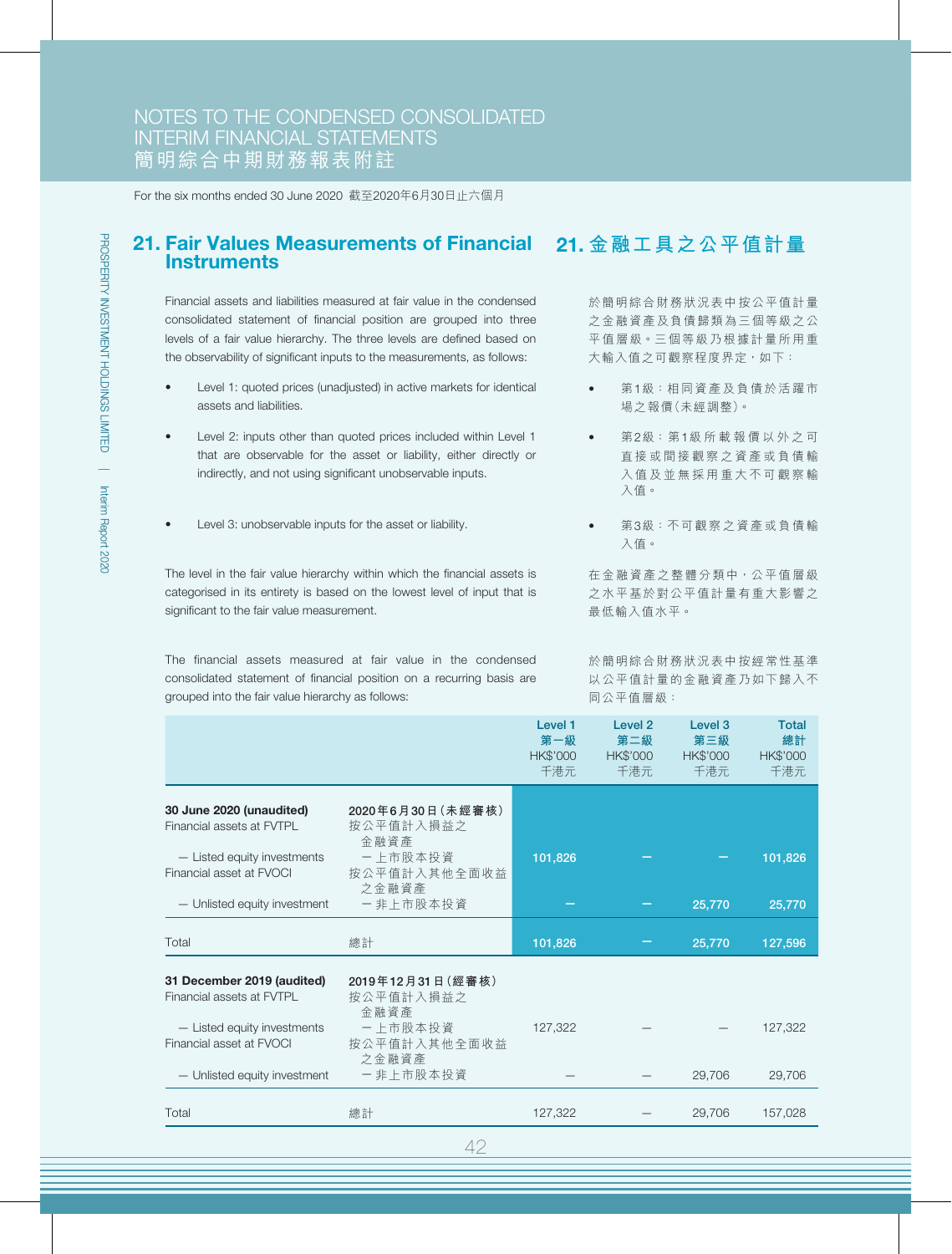#### 21. Fair Values Measurements of Financial 21. **金融工具之公平值計量 Instruments**

Financial assets and liabilities measured at fair value in the condensed consolidated statement of financial position are grouped into three levels of a fair value hierarchy. The three levels are defined based on the observability of significant inputs to the measurements, as follows:

- Level 1: quoted prices (unadjusted) in active markets for identical assets and liabilities.
- Level 2: inputs other than quoted prices included within Level 1 that are observable for the asset or liability, either directly or indirectly, and not using significant unobservable inputs.
- Level 3: unobservable inputs for the asset or liability.

The level in the fair value hierarchy within which the financial assets is categorised in its entirety is based on the lowest level of input that is significant to the fair value measurement.

The financial assets measured at fair value in the condensed consolidated statement of financial position on a recurring basis are grouped into the fair value hierarchy as follows:

於簡明綜合財務狀況表中按公平值計量 之金融資產及負債歸類為三個等級之公 平值層級。三個等級乃根據計量所用重 大輸入值之可觀察程度界定, 如下:

- 第1級:相同資產及負債於活躍市 場之報價(未經調整)。
- 第2級:第1級所載報價以外之可 直接或間接觀察之資產或負債輸 入值及並無採用重大不可觀察輸 入值。
- 第3級:不可觀察之資產或負債輸 入值。

在金融資產之整體分類中,公平值層級 之水平基於對公平值計量有重大影響之 最低輸入值水平。

於簡明綜合財務狀況表中按經常性基準 以公平值計量的金融資產乃如下歸入不 同公平值層級:

|                                                         |                                        | Level 1<br>第一級<br><b>HK\$'000</b><br>千港元 | Level <sub>2</sub><br>第二級<br><b>HK\$'000</b><br>千港元 | Level <sub>3</sub><br>第三級<br>HK\$'000<br>千港元 | <b>Total</b><br>總計<br><b>HK\$'000</b><br>千港元 |
|---------------------------------------------------------|----------------------------------------|------------------------------------------|-----------------------------------------------------|----------------------------------------------|----------------------------------------------|
| 30 June 2020 (unaudited)<br>Financial assets at FVTPL   | 2020年6月30日 (未經審核)<br>按公平值計入損益之<br>金融資產 |                                          |                                                     |                                              |                                              |
| - Listed equity investments<br>Financial asset at FVOCI | 一上市股本投資<br>按公平值計入其他全面收益<br>之金融資產       | 101,826                                  |                                                     |                                              | 101,826                                      |
| - Unlisted equity investment                            | 一非上市股本投資                               |                                          |                                                     | 25,770                                       | 25,770                                       |
| Total                                                   | 總計                                     | 101,826                                  |                                                     | 25,770                                       | 127,596                                      |
| 31 December 2019 (audited)<br>Financial assets at FVTPL | 2019年12月31日(經審核)<br>按公平值計入損益之<br>金融資產  |                                          |                                                     |                                              |                                              |
| - Listed equity investments<br>Financial asset at FVOCI | 一上市股本投資<br>按公平值計入其他全面收益<br>之金融資產       | 127,322                                  |                                                     |                                              | 127.322                                      |
| - Unlisted equity investment                            | 一非上市股本投資                               |                                          |                                                     | 29,706                                       | 29,706                                       |
| Total                                                   | 總計                                     | 127,322                                  |                                                     | 29,706                                       | 157.028                                      |
|                                                         |                                        |                                          |                                                     |                                              |                                              |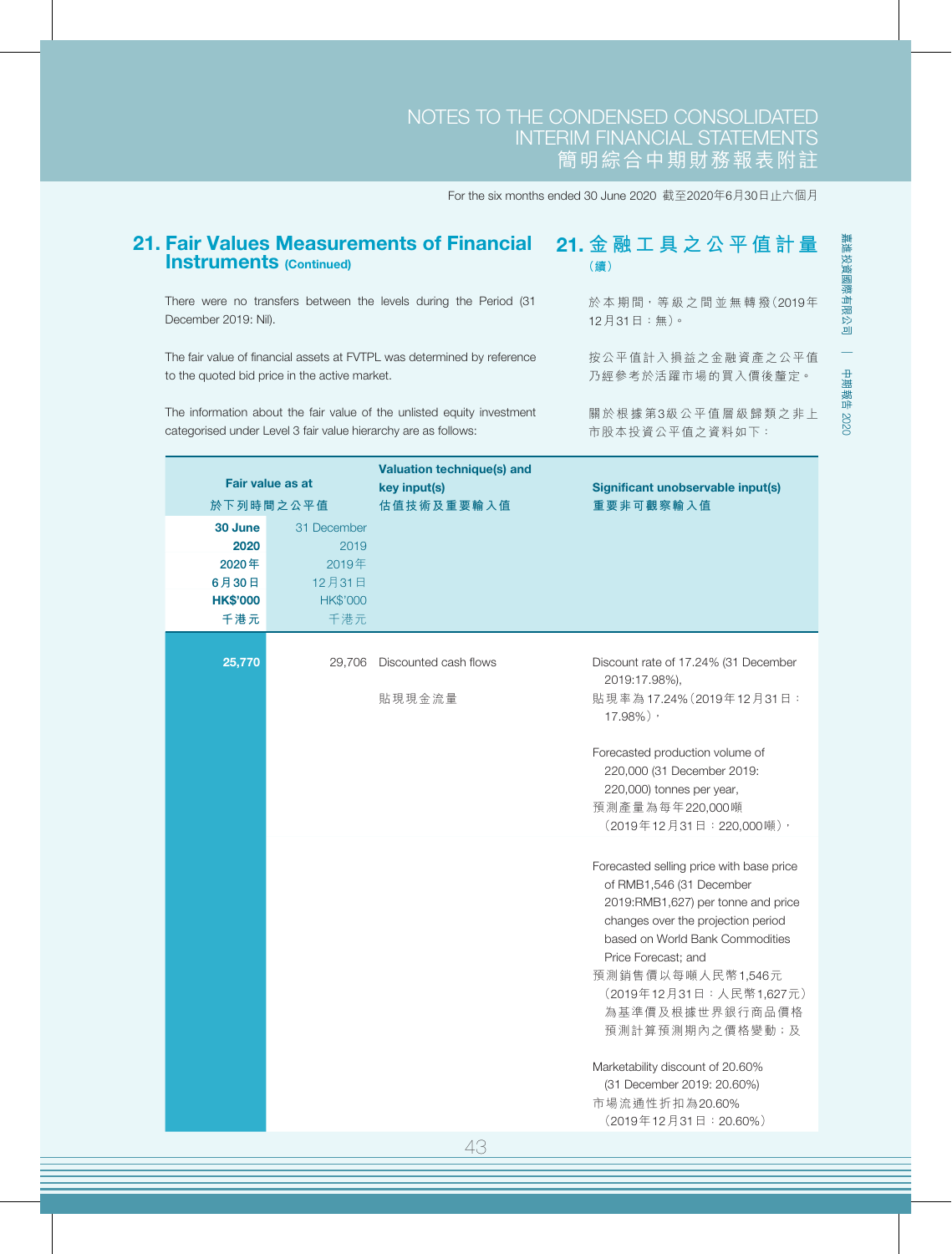For the six months ended 30 June 2020 截至2020年6月30日止六個月

| <b>Instruments (Continued)</b>                                                                                           |                                                                  |                                                                        | (續)                                                                                                                                                                                                                                                                           |  |  |
|--------------------------------------------------------------------------------------------------------------------------|------------------------------------------------------------------|------------------------------------------------------------------------|-------------------------------------------------------------------------------------------------------------------------------------------------------------------------------------------------------------------------------------------------------------------------------|--|--|
| December 2019: Nil).                                                                                                     |                                                                  | There were no transfers between the levels during the Period (31       | 於本期間, 等級之間並無轉撥(2019年<br>12月31日:無)。                                                                                                                                                                                                                                            |  |  |
| The fair value of financial assets at FVTPL was determined by reference<br>to the quoted bid price in the active market. |                                                                  |                                                                        | 按公平值計入損益之金融資產之公平值<br>乃經參考於活躍市場的買入價後釐定。                                                                                                                                                                                                                                        |  |  |
| categorised under Level 3 fair value hierarchy are as follows:                                                           |                                                                  | The information about the fair value of the unlisted equity investment | 關於根據第3級公平值層級歸類之非上<br>市股本投資公平值之資料如下:                                                                                                                                                                                                                                           |  |  |
| <b>Fair value as at</b>                                                                                                  |                                                                  | <b>Valuation technique(s) and</b>                                      |                                                                                                                                                                                                                                                                               |  |  |
| 於下列時間之公平值                                                                                                                |                                                                  | key input(s)<br>估值技術及重要輸入值                                             | Significant unobservable input(s)<br>重要非可觀察輸入值                                                                                                                                                                                                                                |  |  |
| 30 June<br>2020<br>2020年<br>6月30日<br><b>HK\$'000</b><br>千港元                                                              | 31 December<br>2019<br>2019年<br>12月31日<br><b>HK\$'000</b><br>千港元 |                                                                        |                                                                                                                                                                                                                                                                               |  |  |
| 25,770                                                                                                                   |                                                                  | 29,706 Discounted cash flows<br>貼現現金流量                                 | Discount rate of 17.24% (31 December<br>2019:17.98%),<br>貼現率為17.24% (2019年12月31日:                                                                                                                                                                                             |  |  |
|                                                                                                                          |                                                                  |                                                                        | 17.98%),<br>Forecasted production volume of<br>220,000 (31 December 2019:<br>220,000) tonnes per year,<br>預測產量為每年220,000噸<br>(2019年12月31日: 220,000噸),                                                                                                                         |  |  |
|                                                                                                                          |                                                                  |                                                                        | Forecasted selling price with base price<br>of RMB1,546 (31 December<br>2019:RMB1,627) per tonne and price<br>changes over the projection period<br>based on World Bank Commodities<br>Price Forecast; and<br>預測銷售價以每噸人民幣1,546元<br>(2019年12月31日:人民幣1,627元)<br>為基準價及根據世界銀行商品價格 |  |  |
|                                                                                                                          |                                                                  |                                                                        | 預測計算預測期內之價格變動;及<br>Marketability discount of 20.60%<br>(31 December 2019: 20.60%)<br>市場流通性折扣為20.60%<br>(2019年12月31日: 20.60%)                                                                                                                                                  |  |  |
|                                                                                                                          |                                                                  | 43                                                                     |                                                                                                                                                                                                                                                                               |  |  |

21. Fair Values Measurements of Financial 21. **金融工具之公平值計量**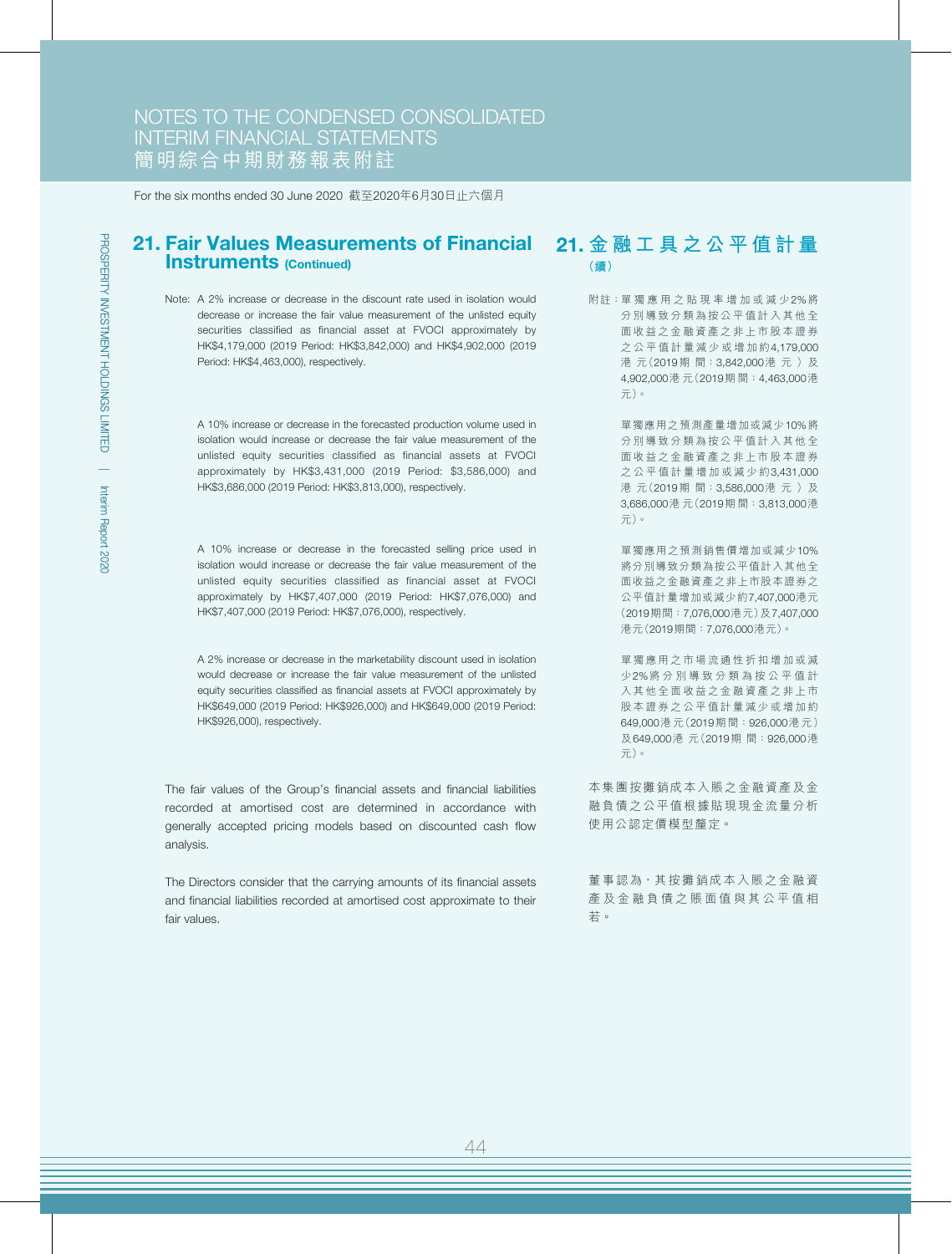#### 21. Fair Values Measurements of Financial 21. **金融工具之公平值計量** Instruments (Continued) **(續)**

Note: A 2% increase or decrease in the discount rate used in isolation would decrease or increase the fair value measurement of the unlisted equity securities classified as financial asset at FVOCI approximately by HK\$4,179,000 (2019 Period: HK\$3,842,000) and HK\$4,902,000 (2019 Period: HK\$4,463,000), respectively.

A 10% increase or decrease in the forecasted production volume used in isolation would increase or decrease the fair value measurement of the unlisted equity securities classified as financial assets at FVOCI approximately by HK\$3,431,000 (2019 Period: \$3,586,000) and HK\$3,686,000 (2019 Period: HK\$3,813,000), respectively.

A 10% increase or decrease in the forecasted selling price used in isolation would increase or decrease the fair value measurement of the unlisted equity securities classified as financial asset at FVOCI approximately by HK\$7,407,000 (2019 Period: HK\$7,076,000) and HK\$7,407,000 (2019 Period: HK\$7,076,000), respectively.

A 2% increase or decrease in the marketability discount used in isolation would decrease or increase the fair value measurement of the unlisted equity securities classified as financial assets at FVOCI approximately by HK\$649,000 (2019 Period: HK\$926,000) and HK\$649,000 (2019 Period: HK\$926,000), respectively.

The fair values of the Group's financial assets and financial liabilities recorded at amortised cost are determined in accordance with generally accepted pricing models based on discounted cash flow analysis.

The Directors consider that the carrying amounts of its financial assets and financial liabilities recorded at amortised cost approximate to their fair values.

附註:單獨應用之貼現率增加或減少2%將 分別導致分類為按公平值計入其他全 面收益之金融資產之非上市股本證券 之公平值計量減少或增加約4,179,000 港元(2019期間: 3,842,000港元)及 4,902,000港 元(2019期 間:4,463,000港 元)。

> 單獨應用之預測產量增加或減少10%將 分別導致分類為按公平值計入其他全 面收益之金融資產之非上市股本證券 之公平值計量增加或減少約3,431,000 港元(2019期間: 3,586,000港元)及 3,686,000港 元(2019期 間:3,813,000港 元)。

> 單獨應用之預測銷售價增加或減少10% 將分別導致分類為按公平值計入其他全 面收益之金融資產之非上市股本證券之 公平值計量增加或減少約7,407,000港元 (2019期間:7,076,000港元)及7,407,000 港元(2019期間:7,076,000港元)。

> 單獨應用之市場流通性折扣增加或減 少2%將分別導致分類為按公平值計 入其他全面收益之金融資產之非上市 股本證券之公平值計量減少或增加約 649,000港 元(2019期 間:926,000港元) 及649,000港 元(2019期 間:926,000港 元)。

本集團按攤銷成本入賬之金融資產及金 融負債之公平值根據貼現現金流量分析 使用公認定價模型釐定。

董事認為,其按攤銷成本入賬之金融資 產及金融負債之賬面值與其公平值相 若。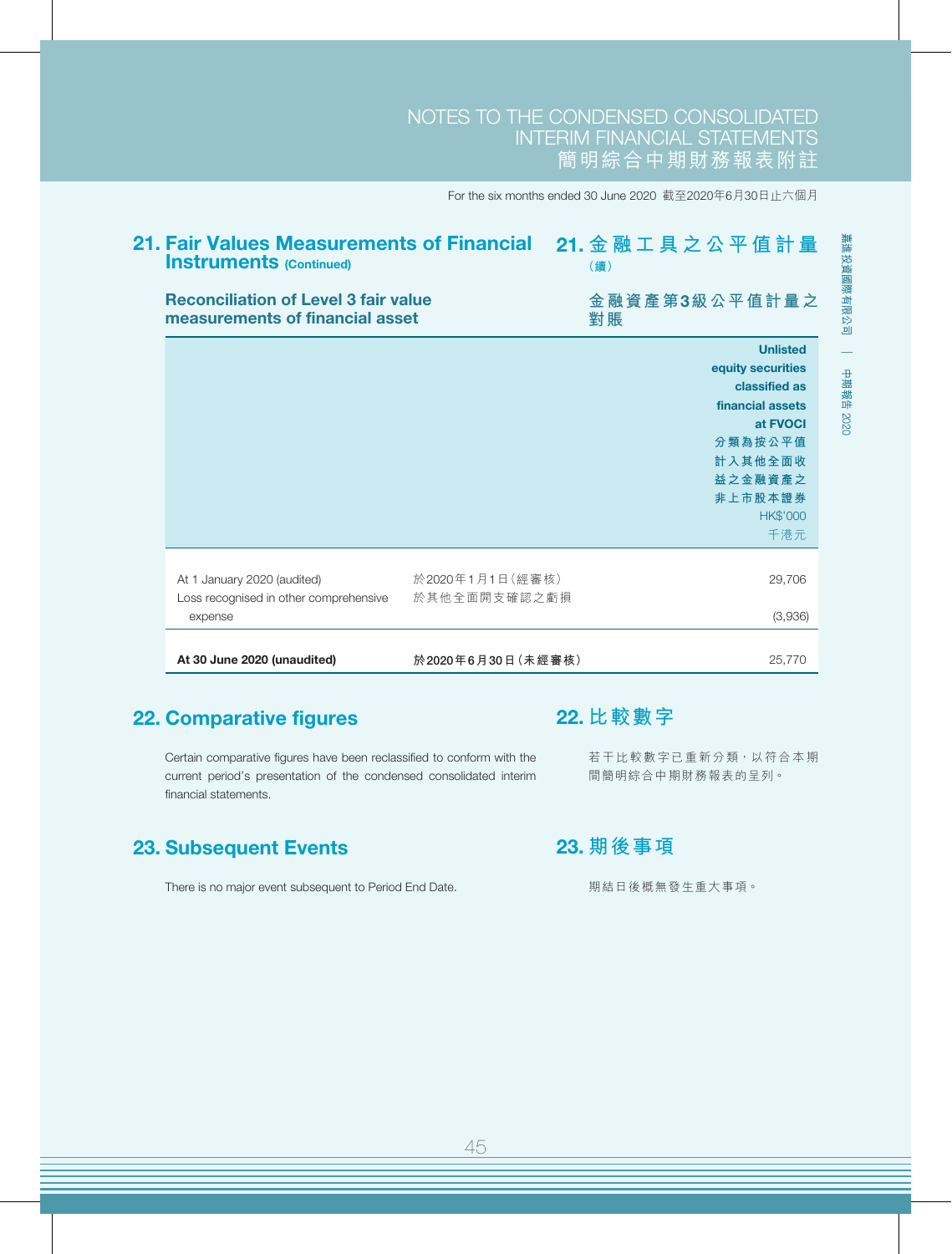| <b>Instruments (Continued)</b>                                                 |                   | 21. Fair Values Measurements of Financial  21. 金 融 工 具 之 公 平 值 計 量<br>(續) |
|--------------------------------------------------------------------------------|-------------------|---------------------------------------------------------------------------|
| <b>Reconciliation of Level 3 fair value</b><br>measurements of financial asset |                   | 金融資產第3級公平值計量之<br>對賬                                                       |
|                                                                                |                   | <b>Unlisted</b>                                                           |
|                                                                                |                   | equity securities                                                         |
|                                                                                |                   | classified as<br>financial assets                                         |
|                                                                                |                   | at <b>FVOCI</b>                                                           |
|                                                                                |                   | 分類為按公平值                                                                   |
|                                                                                |                   | 計入其他全面收                                                                   |
|                                                                                |                   | 益之金融資產之                                                                   |
|                                                                                |                   | 非上市股本證券                                                                   |
|                                                                                |                   | <b>HK\$'000</b>                                                           |
|                                                                                |                   | 千港元                                                                       |
| At 1 January 2020 (audited)                                                    | 於2020年1月1日(經審核)   | 29,706                                                                    |
| Loss recognised in other comprehensive                                         | 於其他全面開支確認之虧損      |                                                                           |
| expense                                                                        |                   | (3,936)                                                                   |
|                                                                                |                   |                                                                           |
| At 30 June 2020 (unaudited)                                                    | 於2020年6月30日(未經審核) | 25,770                                                                    |

## 22. Comparative figures

Certain comparative figures have been reclassified to conform with the current period's presentation of the condensed consolidated interim financial statements.

## 23. Subsequent Events

There is no major event subsequent to Period End Date.

## 22. **比較數字**

若干比較數字已重新分類,以符合本期 間簡明綜合中期財務報表的呈列。

## 23. **期後事項**

期結日後概無發生重大事項。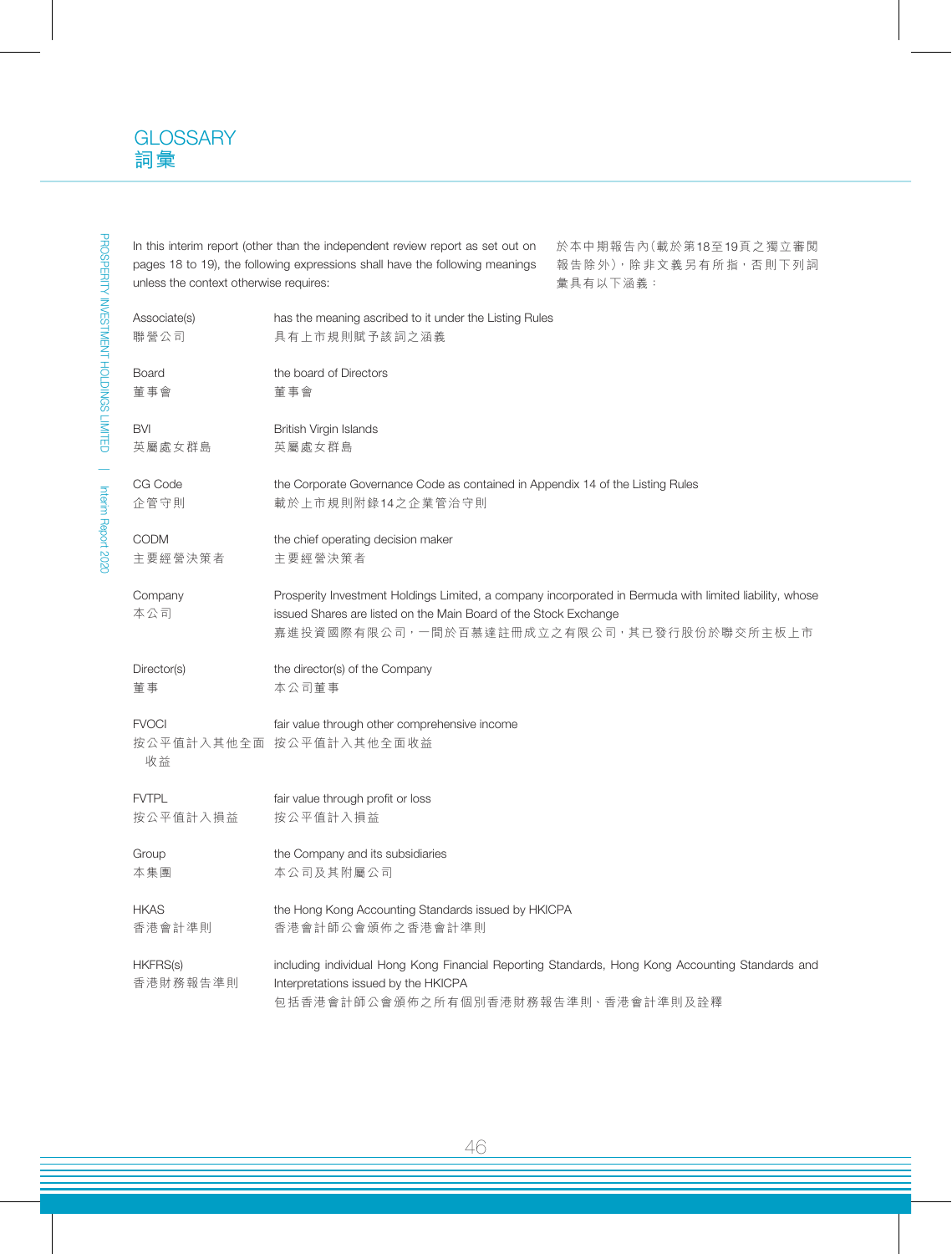In this interim report (other than the independent review report as set out on pages 18 to 19), the following expressions shall have the following meanings unless the context otherwise requires:

於本中期報告內(載於第18至19頁之獨立審閱 報告除外),除非文義另有所指,否則下列詞 彙具有以下涵義:

| Associate(s)                | has the meaning ascribed to it under the Listing Rules                                                                                                                                                                   |
|-----------------------------|--------------------------------------------------------------------------------------------------------------------------------------------------------------------------------------------------------------------------|
| 聯營公司                        | 具有上市規則賦予該詞之涵義                                                                                                                                                                                                            |
| <b>Board</b>                | the board of Directors                                                                                                                                                                                                   |
| 董事會                         | 董事會                                                                                                                                                                                                                      |
| <b>BVI</b>                  | British Virgin Islands                                                                                                                                                                                                   |
| 英屬處女群島                      | 英屬處女群島                                                                                                                                                                                                                   |
| CG Code                     | the Corporate Governance Code as contained in Appendix 14 of the Listing Rules                                                                                                                                           |
| 企管守則                        | 載於上市規則附錄14之企業管治守則                                                                                                                                                                                                        |
| <b>CODM</b>                 | the chief operating decision maker                                                                                                                                                                                       |
| 主要經營決策者                     | 主要經營決策者                                                                                                                                                                                                                  |
| Company<br>本公司              | Prosperity Investment Holdings Limited, a company incorporated in Bermuda with limited liability, whose<br>issued Shares are listed on the Main Board of the Stock Exchange<br>嘉進投資國際有限公司,一間於百慕達註冊成立之有限公司,其已發行股份於聯交所主板上市 |
| Director(s)                 | the director(s) of the Company                                                                                                                                                                                           |
| 董事                          | 本公司董事                                                                                                                                                                                                                    |
| <b>FVOCI</b>                | fair value through other comprehensive income                                                                                                                                                                            |
| 收益                          | 按公平值計入其他全面 按公平值計入其他全面收益                                                                                                                                                                                                  |
| <b>FVTPL</b>                | fair value through profit or loss                                                                                                                                                                                        |
| 按公平值計入損益                    | 按公平值計入損益                                                                                                                                                                                                                 |
| Group                       | the Company and its subsidiaries                                                                                                                                                                                         |
| 本集團                         | 本公司及其附屬公司                                                                                                                                                                                                                |
| <b>HKAS</b>                 | the Hong Kong Accounting Standards issued by HKICPA                                                                                                                                                                      |
| 香港會計準則                      | 香港會計師公會頒佈之香港會計準則                                                                                                                                                                                                         |
| <b>HKFRS(s)</b><br>香港財務報告準則 | including individual Hong Kong Financial Reporting Standards, Hong Kong Accounting Standards and<br>Interpretations issued by the HKICPA<br>包括香港會計師公會頒佈之所有個別香港財務報告準則、香港會計準則及詮釋                                           |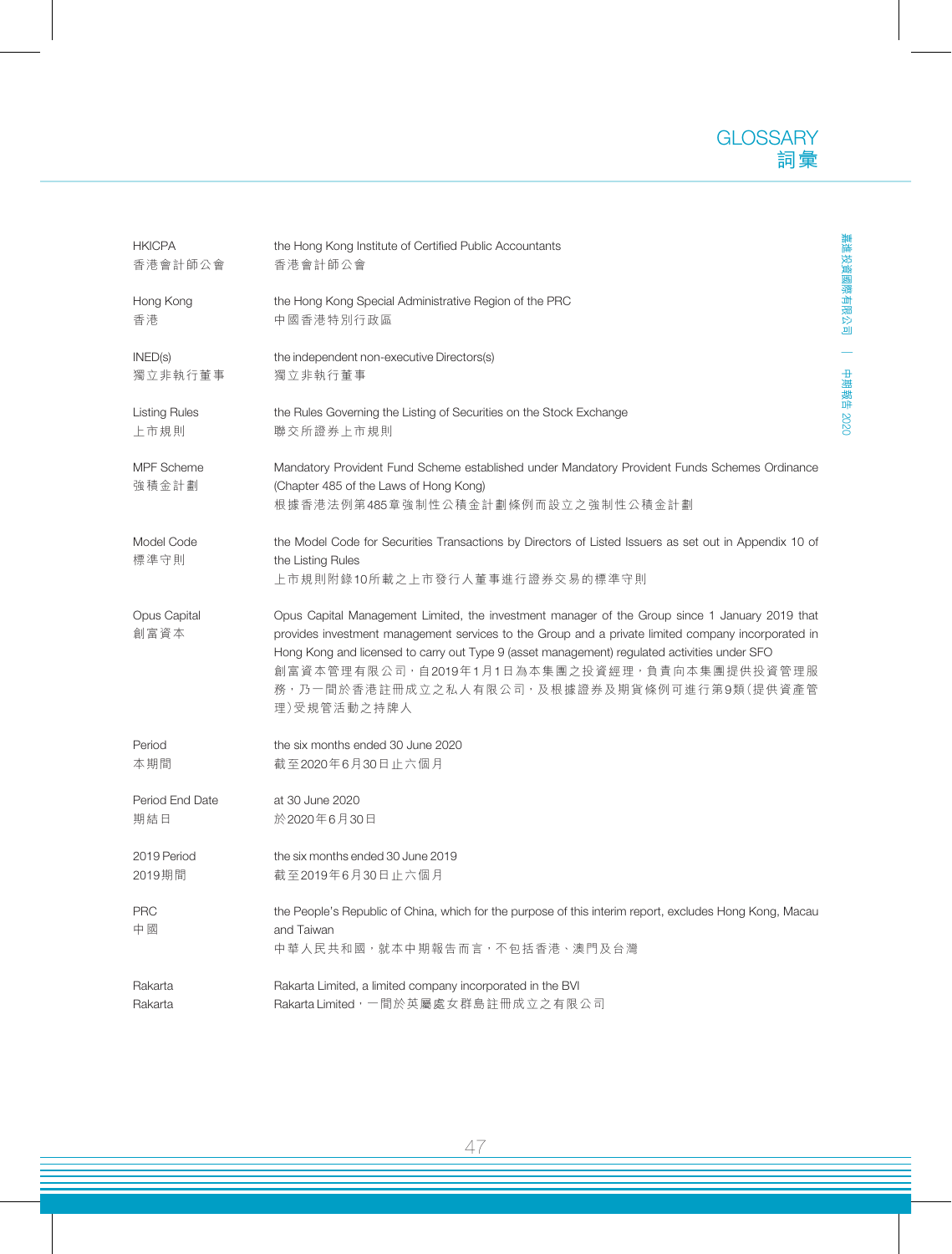嘉進投資國際有限公司

中期報告

2020

| <b>HKICPA</b>              | the Hong Kong Institute of Certified Public Accountants                                                                                                                                                                                                                                                                                                                                                             |
|----------------------------|---------------------------------------------------------------------------------------------------------------------------------------------------------------------------------------------------------------------------------------------------------------------------------------------------------------------------------------------------------------------------------------------------------------------|
| 香港會計師公會                    | 香港會計師公會                                                                                                                                                                                                                                                                                                                                                                                                             |
| Hong Kong                  | the Hong Kong Special Administrative Region of the PRC                                                                                                                                                                                                                                                                                                                                                              |
| 香港                         | 中國香港特別行政區                                                                                                                                                                                                                                                                                                                                                                                                           |
| INED(s)                    | the independent non-executive Directors(s)                                                                                                                                                                                                                                                                                                                                                                          |
| 獨立非執行董事                    | 獨立非執行董事                                                                                                                                                                                                                                                                                                                                                                                                             |
| <b>Listing Rules</b>       | the Rules Governing the Listing of Securities on the Stock Exchange                                                                                                                                                                                                                                                                                                                                                 |
| 上市規則                       | 聯交所證券上市規則                                                                                                                                                                                                                                                                                                                                                                                                           |
| <b>MPF</b> Scheme<br>強積金計劃 | Mandatory Provident Fund Scheme established under Mandatory Provident Funds Schemes Ordinance<br>(Chapter 485 of the Laws of Hong Kong)<br>根據香港法例第485章強制性公積金計劃條例而設立之強制性公積金計劃                                                                                                                                                                                                                                        |
| Model Code<br>標準守則         | the Model Code for Securities Transactions by Directors of Listed Issuers as set out in Appendix 10 of<br>the Listing Rules<br>上市規則附錄10所載之上市發行人董事進行證券交易的標準守則                                                                                                                                                                                                                                                        |
| Opus Capital<br>創富資本       | Opus Capital Management Limited, the investment manager of the Group since 1 January 2019 that<br>provides investment management services to the Group and a private limited company incorporated in<br>Hong Kong and licensed to carry out Type 9 (asset management) regulated activities under SFO<br>創富資本管理有限公司, 自2019年1月1日為本集團之投資經理, 負責向本集團提供投資管理服<br>務,乃一間於香港註冊成立之私人有限公司,及根據證券及期貨條例可進行第9類(提供資產管<br>理)受規管活動之持牌人 |
| Period                     | the six months ended 30 June 2020                                                                                                                                                                                                                                                                                                                                                                                   |
| 本期間                        | 截至2020年6月30日止六個月                                                                                                                                                                                                                                                                                                                                                                                                    |
| Period End Date            | at 30 June 2020                                                                                                                                                                                                                                                                                                                                                                                                     |
| 期結日                        | 於2020年6月30日                                                                                                                                                                                                                                                                                                                                                                                                         |
| 2019 Period                | the six months ended 30 June 2019                                                                                                                                                                                                                                                                                                                                                                                   |
| 2019期間                     | 截至2019年6月30日止六個月                                                                                                                                                                                                                                                                                                                                                                                                    |
| <b>PRC</b><br>中國           | the People's Republic of China, which for the purpose of this interim report, excludes Hong Kong, Macau<br>and Taiwan<br>中華人民共和國, 就本中期報告而言, 不包括香港, 澳門及台灣                                                                                                                                                                                                                                                            |
| Rakarta                    | Rakarta Limited, a limited company incorporated in the BVI                                                                                                                                                                                                                                                                                                                                                          |
| Rakarta                    | Rakarta Limited, 一間於英屬處女群島註冊成立之有限公司                                                                                                                                                                                                                                                                                                                                                                                 |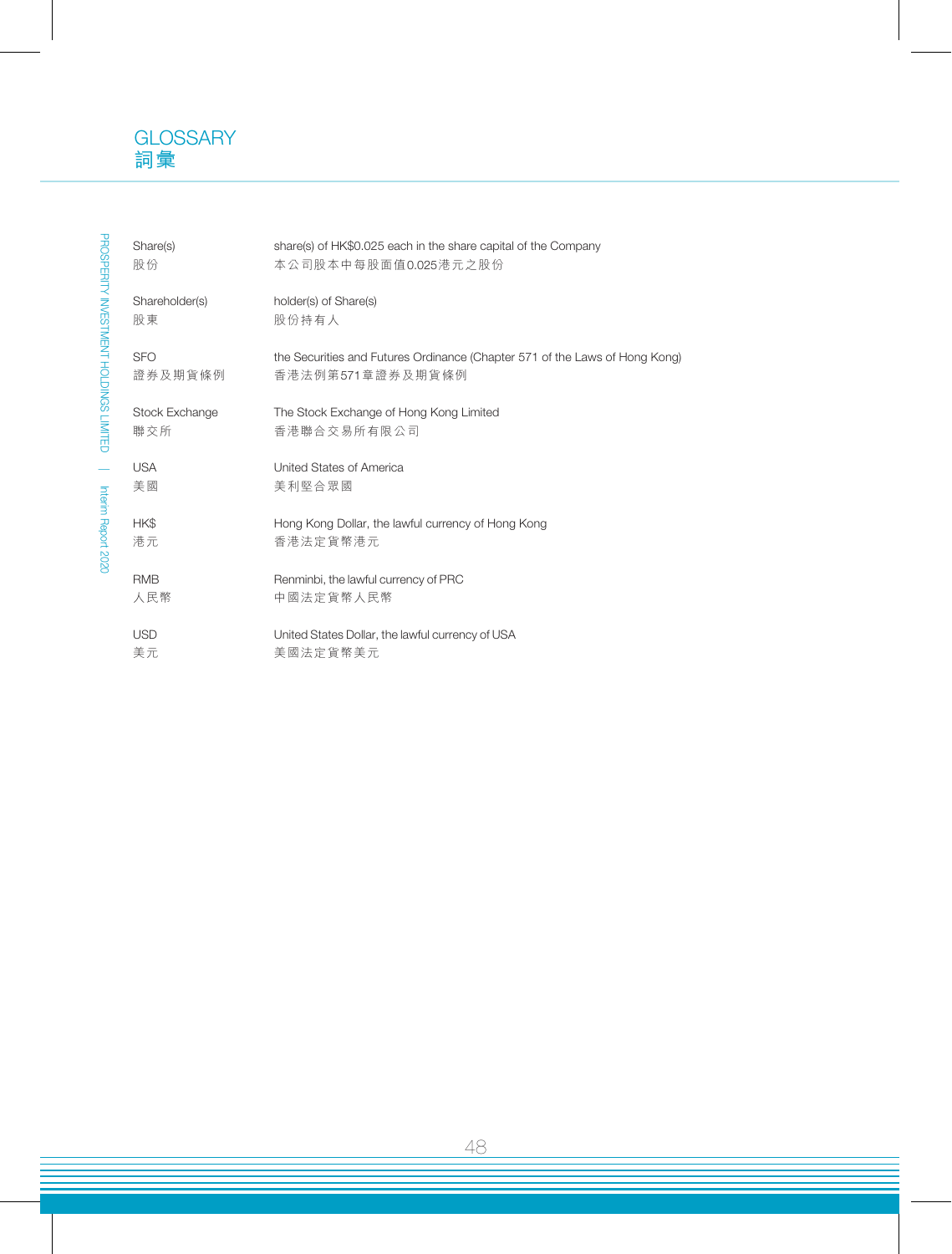

| Share(s)<br>股份        | share(s) of HK\$0.025 each in the share capital of the Company<br>本公司股本中每股面值0.025港元之股份          |
|-----------------------|-------------------------------------------------------------------------------------------------|
| Shareholder(s)<br>股東  | holder(s) of Share(s)<br>股份持有人                                                                  |
| <b>SFO</b><br>證券及期貨條例 | the Securities and Futures Ordinance (Chapter 571 of the Laws of Hong Kong)<br>香港法例第571章證券及期貨條例 |
| Stock Exchange<br>聯交所 | The Stock Exchange of Hong Kong Limited<br>香港聯合交易所有限公司                                          |
| <b>USA</b><br>美國      | United States of America<br>美利堅合眾國                                                              |
| HK\$<br>港元            | Hong Kong Dollar, the lawful currency of Hong Kong<br>香港法定貨幣港元                                  |
| <b>RMB</b><br>人民幣     | Renminbi, the lawful currency of PRC<br>中國法定貨幣人民幣                                               |
| <b>USD</b><br>美元      | United States Dollar, the lawful currency of USA<br>美國法定貨幣美元                                    |